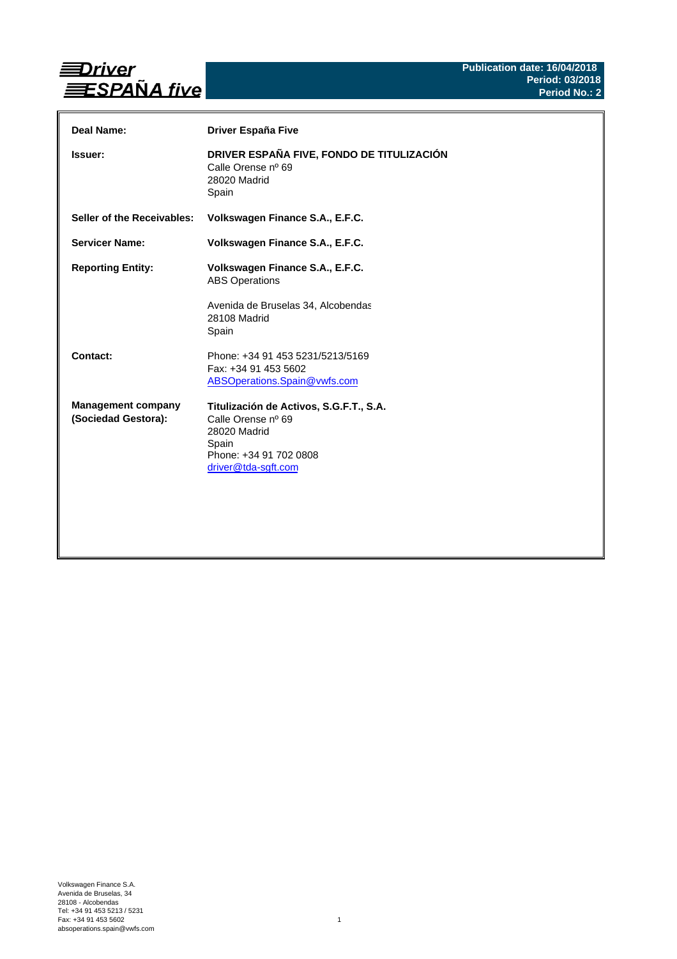

| Deal Name:                                       | Driver España Five                                                                                                                      |
|--------------------------------------------------|-----------------------------------------------------------------------------------------------------------------------------------------|
| <b>Issuer:</b>                                   | DRIVER ESPAÑA FIVE, FONDO DE TITULIZACIÓN<br>Calle Orense nº 69<br>28020 Madrid<br>Spain                                                |
| Seller of the Receivables:                       | Volkswagen Finance S.A., E.F.C.                                                                                                         |
| <b>Servicer Name:</b>                            | Volkswagen Finance S.A., E.F.C.                                                                                                         |
| <b>Reporting Entity:</b>                         | Volkswagen Finance S.A., E.F.C.<br><b>ABS Operations</b><br>Avenida de Bruselas 34, Alcobendas<br>28108 Madrid<br>Spain                 |
| Contact:                                         | Phone: +34 91 453 5231/5213/5169<br>Fax: +34 91 453 5602<br>ABSOperations.Spain@vwfs.com                                                |
| <b>Management company</b><br>(Sociedad Gestora): | Titulización de Activos, S.G.F.T., S.A.<br>Calle Orense nº 69<br>28020 Madrid<br>Spain<br>Phone: +34 91 702 0808<br>driver@tda-sgft.com |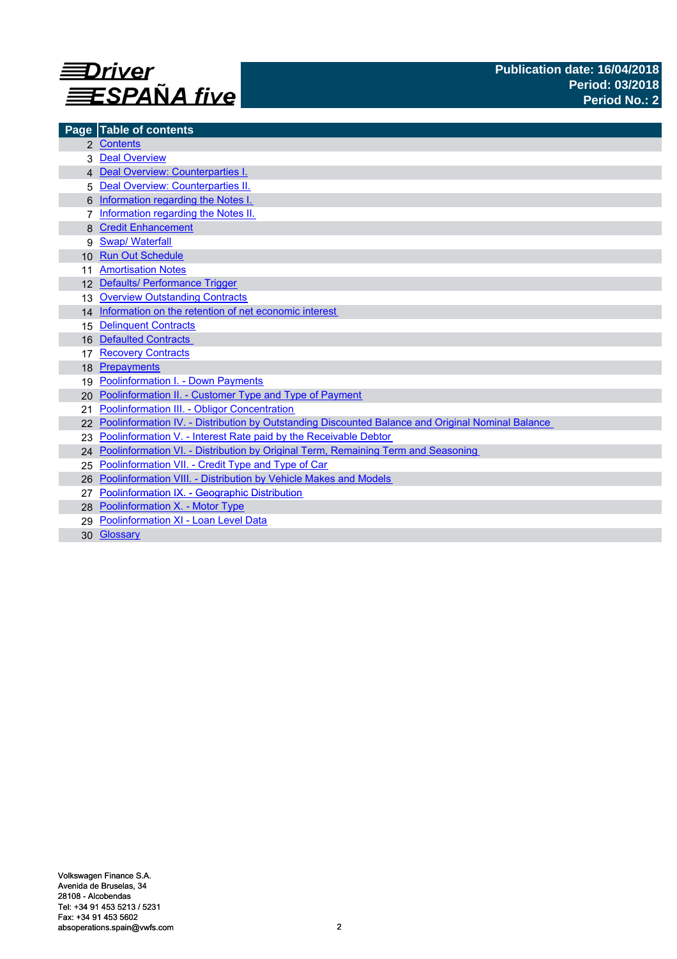

|                 | Page Table of contents                                                                            |
|-----------------|---------------------------------------------------------------------------------------------------|
|                 | 2 Contents                                                                                        |
|                 | <b>Deal Overview</b>                                                                              |
|                 | 4 Deal Overview: Counterparties I.                                                                |
| 5               | Deal Overview: Counterparties II.                                                                 |
|                 | Information regarding the Notes I.                                                                |
|                 | Information regarding the Notes II.                                                               |
|                 | <b>Credit Enhancement</b>                                                                         |
| 9               | <b>Swap/ Waterfall</b>                                                                            |
| 10 <sup>1</sup> | <b>Run Out Schedule</b>                                                                           |
|                 | <b>Amortisation Notes</b>                                                                         |
|                 | 12 Defaults/ Performance Trigger                                                                  |
| 13              | <b>Overview Outstanding Contracts</b>                                                             |
|                 | 14 Information on the retention of net economic interest                                          |
| 15              | <b>Delinquent Contracts</b>                                                                       |
| 16              | <b>Defaulted Contracts</b>                                                                        |
|                 | <b>Recovery Contracts</b>                                                                         |
| 18              | Prepayments                                                                                       |
| 19              | <b>Poolinformation I. - Down Payments</b>                                                         |
| 20              | Poolinformation II. - Customer Type and Type of Payment                                           |
| 21              | Poolinformation III. - Obligor Concentration                                                      |
|                 | Poolinformation IV. - Distribution by Outstanding Discounted Balance and Original Nominal Balance |
| 23              | Poolinformation V. - Interest Rate paid by the Receivable Debtor                                  |
| 24              | Poolinformation VI. - Distribution by Original Term, Remaining Term and Seasoning                 |
| 25              | Poolinformation VII. - Credit Type and Type of Car                                                |
| 26              | Poolinformation VIII. - Distribution by Vehicle Makes and Models                                  |
| 27              | Poolinformation IX. - Geographic Distribution                                                     |
|                 | 28 Poolinformation X. - Motor Type                                                                |
| 29              | Poolinformation XI - Loan Level Data                                                              |
|                 | 30 Glossary                                                                                       |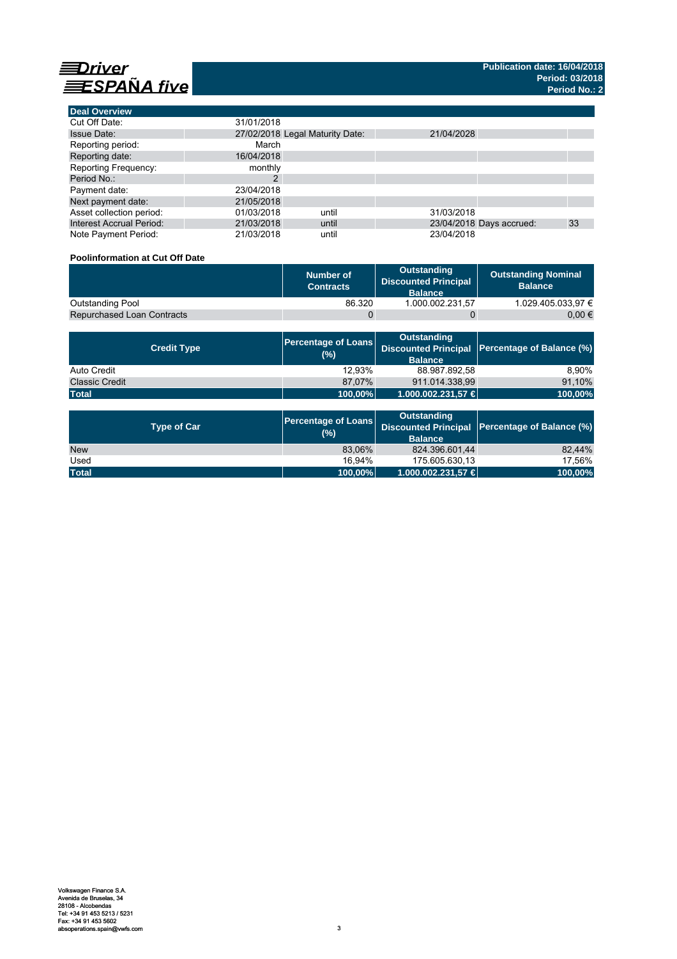

**Deal Overview**

| <b>Deal Overview</b>            |                                 |       |            |                          |    |
|---------------------------------|---------------------------------|-------|------------|--------------------------|----|
| Cut Off Date:                   | 31/01/2018                      |       |            |                          |    |
| <b>Issue Date:</b>              | 27/02/2018 Legal Maturity Date: |       | 21/04/2028 |                          |    |
| Reporting period:               | March                           |       |            |                          |    |
| Reporting date:                 | 16/04/2018                      |       |            |                          |    |
| <b>Reporting Frequency:</b>     | monthly                         |       |            |                          |    |
| Period No.:                     |                                 |       |            |                          |    |
| Payment date:                   | 23/04/2018                      |       |            |                          |    |
| Next payment date:              | 21/05/2018                      |       |            |                          |    |
| Asset collection period:        | 01/03/2018                      | until | 31/03/2018 |                          |    |
| <b>Interest Accrual Period:</b> | 21/03/2018                      | until |            | 23/04/2018 Days accrued: | 33 |
| Note Payment Period:            | 21/03/2018                      | until | 23/04/2018 |                          |    |

# **Poolinformation at Cut Off Date**

|                                   | Number of<br><b>Contracts</b> | Outstanding<br><b>Discounted Principal</b><br><b>Balance</b> | <b>Outstanding Nominal</b><br><b>Balance</b> |
|-----------------------------------|-------------------------------|--------------------------------------------------------------|----------------------------------------------|
| Outstanding Pool                  | 86.320                        | 1.000.002.231.57                                             | 1.029.405.033.97 €                           |
| <b>Repurchased Loan Contracts</b> |                               |                                                              | 0.00 €                                       |

| <b>Credit Type</b>    | <b>Percentage of Loans</b><br>(%) | Outstanding<br><b>Balance</b> | Discounted Principal Percentage of Balance (%) |  |
|-----------------------|-----------------------------------|-------------------------------|------------------------------------------------|--|
| Auto Credit           | 12.93%                            | 88.987.892,58                 | 8.90%                                          |  |
| <b>Classic Credit</b> | 87.07%                            | 911.014.338.99                | 91,10%                                         |  |
| <b>Total</b>          | 100,00%                           | 1.000.002.231,57 €            | 100,00%                                        |  |

| <b>Type of Car</b> | <b>Percentage of Loans</b><br>(%) | <b>Outstanding</b><br><b>Balance</b> | Discounted Principal Percentage of Balance (%) |  |
|--------------------|-----------------------------------|--------------------------------------|------------------------------------------------|--|
| <b>New</b>         | 83.06%                            | 824.396.601.44                       | 82.44%                                         |  |
| Used               | 16.94%                            | 175.605.630.13                       | 17.56%                                         |  |
| <b>Total</b>       | 100,00%                           | $1.000.002.231.57 \in$               | 100,00%                                        |  |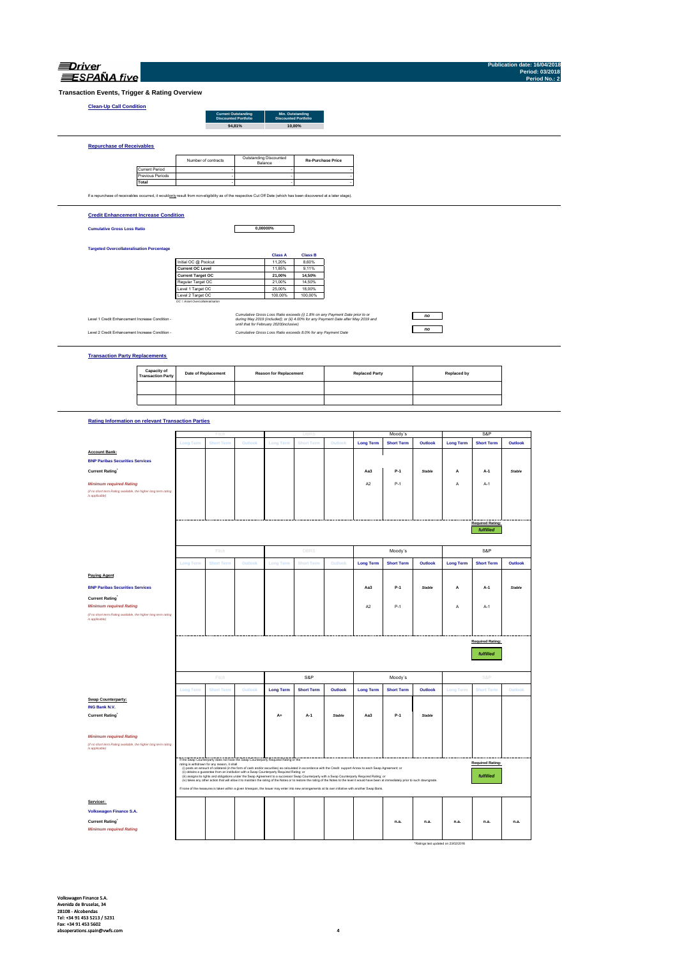| Driver            |  |
|-------------------|--|
| <b>SPANA</b> five |  |

**Publication date: 16/04/2018 Period: 03/2018 Period No.: 2**

**Transaction Events, Trigger & Rating Overview**

### **Clean-Up Call Condition**

| Clean-up Call Condition          |                     | <b>Current Outstanding</b><br><b>Discounted Portfolio</b> | Min. Outstanding<br><b>Discounted Portfolio</b> |                          |
|----------------------------------|---------------------|-----------------------------------------------------------|-------------------------------------------------|--------------------------|
|                                  |                     | 94.81%                                                    |                                                 | 10.00%                   |
| <b>Repurchase of Receivables</b> |                     |                                                           |                                                 |                          |
|                                  | Number of contracts |                                                           | Outstanding Discounted<br>Balance               | <b>Re-Purchase Price</b> |

the contract of the contract of the contract of the contract of the contract of

Current Period Previous Periods **Total** - - the contract of the contract of the contract of the contract of the contract of **Contract Contract Contract** 

**Contract Contract Contract Contract** 

If a repurchase of receivables occurred, it would only result from non-eligibility as of the respective Cut Off Date (which has been discovered at a later stage).

#### **Credit Enhancement Increase Condition**

**Cumulative Gross Loss Ratio**

**0,00000%**

#### **Targeted Overcollateralisation Percentage**

|                                  | <b>Class A</b> | <b>Class B</b> |
|----------------------------------|----------------|----------------|
| Initial OC @ Poolcut             | 11.20%         | 8.60%          |
| <b>Current OC Level</b>          | 11.85%         | 9.11%          |
| <b>Current Target OC</b>         | 21.00%         | 14.50%         |
| Regular Target OC                | 21.00%         | 14.50%         |
| Level 1 Target OC                | 25.00%         | 18.00%         |
| Level 2 Target OC                | 100.00%        | 100.00%        |
| OC = Asset Overcollateralisation |                |                |

Level 1 Credit Enhancement Increase Condition -

*Cumulative Gross Loss Ratio exceeds (i) 1.8% on any Payment Date prior to or during May 2019 (included); or (ii) 4.00% for any Payment Date after May 2019 and until that for February 2020(inclusive)* Level 2 Credit Enhancement Increase Condition - *Cumulative Gross Loss Ratio exceeds 8.0% for any Payment Date*

#### **Transaction Party Replacements**

| <b>Capacity of<br/>Transaction Party</b> | <b>Date of Replacement</b> | <b>Reason for Replacement</b> | <b>Replaced Party</b> | Replaced by |
|------------------------------------------|----------------------------|-------------------------------|-----------------------|-------------|
|                                          |                            |                               |                       |             |
|                                          |                            |                               |                       |             |

*no no*

#### **Rating Information on relevant Transaction Parties**

|                                                                                                   |                  | Fitch                                                                                                                               |         |                  | DBI.                                                                                                                                                           |               |                  | Moody's                                                                                                                                                                                          |         |                  | S&P                     |               |
|---------------------------------------------------------------------------------------------------|------------------|-------------------------------------------------------------------------------------------------------------------------------------|---------|------------------|----------------------------------------------------------------------------------------------------------------------------------------------------------------|---------------|------------------|--------------------------------------------------------------------------------------------------------------------------------------------------------------------------------------------------|---------|------------------|-------------------------|---------------|
|                                                                                                   | <b>Long Term</b> | <b>Short Term</b>                                                                                                                   | Outlook | <b>Long Term</b> | <b>Short Term</b>                                                                                                                                              | Outlook       | <b>Long Term</b> | <b>Short Term</b>                                                                                                                                                                                | Outlook | <b>Long Term</b> | <b>Short Term</b>       | Outlook       |
| <b>Account Bank:</b>                                                                              |                  |                                                                                                                                     |         |                  |                                                                                                                                                                |               |                  |                                                                                                                                                                                                  |         |                  |                         |               |
| <b>BNP Paribas Securities Services</b>                                                            |                  |                                                                                                                                     |         |                  |                                                                                                                                                                |               |                  |                                                                                                                                                                                                  |         |                  |                         |               |
| <b>Current Rating</b>                                                                             |                  |                                                                                                                                     |         |                  |                                                                                                                                                                |               | Aa3              | $P-1$                                                                                                                                                                                            | Stable  | А                | A-1                     | <b>Stable</b> |
| <b>Minimum required Rating</b>                                                                    |                  |                                                                                                                                     |         |                  |                                                                                                                                                                |               | A <sub>2</sub>   | $P-1$                                                                                                                                                                                            |         | A                | $A-1$                   |               |
| (if no short term Rating available, the higher long term rating<br>is applicable)                 |                  |                                                                                                                                     |         |                  |                                                                                                                                                                |               |                  |                                                                                                                                                                                                  |         |                  |                         |               |
|                                                                                                   |                  |                                                                                                                                     |         |                  |                                                                                                                                                                |               |                  |                                                                                                                                                                                                  |         |                  |                         |               |
|                                                                                                   |                  |                                                                                                                                     |         |                  |                                                                                                                                                                |               |                  |                                                                                                                                                                                                  |         |                  |                         |               |
|                                                                                                   |                  |                                                                                                                                     |         |                  |                                                                                                                                                                |               |                  |                                                                                                                                                                                                  |         |                  | <b>Required Rating:</b> |               |
|                                                                                                   |                  |                                                                                                                                     |         |                  |                                                                                                                                                                |               |                  |                                                                                                                                                                                                  |         |                  | fulfilled               |               |
|                                                                                                   |                  | Fitch                                                                                                                               |         |                  | DBRS                                                                                                                                                           |               |                  | Moody's                                                                                                                                                                                          |         |                  | S&P                     |               |
|                                                                                                   | <b>Long Term</b> | <b>Short Term</b>                                                                                                                   | Outlook | <b>Long Term</b> | <b>Short Term</b>                                                                                                                                              | Outlook       | <b>Long Term</b> | <b>Short Term</b>                                                                                                                                                                                | Outlook | <b>Long Term</b> | <b>Short Term</b>       | Outlook       |
| <b>Paying Agent</b>                                                                               |                  |                                                                                                                                     |         |                  |                                                                                                                                                                |               |                  |                                                                                                                                                                                                  |         |                  |                         |               |
| <b>BNP Paribas Securities Services</b>                                                            |                  |                                                                                                                                     |         |                  |                                                                                                                                                                |               | Aa3              | $P-1$                                                                                                                                                                                            | Stable  | А                | $A-1$                   | <b>Stable</b> |
| <b>Current Rating</b>                                                                             |                  |                                                                                                                                     |         |                  |                                                                                                                                                                |               |                  |                                                                                                                                                                                                  |         |                  |                         |               |
| <b>Minimum required Rating</b>                                                                    |                  |                                                                                                                                     |         |                  |                                                                                                                                                                |               | A <sub>2</sub>   | $P-1$                                                                                                                                                                                            |         | А                | $A-1$                   |               |
| (if no short term Rating available, the higher long term rating<br>is applicable)                 |                  |                                                                                                                                     |         |                  |                                                                                                                                                                |               |                  |                                                                                                                                                                                                  |         |                  |                         |               |
|                                                                                                   |                  |                                                                                                                                     |         |                  |                                                                                                                                                                |               |                  |                                                                                                                                                                                                  |         |                  |                         |               |
|                                                                                                   |                  |                                                                                                                                     |         |                  |                                                                                                                                                                |               |                  |                                                                                                                                                                                                  |         |                  | <b>Required Rating:</b> |               |
|                                                                                                   |                  |                                                                                                                                     |         |                  |                                                                                                                                                                |               |                  |                                                                                                                                                                                                  |         |                  |                         |               |
|                                                                                                   | fulfilled        |                                                                                                                                     |         |                  |                                                                                                                                                                |               |                  |                                                                                                                                                                                                  |         |                  |                         |               |
|                                                                                                   |                  |                                                                                                                                     |         |                  |                                                                                                                                                                |               |                  |                                                                                                                                                                                                  |         |                  |                         |               |
|                                                                                                   |                  | Fitch                                                                                                                               |         |                  | S&P                                                                                                                                                            |               |                  | Moody's                                                                                                                                                                                          |         |                  | S&P                     |               |
|                                                                                                   | <b>Long Term</b> | <b>Short Term</b>                                                                                                                   | Outlook | <b>Long Term</b> | <b>Short Term</b>                                                                                                                                              | Outlook       | <b>Long Term</b> | <b>Short Term</b>                                                                                                                                                                                | Outlook | <b>Long Term</b> | <b>Short Term</b>       | Outlook       |
| <b>Swap Counterparty:</b>                                                                         |                  |                                                                                                                                     |         |                  |                                                                                                                                                                |               |                  |                                                                                                                                                                                                  |         |                  |                         |               |
| ING Bank N.V.                                                                                     |                  |                                                                                                                                     |         | A+               | A-1                                                                                                                                                            | <b>Stable</b> | Aa3              | P-1                                                                                                                                                                                              | Stable  |                  |                         |               |
| <b>Current Rating</b>                                                                             |                  |                                                                                                                                     |         |                  |                                                                                                                                                                |               |                  |                                                                                                                                                                                                  |         |                  |                         |               |
|                                                                                                   |                  |                                                                                                                                     |         |                  |                                                                                                                                                                |               |                  |                                                                                                                                                                                                  |         |                  |                         |               |
| <b>Minimum required Rating</b><br>(if no short term Rating available, the higher long term rating |                  |                                                                                                                                     |         |                  |                                                                                                                                                                |               |                  |                                                                                                                                                                                                  |         |                  |                         |               |
| is applicable)                                                                                    |                  |                                                                                                                                     |         |                  |                                                                                                                                                                |               |                  |                                                                                                                                                                                                  |         |                  |                         |               |
|                                                                                                   |                  | If the Swap Counterparty does not have the Swap Counterparty Required Rating or the<br>rating is withdrawn for any reason, it shall |         |                  |                                                                                                                                                                |               |                  |                                                                                                                                                                                                  |         |                  | <b>Required Rating:</b> |               |
|                                                                                                   |                  | (ii) obtains a guarantee from an institution with a Swap Counterparty Required Rating; or                                           |         |                  | (i) posts an amount of collateral (in the form of cash and/or securities) as calculated in accordance with the Credit support Annex to each Swap Agreement; or |               |                  |                                                                                                                                                                                                  |         |                  |                         |               |
|                                                                                                   |                  |                                                                                                                                     |         |                  | (ii) assigns its rights and obligations under the Swap Agreement to a successor Swap Counterparty with a Swap Counterparty Required Rating; or                 |               |                  | (iv) takes any other action that will allow it to maintain the rating of the Notes or to restore the rating of the Notes to the level it would have been at immediately prior to such downgrade. |         |                  | fulfilled               |               |
|                                                                                                   |                  |                                                                                                                                     |         |                  | If none of the measures is taken within a given timespan, the Issuer may enter into new arrangements at its own initiative with another Swap Bank.             |               |                  |                                                                                                                                                                                                  |         |                  |                         |               |
| Servicer:                                                                                         |                  |                                                                                                                                     |         |                  |                                                                                                                                                                |               |                  |                                                                                                                                                                                                  |         |                  |                         |               |
| Volkswagen Finance S.A.                                                                           |                  |                                                                                                                                     |         |                  |                                                                                                                                                                |               |                  |                                                                                                                                                                                                  |         |                  |                         |               |
| <b>Current Rating</b>                                                                             |                  |                                                                                                                                     |         |                  |                                                                                                                                                                |               |                  | n.a.                                                                                                                                                                                             | n.a.    | n.a.             | n.a.                    | n.a.          |
| <b>Minimum required Rating</b>                                                                    |                  |                                                                                                                                     |         |                  |                                                                                                                                                                |               |                  |                                                                                                                                                                                                  |         |                  |                         |               |
|                                                                                                   |                  |                                                                                                                                     |         |                  |                                                                                                                                                                |               |                  |                                                                                                                                                                                                  |         |                  |                         |               |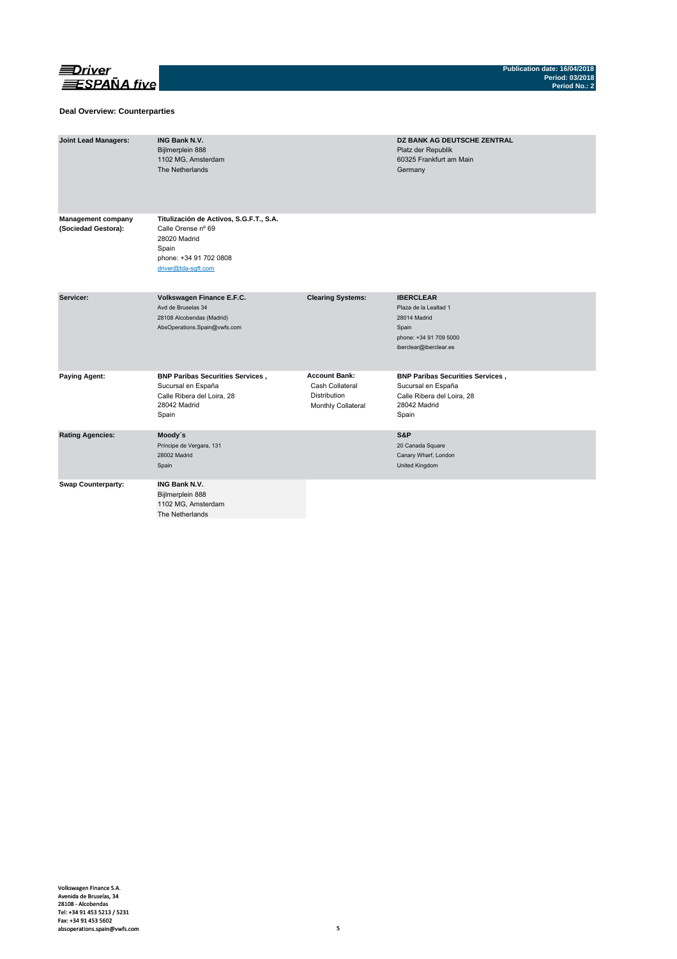

### **Deal Overview: Counterparties**

| <b>Joint Lead Managers:</b>                      | <b>ING Bank N.V.</b><br>Bijlmerplein 888<br>1102 MG, Amsterdam<br>The Netherlands                                                       |                                                                               | DZ BANK AG DEUTSCHE ZENTRAL<br>Platz der Republik<br>60325 Frankfurt am Main<br>Germany                                |
|--------------------------------------------------|-----------------------------------------------------------------------------------------------------------------------------------------|-------------------------------------------------------------------------------|------------------------------------------------------------------------------------------------------------------------|
| <b>Management company</b><br>(Sociedad Gestora): | Titulización de Activos, S.G.F.T., S.A.<br>Calle Orense nº 69<br>28020 Madrid<br>Spain<br>phone: +34 91 702 0808<br>driver@tda-sqft.com |                                                                               |                                                                                                                        |
| Servicer:                                        | Volkswagen Finance E.F.C.<br>Avd de Bruselas 34<br>28108 Alcobendas (Madrid)<br>AbsOperations.Spain@vwfs.com                            | <b>Clearing Systems:</b>                                                      | <b>IBERCLEAR</b><br>Plaza de la Lealtad 1<br>28014 Madrid<br>Spain<br>phone: +34 91 709 5000<br>iberclear@iberclear.es |
| <b>Paying Agent:</b>                             | <b>BNP Paribas Securities Services,</b><br>Sucursal en España<br>Calle Ribera del Loira, 28<br>28042 Madrid<br>Spain                    | <b>Account Bank:</b><br>Cash Collateral<br>Distribution<br>Monthly Collateral | <b>BNP Paribas Securities Services,</b><br>Sucursal en España<br>Calle Ribera del Loira, 28<br>28042 Madrid<br>Spain   |
| <b>Rating Agencies:</b>                          | Moody's<br>Príncipe de Vergara, 131<br>28002 Madrid<br>Spain                                                                            |                                                                               | S&P<br>20 Canada Square<br>Canary Wharf, London<br>United Kingdom                                                      |
| <b>Swap Counterparty:</b>                        | <b>ING Bank N.V.</b><br>Bijlmerplein 888<br>1102 MG, Amsterdam<br>The Netherlands                                                       |                                                                               |                                                                                                                        |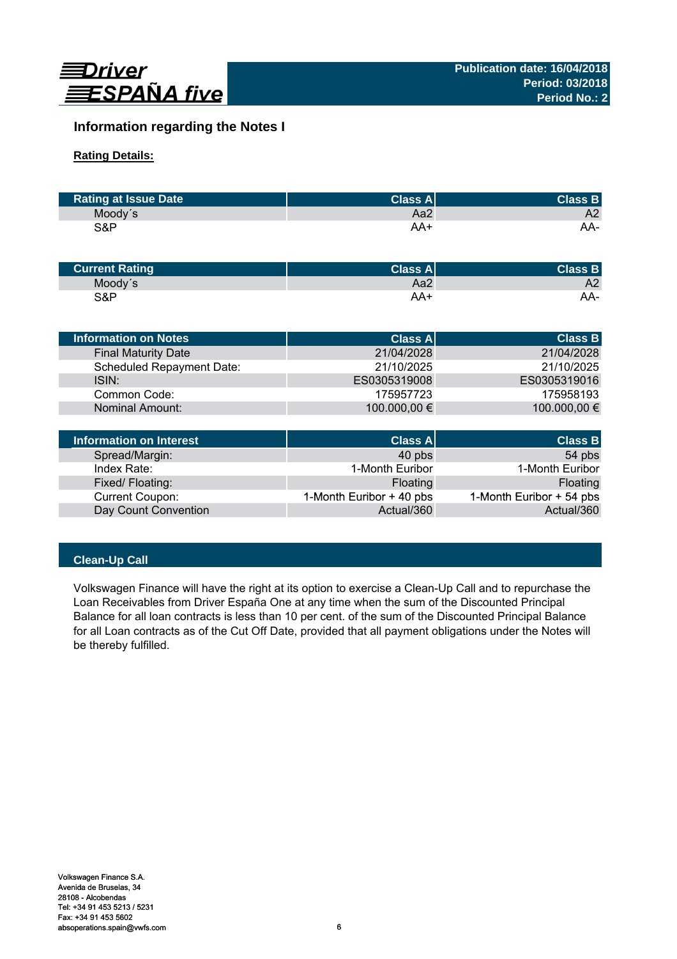

# **Information regarding the Notes I**

# **Rating Details:**

| <b>Rating at Issue Date</b> | <b>Class All</b> | <b>Class B</b> |
|-----------------------------|------------------|----------------|
| Moody's                     | Aa2              | A2             |
| S&P                         | AA+              | AA-            |

| <b>Current Rating</b> | Class Al | <b>Class B</b> |
|-----------------------|----------|----------------|
| Moody's               | Aa2      | A2             |
| S&P                   | AA+      | AA-            |

| <b>Information on Notes</b>    | <b>Class A</b> | <b>Class B</b> |
|--------------------------------|----------------|----------------|
| <b>Final Maturity Date</b>     | 21/04/2028     | 21/04/2028     |
| Scheduled Repayment Date:      | 21/10/2025     | 21/10/2025     |
| ISIN:                          | ES0305319008   | ES0305319016   |
| Common Code:                   | 175957723      | 175958193      |
| <b>Nominal Amount:</b>         | 100.000,00 €   | 100.000,00 €   |
|                                |                |                |
| <b>Information on Interest</b> | <b>Class A</b> | <b>Class B</b> |

| Information on Interest | <b>Class A</b>           | <b>Class B</b>           |
|-------------------------|--------------------------|--------------------------|
| Spread/Margin:          | 40 pbs                   | 54 pbs                   |
| Index Rate:             | 1-Month Euribor          | 1-Month Euribor          |
| Fixed/Floating:         | Floating                 | Floating                 |
| <b>Current Coupon:</b>  | 1-Month Euribor + 40 pbs | 1-Month Euribor + 54 pbs |
| Day Count Convention    | Actual/360               | Actual/360               |

# **Clean-Up Call**

Volkswagen Finance will have the right at its option to exercise a Clean-Up Call and to repurchase the Loan Receivables from Driver España One at any time when the sum of the Discounted Principal Balance for all loan contracts is less than 10 per cent. of the sum of the Discounted Principal Balance for all Loan contracts as of the Cut Off Date, provided that all payment obligations under the Notes will be thereby fulfilled.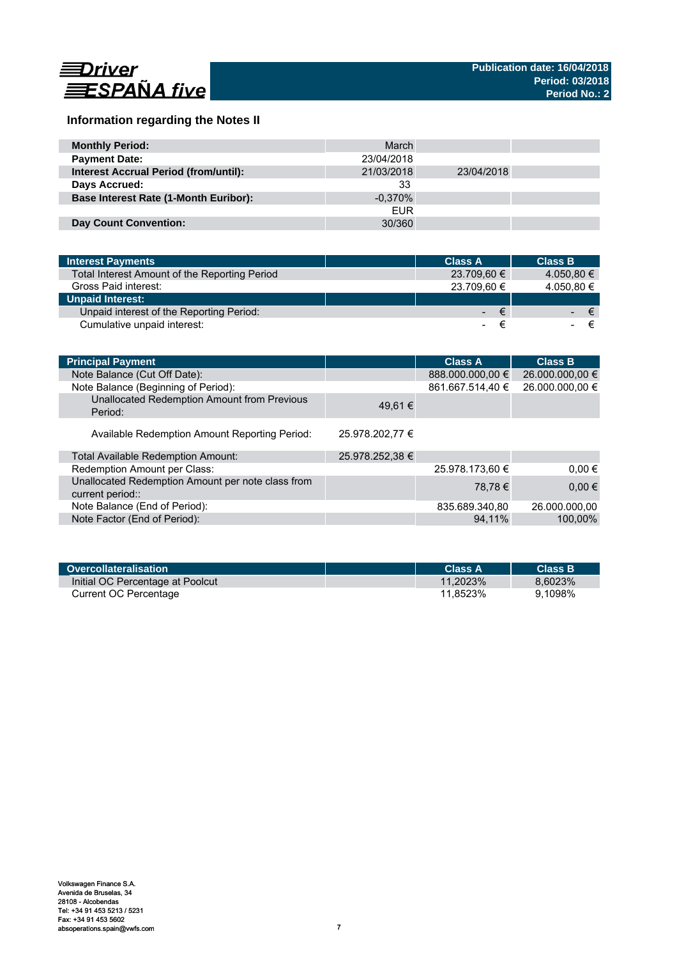

# **Information regarding the Notes II**

| <b>Monthly Period:</b>                       | March      |            |  |
|----------------------------------------------|------------|------------|--|
| <b>Payment Date:</b>                         | 23/04/2018 |            |  |
| <b>Interest Accrual Period (from/until):</b> | 21/03/2018 | 23/04/2018 |  |
| Days Accrued:                                | 33         |            |  |
| <b>Base Interest Rate (1-Month Euribor):</b> | $-0.370\%$ |            |  |
|                                              | <b>EUR</b> |            |  |
| Day Count Convention:                        | 30/360     |            |  |

| <b>Interest Payments</b>                      | <b>Class A</b> | <b>Class B</b> |
|-----------------------------------------------|----------------|----------------|
| Total Interest Amount of the Reporting Period | 23.709,60 €    | 4.050,80 €     |
| Gross Paid interest:                          | 23.709.60 €    | 4.050,80 €     |
| <b>Unpaid Interest:</b>                       |                |                |
| Unpaid interest of the Reporting Period:      |                | €<br>∕€7       |
| Cumulative unpaid interest:                   |                |                |

| <b>Principal Payment</b>                                              |                 | <b>Class A</b>   | <b>Class B</b>  |
|-----------------------------------------------------------------------|-----------------|------------------|-----------------|
| Note Balance (Cut Off Date):                                          |                 | 888.000.000,00 € | 26.000.000,00 € |
| Note Balance (Beginning of Period):                                   |                 | 861.667.514,40 € | 26.000.000,00 € |
| Unallocated Redemption Amount from Previous<br>Period:                | 49.61 €         |                  |                 |
| Available Redemption Amount Reporting Period:                         | 25.978.202.77 € |                  |                 |
| <b>Total Available Redemption Amount:</b>                             | 25.978.252,38 € |                  |                 |
| Redemption Amount per Class:                                          |                 | 25.978.173.60 €  | $0.00 \in$      |
| Unallocated Redemption Amount per note class from<br>current period:: |                 | 78.78 €          | $0.00 \in$      |
| Note Balance (End of Period):                                         |                 | 835.689.340,80   | 26.000.000,00   |
| Note Factor (End of Period):                                          |                 | 94.11%           | 100.00%         |

| Overcollateralisation            | Class A     | <b>Class B</b> |
|----------------------------------|-------------|----------------|
| Initial OC Percentage at Poolcut | $11.2023\%$ | 8.6023%        |
| Current OC Percentage            | 11.8523%    | 9.1098%        |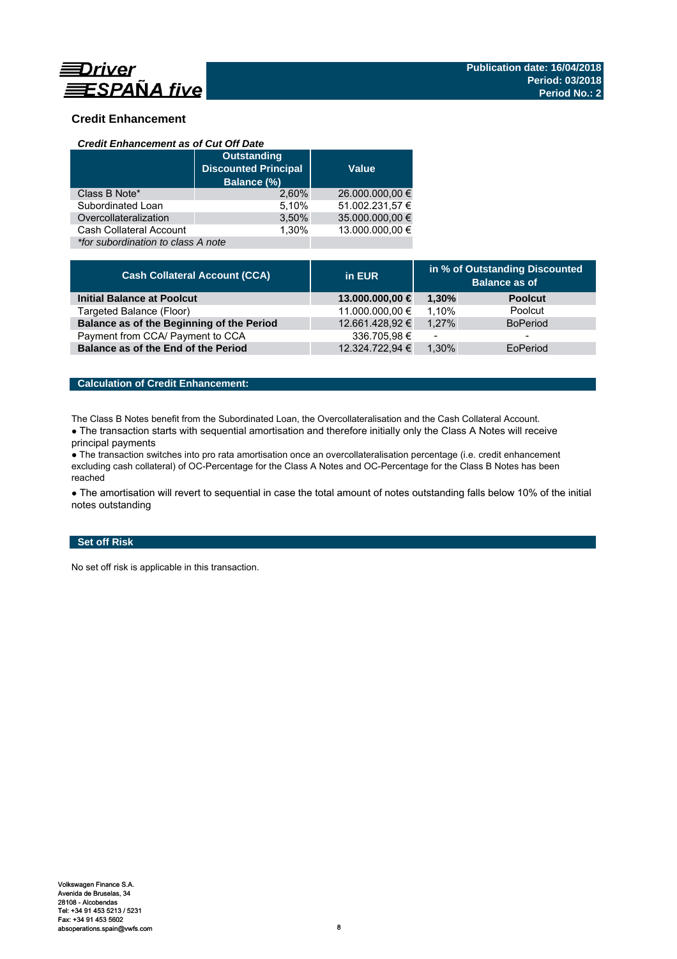

# **Credit Enhancement**

### *Credit Enhancement as of Cut Off Date*

|                                    | <b>Outstanding</b><br><b>Discounted Principal</b><br>Balance (%) | <b>Value</b>    |  |
|------------------------------------|------------------------------------------------------------------|-----------------|--|
| Class B Note*                      | 2.60%                                                            | 26.000.000,00 € |  |
| Subordinated Loan                  | 5,10%                                                            | 51.002.231,57 € |  |
| Overcollateralization              | 3,50%                                                            | 35.000.000,00 € |  |
| Cash Collateral Account            | 1.30%                                                            | 13.000.000.00 € |  |
| *for subordination to class A note |                                                                  |                 |  |

| <b>Cash Collateral Account (CCA)</b>      | in EUR          | in % of Outstanding Discounted<br><b>Balance as of</b> |                 |
|-------------------------------------------|-----------------|--------------------------------------------------------|-----------------|
| Initial Balance at Poolcut                | 13.000.000,00 € | 1.30%                                                  | <b>Poolcut</b>  |
| Targeted Balance (Floor)                  | 11.000.000,00 € | 1.10%                                                  | Poolcut         |
| Balance as of the Beginning of the Period | 12.661.428,92 € | 1.27%                                                  | <b>BoPeriod</b> |
| Payment from CCA/ Payment to CCA          | 336.705,98€     | $\overline{\phantom{a}}$                               | -               |
| Balance as of the End of the Period       | 12.324.722,94 € | 1.30%                                                  | EoPeriod        |

# **Calculation of Credit Enhancement:**

The Class B Notes benefit from the Subordinated Loan, the Overcollateralisation and the Cash Collateral Account.

• The transaction starts with sequential amortisation and therefore initially only the Class A Notes will receive principal payments

● The transaction switches into pro rata amortisation once an overcollateralisation percentage (i.e. credit enhancement excluding cash collateral) of OC-Percentage for the Class A Notes and OC-Percentage for the Class B Notes has been reached

• The amortisation will revert to sequential in case the total amount of notes outstanding falls below 10% of the initial notes outstanding

# **Set off Risk**

No set off risk is applicable in this transaction.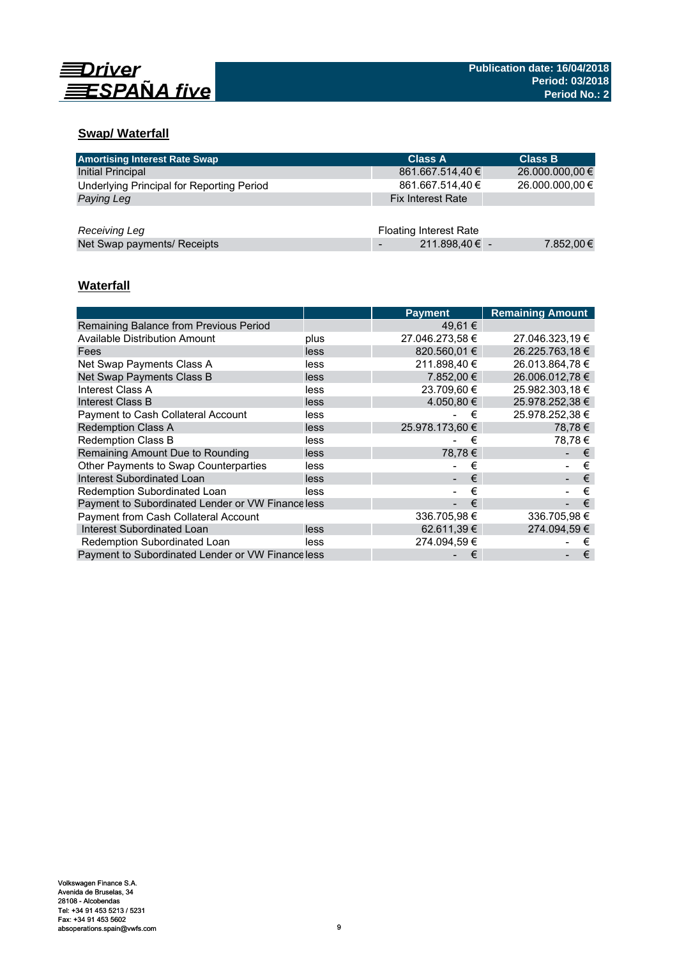

# **Swap/ Waterfall**

| <b>Amortising Interest Rate Swap</b>      | <b>Class A</b>                | <b>Class B</b>  |
|-------------------------------------------|-------------------------------|-----------------|
| Initial Principal                         | 861.667.514,40 €              | 26.000.000,00 € |
| Underlying Principal for Reporting Period | 861.667.514,40 €              | 26.000.000,00 € |
| Paying Leg                                | <b>Fix Interest Rate</b>      |                 |
|                                           |                               |                 |
| Receiving Leg                             | <b>Floating Interest Rate</b> |                 |
| Net Swap payments/ Receipts               | 211.898,40 € -                | 7.852,00€       |

# **Waterfall**

|                                                   |      | <b>Payment</b>  | <b>Remaining Amount</b> |
|---------------------------------------------------|------|-----------------|-------------------------|
| Remaining Balance from Previous Period            |      | 49,61 €         |                         |
| <b>Available Distribution Amount</b>              | plus | 27.046.273,58 € | 27.046.323,19 €         |
| Fees                                              | less | 820.560.01 €    | 26.225.763.18 €         |
| Net Swap Payments Class A                         | less | 211.898.40 €    | 26.013.864.78 €         |
| Net Swap Payments Class B                         | less | 7.852.00 €      | 26.006.012,78 €         |
| Interest Class A                                  | less | 23.709,60 €     | 25.982.303,18 €         |
| Interest Class B                                  | less | 4.050.80 €      | 25.978.252,38 €         |
| Payment to Cash Collateral Account                | less | €               | 25.978.252,38 €         |
| <b>Redemption Class A</b>                         | less | 25.978.173.60 € | 78.78€                  |
| <b>Redemption Class B</b>                         | less | €               | 78.78€                  |
| Remaining Amount Due to Rounding                  | less | 78,78€          | €                       |
| Other Payments to Swap Counterparties             | less | €               | €                       |
| <b>Interest Subordinated Loan</b>                 | less | €               | €                       |
| Redemption Subordinated Loan                      | less | €               | €                       |
| Payment to Subordinated Lender or VW Finance less |      | €               | €                       |
| Payment from Cash Collateral Account              |      | 336.705,98 €    | 336.705,98€             |
| Interest Subordinated Loan                        | less | 62.611,39 €     | 274.094,59 €            |
| Redemption Subordinated Loan                      | less | 274.094.59 €    | €                       |
| Payment to Subordinated Lender or VW Finance less |      | €               | €                       |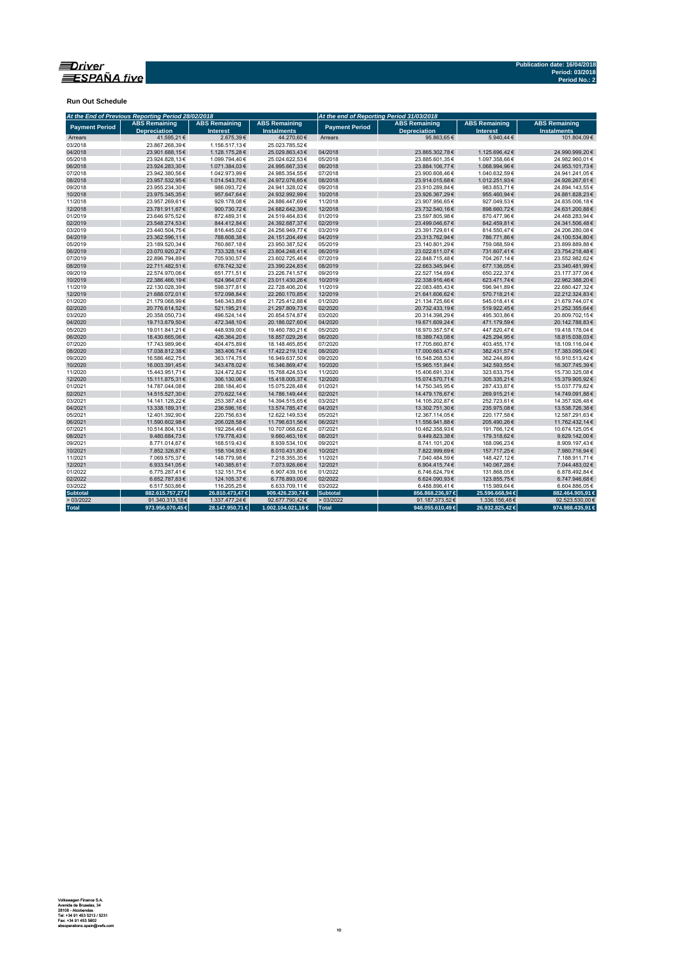

**Run Out Schedule**

| At the End of Previous Reporting Period 28/02/2018                   |                                  |                                         |                                            | At the end of Reporting Period 31/03/2018 |                                             |                                         |                                            |  |  |
|----------------------------------------------------------------------|----------------------------------|-----------------------------------------|--------------------------------------------|-------------------------------------------|---------------------------------------------|-----------------------------------------|--------------------------------------------|--|--|
| <b>ABS Remaining</b><br><b>Payment Period</b><br><b>Depreciation</b> |                                  | <b>ABS Remaining</b><br><b>Interest</b> | <b>ABS Remaining</b><br><b>Instalments</b> | <b>Payment Period</b>                     | <b>ABS Remaining</b><br><b>Depreciation</b> | <b>ABS Remaining</b><br><b>Interest</b> | <b>ABS Remaining</b><br><b>Instalments</b> |  |  |
| Arrears                                                              | 41.595,21€                       | 2.675,39€                               | 44.270,60€                                 | Arrears                                   | 95.863.65€                                  | 5.940.44 €                              | 101.804.09€                                |  |  |
| 03/2018                                                              | 23.867.268.39€                   | 1.156.517,13€                           | 25.023.785.52€                             |                                           |                                             |                                         |                                            |  |  |
| 04/2018                                                              | 23.901.688.15€                   | 1.128.175.28€                           | 25.029.863.43€                             | 04/2018                                   | 23.865.302,78€                              | 1.125.696.42€                           | 24.990.999.20€                             |  |  |
| 05/2018                                                              | 23.924.828,13€                   | 1.099.794,40€                           | 25.024.622,53€                             | 05/2018                                   | 23.885.601,35€                              | 1.097.358,66 €                          | 24.982.960,01€                             |  |  |
| 06/2018                                                              | 23.924.283,30€                   | 1.071.384,03€                           | 24.995.667,33€                             | 06/2018                                   | 23.884.106,77€                              | 1.068.994,96€                           | 24.953.101,73€                             |  |  |
| 07/2018                                                              | 23.942.380,56€                   | 1.042.973,99€                           | 24.985.354,55€                             | 07/2018                                   | 23.900.608,46€                              | 1.040.632,59€                           | 24.941.241,05€                             |  |  |
| 08/2018                                                              | 23.957.532,95€                   | 1.014.543,70 €                          | 24.972.076,65€                             | 08/2018                                   | 23.914.015,68€                              | 1.012.251,93€                           | 24.926.267,61€                             |  |  |
| 09/2018                                                              | 23.955.234,30€                   | 986.093,72€                             | 24.941.328,02€                             | 09/2018                                   | 23.910.289,84€                              | 983.853,71€                             | 24.894.143,55€                             |  |  |
| 10/2018                                                              | 23.975.345,35€                   | 957.647,64€                             | 24.932.992,99€                             | 10/2018                                   | 23.926.367,29€                              | 955.460,94€                             | 24.881.828,23€                             |  |  |
| 11/2018                                                              | 23.957.269,61€                   | 929.178,08€                             | 24.886.447,69€                             | 11/2018                                   | 23.907.956,65€                              | 927.049,53€                             | 24.835.006,18€                             |  |  |
| 12/2018                                                              | 23.781.911,67€                   | 900.730,72€                             | 24.682.642,39€                             | 12/2018                                   | 23.732.540,16€                              | 898.660,72€                             | 24.631.200,88€                             |  |  |
| 01/2019                                                              | 23.646.975,52€                   | 872.489,31€                             | 24.519.464,83€                             | 01/2019                                   | 23.597.805,98€                              | 870.477,96€                             | 24.468.283,94€                             |  |  |
| 02/2019                                                              | 23.548.274,53€                   | 844.412,84€                             | 24.392.687,37€                             | 02/2019                                   | 23.499.046,67€                              | 842.459,81€                             | 24.341.506,48€                             |  |  |
| 03/2019                                                              | 23.440.504,75€                   | 816.445,02€                             | 24.256.949,77€                             | 03/2019                                   | 23.391.729,61€                              | 814.550,47€                             | 24.206.280,08€                             |  |  |
| 04/2019                                                              | 23.362.596.11€                   | 788.608,38€                             | 24.151.204,49€                             | 04/2019                                   | 23.313.762,94€                              | 786.771,86€                             | 24.100.534,80€                             |  |  |
| 05/2019                                                              | 23.189.520,34 €                  | 760.867,18€                             | 23.950.387,52€                             | 05/2019                                   | 23.140.801,29€                              | 759.088,59€                             | 23.899.889,88€                             |  |  |
| 06/2019                                                              | 23.070.920,27€                   | 733.328,14€                             | 23.804.248,41€                             | 06/2019                                   | 23.022.611,07€                              | 731.607,41€                             | 23.754.218,48€                             |  |  |
| 07/2019                                                              | 22.896.794.89€                   | 705.930,57€                             | 23.602.725,46€                             | 07/2019                                   | 22.848.715,48€                              | 704.267,14€                             | 23.552.982,62€                             |  |  |
| 08/2019                                                              | 22.711.482,51€                   | 678.742,32€                             | 23.390.224,83€                             | 08/2019                                   | 22.663.345,94€                              | 677.136,05€                             | 23.340.481,99€                             |  |  |
| 09/2019                                                              | 22.574.970.06€                   | 651.771,51€                             | 23.226.741.57€                             | 09/2019                                   | 22.527.154.69€                              | 650.222.37€                             | 23.177.377.06€                             |  |  |
| 10/2019                                                              | 22.386.466,19€                   | 624.964,07€                             | 23.011.430,26€                             | 10/2019                                   | 22.338.916,46€                              | 623.471,74€                             | 22.962.388,20€                             |  |  |
| 11/2019                                                              | 22.130.028,39€                   | 598.377,81€                             | 22.728.406,20€                             | 11/2019                                   | 22.083.485,43€                              | 596.941,89€                             | 22.680.427,32€                             |  |  |
| 12/2019                                                              | 21.688.072,01€                   | 572.098,84 €                            | 22.260.170,85€                             | 12/2019                                   | 21.641.606,62€                              | 570.718,21€                             | 22.212.324,83€                             |  |  |
| 01/2020                                                              | 21.179.068.99€                   | 546.343,89€                             | 21.725.412,88€                             | 01/2020                                   | 21.134.725,66€                              | 545.018,41€                             | 21.679.744,07€                             |  |  |
| 02/2020                                                              | 20.776.614,52€                   | 521.195,21€                             | 21.297.809,73€                             | 02/2020                                   | 20.732.433,19€                              | 519.922,45€                             | 21.252.355,64€                             |  |  |
| 03/2020                                                              | 20.358.050,73€                   | 496.524,14€                             | 20.854.574,87€                             | 03/2020                                   | 20.314.398,29€                              | 495.303,86€                             | 20.809.702,15€                             |  |  |
| 04/2020                                                              | 19.713.679,50€                   | 472.348,10€                             | 20.186.027,60€                             | 04/2020                                   | 19.671.609,24€                              | 471.179,59€                             | 20.142.788,83€                             |  |  |
| 05/2020                                                              | 19.011.841,21€                   | 448.939,00€                             | 19.460.780,21€                             | 05/2020                                   | 18.970.357,57€                              | 447.820,47€                             | 19.418.178,04€                             |  |  |
| 06/2020                                                              | 18.430.665,06€                   | 426.364,20€                             | 18.857.029,26€                             | 06/2020                                   | 18.389.743,08€                              | 425.294,95€                             | 18.815.038,03€                             |  |  |
| 07/2020                                                              | 17.743.989,96€                   | 404.475,89€                             | 18.148.465,85€                             | 07/2020                                   | 17.705.660,87€                              | 403.455,17€                             | 18.109.116,04€                             |  |  |
| 08/2020                                                              | 17.038.812,38€                   | 383.406,74€                             | 17.422.219,12€                             | 08/2020                                   | 17.000.663,47€                              | 382.431,57€                             | 17.383.095,04€                             |  |  |
| 09/2020                                                              | 16.586.462.75€                   | 363.174.75€                             | 16.949.637.50€                             | 09/2020                                   | 16.548.268.53€                              | 362.244,89€                             | 16.910.513,42€                             |  |  |
| 10/2020                                                              | 16.003.391,45€                   | 343.478,02€                             | 16.346.869,47€                             | 10/2020                                   | 15.965.151,84€                              | 342.593,55€                             | 16.307.745,39€                             |  |  |
| 11/2020                                                              | 15.443.951,71€                   | 324.472,82€                             | 15.768.424,53€                             | 11/2020                                   | 15.406.691,33€                              | 323.633,75€                             | 15.730.325,08€                             |  |  |
| 12/2020                                                              | 15.111.875,31€                   | 306.130,06€                             | 15.418.005,37€                             | 12/2020                                   | 15.074.570,71€                              | 305.335,21€                             | 15.379.905,92€                             |  |  |
| 01/2021                                                              | 14.787.044,08€                   | 288.184,40€                             | 15.075.228,48€                             | 01/2021                                   | 14.750.345,95€                              | 287.433,87€                             | 15.037.779,82€                             |  |  |
| 02/2021                                                              | 14.515.527.30 €                  | 270.622.14€                             | 14.786.149,44€                             | 02/2021                                   | 14.479.176,67€                              | 269.915,21€                             | 14.749.091,88€                             |  |  |
|                                                                      |                                  |                                         |                                            |                                           |                                             |                                         |                                            |  |  |
| 03/2021<br>04/2021                                                   | 14.141.128,22€<br>13.338.189,31€ | 253.387,43€<br>236.596,16€              | 14.394.515,65€                             | 03/2021<br>04/2021                        | 14.105.202,87€<br>13.302.751,30€            | 252.723,61€<br>235.975,08€              | 14.357.926,48€<br>13.538.726,38€           |  |  |
| 05/2021                                                              |                                  |                                         | 13.574.785,47€                             |                                           |                                             |                                         |                                            |  |  |
|                                                                      | 12.401.392,90€                   | 220.756,63€                             | 12.622.149,53€                             | 05/2021                                   | 12.367.114,05€                              | 220.177,58€                             | 12.587.291,63€                             |  |  |
| 06/2021                                                              | 11.590.602,98€                   | 206.028,58€                             | 11.796.631,56€                             | 06/2021                                   | 11.556.941,88€                              | 205.490,26€                             | 11.762.432,14€                             |  |  |
| 07/2021                                                              | 10.514.804,13€                   | 192.264,49€                             | 10.707.068,62€                             | 07/2021                                   | 10.482.358,93€                              | 191.766,12€                             | 10.674.125,05€                             |  |  |
| 08/2021                                                              | 9.480.684,73€                    | 179.778,43€                             | 9.660.463,16€                              | 08/2021                                   | 9.449.823,38€                               | 179.318,62€                             | 9.629.142,00€                              |  |  |
| 09/2021                                                              | 8.771.014,67€                    | 168.519,43€                             | 8.939.534,10€                              | 09/2021                                   | 8.741.101,20€                               | 168.096,23€                             | 8.909.197,43€                              |  |  |
| 10/2021                                                              | 7.852.326,87€                    | 158.104,93€                             | 8.010.431,80€                              | 10/2021                                   | 7.822.999,69€                               | 157.717,25€                             | 7.980.716,94€                              |  |  |
| 11/2021                                                              | 7.069.575,37€                    | 148.779,98€                             | 7.218.355,35€                              | 11/2021                                   | 7.040.484,59€                               | 148.427,12€                             | 7.188.911,71€                              |  |  |
| 12/2021                                                              | 6.933.541,05€                    | 140.385,61€                             | 7.073.926,66€                              | 12/2021                                   | 6.904.415,74€                               | 140.067,28€                             | 7.044.483,02€                              |  |  |
| 01/2022                                                              | 6.775.287,41€                    | 132.151,75€                             | 6.907.439,16€                              | 01/2022                                   | 6.746.624,79€                               | 131.868,05€                             | 6.878.492,84€                              |  |  |
| 02/2022                                                              | 6.652.787.63€                    | 124.105,37€                             | 6.776.893.00 €                             | 02/2022                                   | 6.624.090.93€                               | 123.855.75€                             | 6.747.946,68€                              |  |  |
| 03/2022                                                              | 6.517.503,86€                    | 116.205,25€                             | 6.633.709,11€                              | 03/2022                                   | 6.488.896,41€                               | 115.989,64 €                            | 6.604.886,05€                              |  |  |
| <b>Subtotal</b>                                                      | 882.615.757,27 €                 | 26.810.473,47€                          | 909.426.230,74 €                           | <b>Subtotal</b>                           | 856.868.236,97€                             | 25.596.668,94 €                         | 882.464.905,91 €                           |  |  |
| >03/2022                                                             | 91.340.313,18€                   | 1.337.477,24€                           | 92.677.790,42€                             | >03/2022                                  | 91.187.373,52€                              | 1.336.156,48€                           | 92.523.530,00€                             |  |  |
| <b>Total</b>                                                         | 973.956.070,45€                  | 28.147.950,71 €                         | 1.002.104.021,16€                          | Total                                     | 948.055.610,49 €                            | 26.932.825.42€                          | 974.988.435.91 €                           |  |  |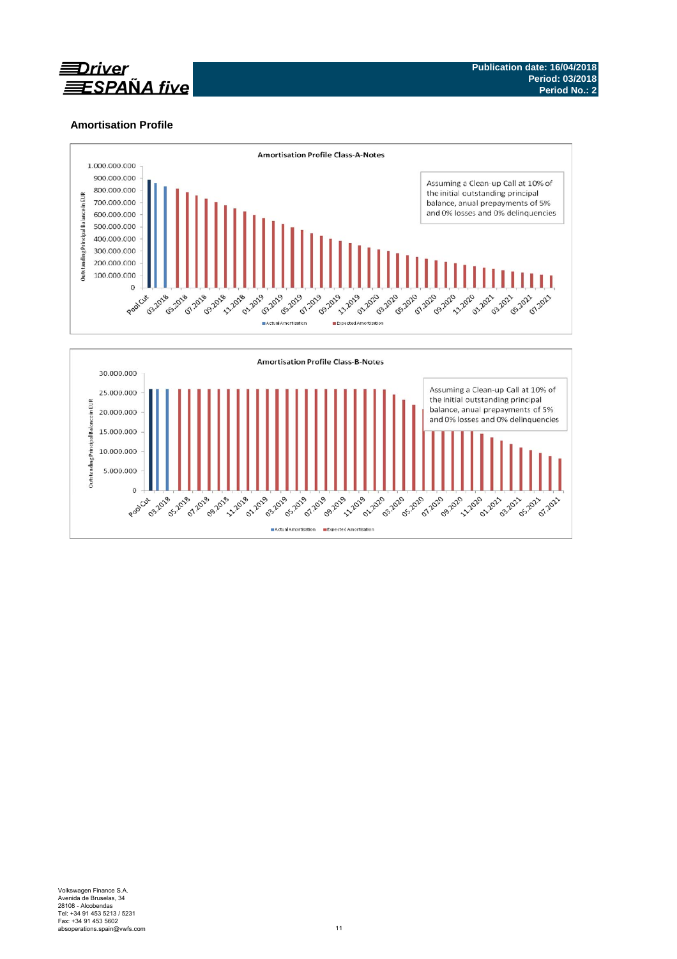

# **Amortisation Profile**

15.000.000 10.000.000 5.000.000

 $\overline{O}$ 

Poolcut **1332018** 

**11-1228** 

**07.2019 09.2019** 

11-1-1-1 **01.2019**  **ANDREW ST** 

**07.2019 00.2019** 

Actual Amortisation Expected Amortisation

**03.2019** 

**HILL** 

**02.2019** 

**021-0219** 

**07.2019** 

**S29 2010** 

**222-2019** 

210 -2021 23-2021 05.2021 07.262

220-2020

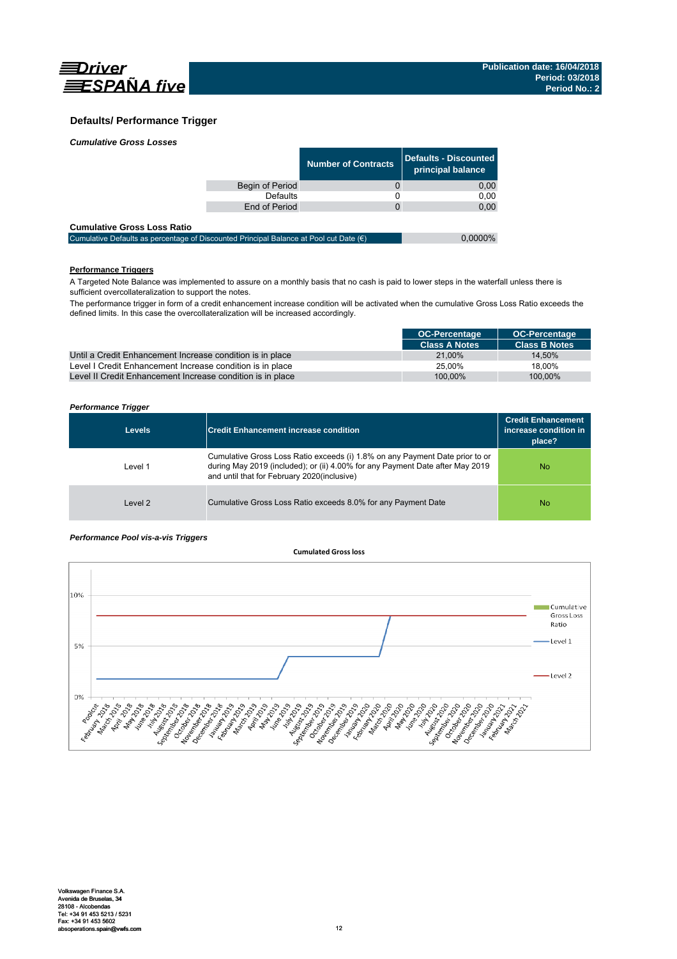

## **Defaults/ Performance Trigger**

| <b>Cumulative Gross Losses</b> |  |  |  |
|--------------------------------|--|--|--|
|--------------------------------|--|--|--|

|                 | <b>Number of Contracts</b> | Defaults - Discounted<br>principal balance |
|-----------------|----------------------------|--------------------------------------------|
| Begin of Period |                            | 0,00                                       |
| Defaults        |                            | 0.00                                       |
| End of Period   |                            | 0,00                                       |
|                 |                            |                                            |

#### **Cumulative Gross Loss Ratio**

| Cumulative Defaults as percentage of Discounted Principal Balance at Pool cut Date $(\epsilon)$ | $0.0000\%$ |
|-------------------------------------------------------------------------------------------------|------------|
|                                                                                                 |            |

# **Performance Triggers**

A Targeted Note Balance was implemented to assure on a monthly basis that no cash is paid to lower steps in the waterfall unless there is sufficient overcollateralization to support the notes.

The performance trigger in form of a credit enhancement increase condition will be activated when the cumulative Gross Loss Ratio exceeds the defined limits. In this case the overcollateralization will be increased accordingly.

|                                                            | <b>OC-Percentage</b> | <b>OC-Percentage</b> |
|------------------------------------------------------------|----------------------|----------------------|
|                                                            | <b>Class A Notes</b> | <b>Class B Notes</b> |
| Until a Credit Enhancement Increase condition is in place  | 21.00%               | 14.50%               |
| Level I Credit Enhancement Increase condition is in place  | 25.00%               | 18.00%               |
| Level II Credit Enhancement Increase condition is in place | 100.00%              | 100.00%              |

#### *Performance Trigger*

| <b>Levels</b> | <b>Credit Enhancement increase condition</b>                                                                                                                                                                 | <b>Credit Enhancement</b><br>increase condition in<br>place? |
|---------------|--------------------------------------------------------------------------------------------------------------------------------------------------------------------------------------------------------------|--------------------------------------------------------------|
| Level 1       | Cumulative Gross Loss Ratio exceeds (i) 1.8% on any Payment Date prior to or<br>during May 2019 (included); or (ii) 4.00% for any Payment Date after May 2019<br>and until that for February 2020(inclusive) | No.                                                          |
| Level 2       | Cumulative Gross Loss Ratio exceeds 8.0% for any Payment Date                                                                                                                                                | No.                                                          |

#### *Performance Pool vis-a-vis Triggers*

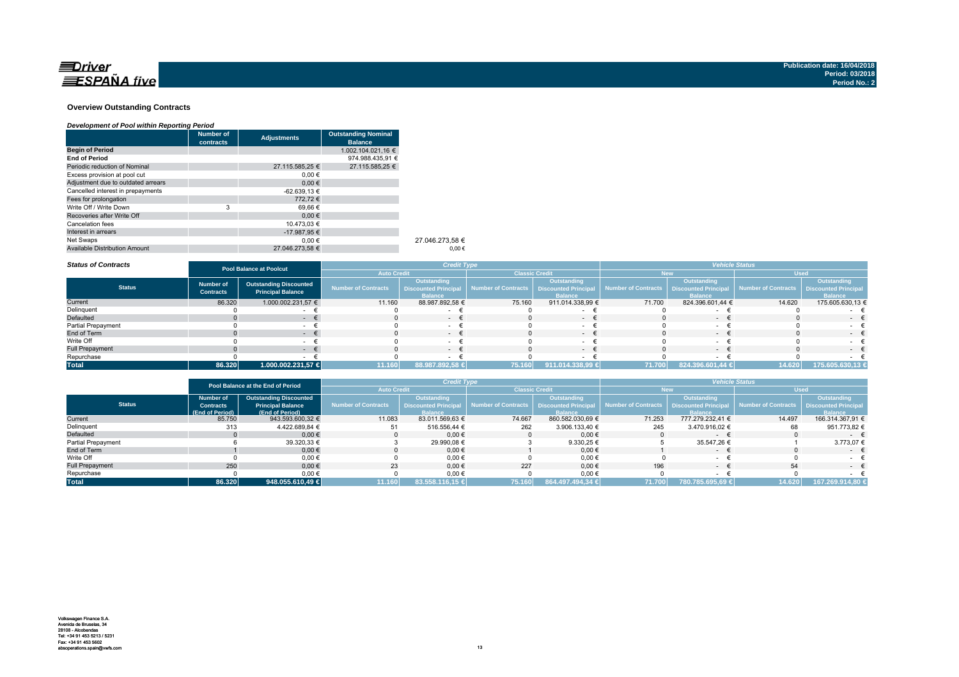

#### **Overview Outstanding Contracts**

#### *Development of Pool within Reporting Period*

|                                      | <b>Number of</b> | <b>Adjustments</b> | <b>Outstanding Nominal</b> |                 |
|--------------------------------------|------------------|--------------------|----------------------------|-----------------|
|                                      | contracts        |                    | <b>Balance</b>             |                 |
| <b>Begin of Period</b>               |                  |                    | 1.002.104.021.16 €         |                 |
| <b>End of Period</b>                 |                  |                    | 974.988.435.91 €           |                 |
| Periodic reduction of Nominal        |                  | 27.115.585.25 €    | 27.115.585.25 €            |                 |
| Excess provision at pool cut         |                  | $0.00 \in$         |                            |                 |
| Adjustment due to outdated arrears   |                  | $0.00 \in$         |                            |                 |
| Cancelled interest in prepayments    |                  | $-62.639.13 \in$   |                            |                 |
| Fees for prolongation                |                  | 772.72€            |                            |                 |
| Write Off / Write Down               | 3                | 69.66 €            |                            |                 |
| Recoveries after Write Off           |                  | $0.00 \in$         |                            |                 |
| Cancelation fees                     |                  | 10.473.03 €        |                            |                 |
| Interest in arrears                  |                  | -17.987.95 €       |                            |                 |
| Net Swaps                            |                  | $0.00 \in$         |                            | 27.046.273.58 € |
| <b>Available Distribution Amount</b> |                  | 27.046.273.58 €    |                            | $0.00 \in$      |

*Status of Contracts*

| <b>Status of Contracts</b> | Pool Balance at Poolcut              |                                                           | <b>Credit Type</b>         |                                                                     |                       | <b>Vehicle Status</b>                                               |                                            |                               |                                            |                               |
|----------------------------|--------------------------------------|-----------------------------------------------------------|----------------------------|---------------------------------------------------------------------|-----------------------|---------------------------------------------------------------------|--------------------------------------------|-------------------------------|--------------------------------------------|-------------------------------|
|                            |                                      |                                                           | <b>Auto Credit</b>         |                                                                     | <b>Classic Credit</b> |                                                                     | lew                                        |                               | <b>Used</b>                                |                               |
| <b>Status</b>              | <b>Number of</b><br><b>Contracts</b> | <b>Outstanding Discounted</b><br><b>Principal Balance</b> | <b>Number of Contracts</b> | <b>Outstanding</b><br><b>Discounted Principal</b><br><b>Balance</b> | Number of Contracts   | <b>Outstanding</b><br><b>Discounted Principal</b><br><b>Balance</b> | Number of Contracts   Discounted Principal | Outstanding<br><b>Balance</b> | Number of Contracts   Discounted Principal | Outstanding<br><b>Balance</b> |
| Current                    | 86.320                               | 1.000.002.231,57 €                                        | 11.160                     | 88.987.892,58 €                                                     | 75.160                | 911.014.338,99 €                                                    | 71.700                                     | 824.396.601,44 €              | 14.620                                     | 175.605.630,13 €              |
| Delinquent                 |                                      |                                                           |                            |                                                                     |                       |                                                                     |                                            |                               |                                            |                               |
| Defaulted                  |                                      |                                                           |                            | $\sim$                                                              |                       | $\sim$                                                              |                                            | $\sim$                        |                                            | $\sim$                        |
| Partial Prepayment         |                                      |                                                           |                            |                                                                     |                       |                                                                     |                                            |                               |                                            |                               |
| End of Term                |                                      |                                                           |                            | $- +$                                                               |                       | $\sim$                                                              |                                            | $-$                           |                                            | $-1$                          |
| Write Off                  |                                      |                                                           |                            | $\sim$                                                              |                       |                                                                     |                                            |                               |                                            |                               |
| <b>Full Prepayment</b>     |                                      |                                                           |                            | - +                                                                 |                       | $\sim$                                                              |                                            | $ -$                          |                                            | $ -$                          |
| Repurchase                 |                                      |                                                           |                            |                                                                     |                       |                                                                     |                                            |                               |                                            |                               |
| <b>Total</b>               | 86.320                               | 1.000.002.231,57 €                                        | 11.160                     | 88.987.892,58 €                                                     | 75.160                | 911.014.338,99 €                                                    | 71.700                                     | 824.396.601,44 €              | 14.620                                     | 175.605.630,13                |

|                        | Pool Balance at the End of Period |                               | <b>Credit Type</b>         |                             |                                            | <b>Vehicle Status</b> |                     |                             |                        |                             |
|------------------------|-----------------------------------|-------------------------------|----------------------------|-----------------------------|--------------------------------------------|-----------------------|---------------------|-----------------------------|------------------------|-----------------------------|
|                        |                                   |                               | <b>Auto Credit</b>         |                             | <b>Classic Credit</b>                      |                       | <b>New</b>          |                             | <b>Used</b>            |                             |
|                        | <b>Number of</b>                  | <b>Outstanding Discounted</b> |                            | <b>Outstanding</b>          |                                            | Outstanding           |                     | Outstanding                 |                        | <b>Outstanding</b>          |
| <b>Status</b>          | <b>Contracts</b>                  | <b>Principal Balance</b>      | <b>Number of Contracts</b> | <b>Discounted Principal</b> | Number of Contracts   Discounted Principal |                       | Number of Contracts | <b>Discounted Principal</b> | al Number of Contracts | <b>Discounted Principal</b> |
|                        | (End of Period)                   | (End of Period)               |                            | <b>Balance</b>              |                                            | <b>Balance</b>        |                     | <b>Balance</b>              |                        | <b>Balance</b>              |
| Current                | 85,750                            | 943.593.600,32 €              | 11.083                     | 83.011.569.63 €             | 74.667                                     | 860.582.030.69 €      | 71.253              | 777.279.232.41 €            | 14.497                 | 166.314.367.91 €            |
| Delinquent             | 313                               | 4.422.689.84 €                | 51                         | 516.556.44 €                | 262                                        | 3.906.133,40 €        | 245                 | 3.470.916.02 €              | 68                     | 951.773,82 €                |
| Defaulted              |                                   | $0.00 \in$                    |                            | $0.00 \in$                  |                                            | 0.00€                 |                     | $\sim$                      |                        | $ +$                        |
| Partial Prepayment     |                                   | 39.320,33 €                   |                            | 29.990,08 €                 |                                            | 9.330,25 €            |                     | 35.547.26 €                 |                        | 3.773,07 €                  |
| End of Term            |                                   | $0.00 \in$                    |                            | $0.00 \in$                  |                                            | $0.00 \in$            |                     | $\sim$                      |                        | $ \epsilon$                 |
| Write Off              |                                   | 0.00€                         |                            | 0,00€                       |                                            | $0,00$ €              |                     | $\sim$                      |                        |                             |
| <b>Full Prepayment</b> | 250                               | $0.00 \in$                    | 23                         | $0.00 \in$                  | 227                                        | $0.00 \in$            | 196                 | $\sim$                      | 54                     | $ \epsilon$                 |
| Repurchase             |                                   | 0,00€                         |                            | 0,00€                       |                                            | $0,00$ €              |                     |                             |                        |                             |
| <b>Total</b>           | 86.320                            | 948.055.610.49 €              | 11.160                     | 83.558.116,15 €             | 75.160                                     | 864.497.494.34 €      | 71.700              | 780.785.695,69 €            | 14.620                 | 167.269.914.80 €            |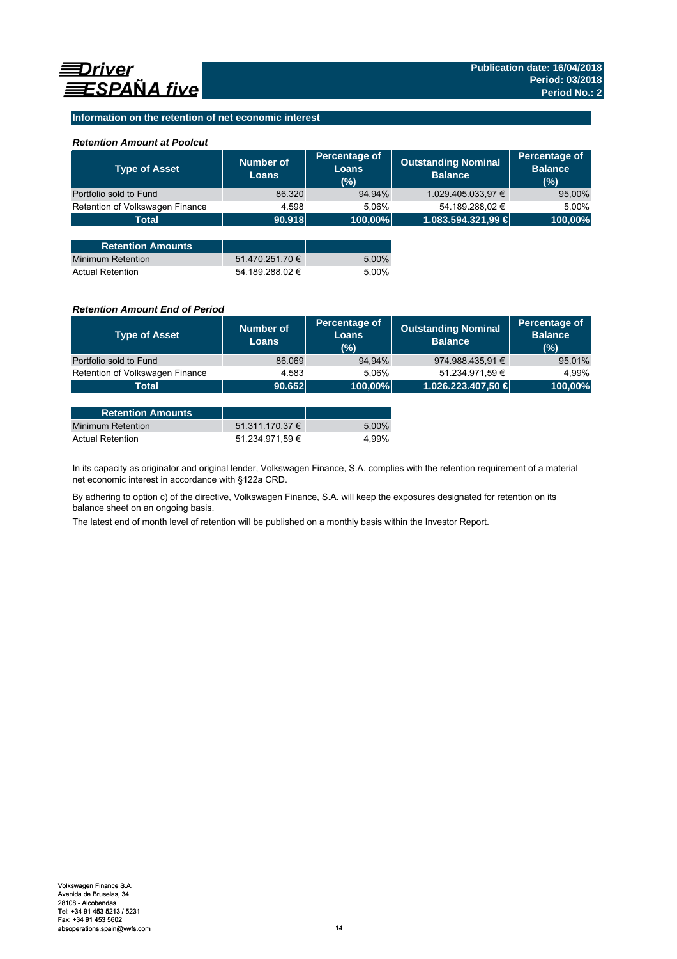## **Information on the retention of net economic interest**

### *Retention Amount at Poolcut*

| <b>Type of Asset</b>            | Number of<br><b>Loans</b> | Percentage of<br><b>Loans</b><br>(%) | <b>Outstanding Nominal</b><br><b>Balance</b> | Percentage of<br><b>Balance</b><br>(%) |
|---------------------------------|---------------------------|--------------------------------------|----------------------------------------------|----------------------------------------|
| Portfolio sold to Fund          | 86.320                    | 94,94%                               | 1.029.405.033,97 €                           | 95,00%                                 |
| Retention of Volkswagen Finance | 4.598                     | 5.06%                                | 54.189.288,02 €                              | 5,00%                                  |
| <b>Total</b>                    | 90.918                    | 100,00%                              | 1.083.594.321,99 €                           | 100,00%                                |
|                                 |                           |                                      |                                              |                                        |
| <b>Retention Amounts</b>        |                           |                                      |                                              |                                        |
| <b>Minimum Retention</b>        | 51.470.251,70 €           | 5,00%                                |                                              |                                        |
| <b>Actual Retention</b>         | 54.189.288.02 €           | 5.00%                                |                                              |                                        |

### *Retention Amount End of Period*

| <b>Type of Asset</b>            | Number of<br><b>Loans</b> | Percentage of<br>Loans<br>(%) | <b>Outstanding Nominal</b><br><b>Balance</b> | Percentage of<br><b>Balance</b><br>(%) |
|---------------------------------|---------------------------|-------------------------------|----------------------------------------------|----------------------------------------|
| Portfolio sold to Fund          | 86.069                    | 94.94%                        | 974.988.435,91 €                             | 95,01%                                 |
| Retention of Volkswagen Finance | 4.583                     | 5.06%                         | 51.234.971.59 €                              | 4.99%                                  |
| Total                           | 90.652                    | 100,00%                       | 1.026.223.407,50 €                           | 100,00%                                |

| <b>Retention Amounts</b> |                 |       |
|--------------------------|-----------------|-------|
| Minimum Retention        | 51.311.170.37 € | 5.00% |
| <b>Actual Retention</b>  | 51.234.971.59 € | 4.99% |

In its capacity as originator and original lender, Volkswagen Finance, S.A. complies with the retention requirement of a material net economic interest in accordance with §122a CRD.

By adhering to option c) of the directive, Volkswagen Finance, S.A. will keep the exposures designated for retention on its balance sheet on an ongoing basis.

The latest end of month level of retention will be published on a monthly basis within the Investor Report.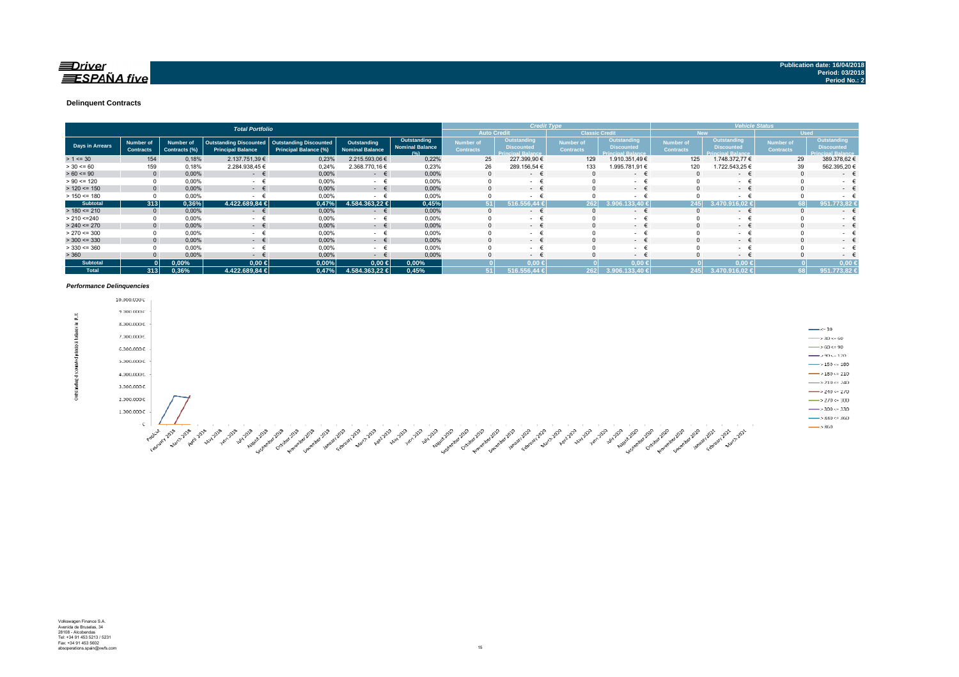#### **Delinquent Contracts**

|                 | <b>Total Portfolio</b> |                                      |                                   |                                                           |                                                               |                                       |                                               | <b>Credit Type</b>                   |                                                              |                                      |                                                              | <b>Vehicle Status</b>         |                                                              |                                      |                                                              |
|-----------------|------------------------|--------------------------------------|-----------------------------------|-----------------------------------------------------------|---------------------------------------------------------------|---------------------------------------|-----------------------------------------------|--------------------------------------|--------------------------------------------------------------|--------------------------------------|--------------------------------------------------------------|-------------------------------|--------------------------------------------------------------|--------------------------------------|--------------------------------------------------------------|
|                 |                        |                                      |                                   |                                                           |                                                               |                                       |                                               |                                      | <b>Auto Credit</b>                                           | <b>Classic Credit</b>                |                                                              |                               | <b>New</b>                                                   |                                      | <b>Used</b>                                                  |
| Days in Arrears |                        | <b>Number of</b><br><b>Contracts</b> | <b>Number of</b><br>Contracts (%) | <b>Outstanding Discounted</b><br><b>Principal Balance</b> | <b>Outstanding Discounted</b><br><b>Principal Balance (%)</b> | Outstanding<br><b>Nominal Balance</b> | Outstanding<br><b>Nominal Balance</b><br>10/1 | <b>Number of</b><br><b>Contracts</b> | Outstanding<br><b>Discounted</b><br><b>Principal Balance</b> | <b>Number of</b><br><b>Contracts</b> | Outstanding<br><b>Discounted</b><br><b>Princinal Ralance</b> | Number of<br><b>Contracts</b> | Outstanding<br><b>Discounted</b><br><b>Princinal Ralance</b> | <b>Number of</b><br><b>Contracts</b> | Outstanding<br><b>Discounted</b><br><b>Princinal Ralance</b> |
| $> 1 \le 30$    |                        | 154                                  | 0,18%                             | 2.137.751,39 €                                            | 0,23%                                                         | 2.215.593,06 €                        | 0,22%                                         | 25                                   | 227.399,90 €                                                 | 129                                  | 1.910.351,49 €                                               | 125                           | 1.748.372,77 €                                               | 29                                   | 389.378,62 €                                                 |
| $> 30 \le 60$   |                        | 159                                  | 0,18%                             | 2.284.938,45 €                                            | 0,24%                                                         | 2.368.770,16 €                        | 0,23%                                         | 26                                   | 289.156,54 €                                                 | 133                                  | .995.781,91 €                                                | 120                           | 1.722.543,25 €                                               | 39                                   | 562.395,20 €                                                 |
| $> 60 \le 90$   |                        | $\mathbf{0}$                         | 0,00%                             | $ \epsilon$                                               | 0,00%                                                         | $ \epsilon$                           | 0,00%                                         |                                      | $\sim$ 100 $\mu$                                             |                                      | $ \epsilon$                                                  |                               | $ \epsilon$                                                  | $\Omega$                             | $\sim$                                                       |
| $> 90 \le 120$  |                        |                                      | 0,00%                             | $\sim$                                                    | 0,00%                                                         | $\sim$                                | 0,00%                                         |                                      | $\sim$                                                       |                                      | $\sim$                                                       |                               | <b>Service</b>                                               |                                      | $\sim$                                                       |
| $> 120 \le 150$ |                        | $\Omega$                             | 0,00%                             | $ \epsilon$                                               | 0,00%                                                         | $ \epsilon$                           | 0,00%                                         |                                      | $\sim$ 100 $\mu$                                             |                                      | $-1$                                                         |                               | $ \epsilon$                                                  | $\Omega$                             | $\sim$                                                       |
| $> 150 \le 180$ |                        |                                      | 0,00%                             |                                                           | 0,00%                                                         | $\sim$                                | 0,00%                                         |                                      | $\sim$                                                       |                                      | $\sim$                                                       |                               | ۰                                                            | $\Omega$                             | ۰                                                            |
| <b>Subtotal</b> |                        | 313                                  | 0,36%                             | 4.422.689,84 €                                            | 0,47%                                                         | 4.584.363.22 €                        | 0,45%                                         |                                      | 516.556.44                                                   | 262                                  | 33.40                                                        | 245                           | $6.02 \text{ }$                                              | 68                                   | 951.773.82                                                   |
| $> 180 \le 210$ |                        | $\mathbf{0}$                         | 0,00%                             | €<br>$\sim$ 100 $\mu$                                     | 0,00%                                                         | €<br>$\sim$                           | 0,00%                                         | $\Omega$                             | $\sim$                                                       |                                      | $\sim$ 100 $\mu$                                             |                               | $ \epsilon$                                                  | $\Omega$                             | $\sim$                                                       |
| > 210 < 240     |                        |                                      | 0,00%                             | $\sim$                                                    | 0,00%                                                         | $\sim$                                | 0,00%                                         |                                      | $\sim$                                                       |                                      | $\sim$                                                       |                               | $\sim$                                                       |                                      | ۰.                                                           |
| $> 240 \le 270$ |                        |                                      | 0,00%                             | $ \epsilon$                                               | 0,00%                                                         | $ \epsilon$                           | 0,00%                                         |                                      | $\sim$                                                       |                                      | $ \epsilon$                                                  |                               | $ \epsilon$                                                  | $\Omega$                             | $\sim$                                                       |
| $> 270 \le 300$ |                        |                                      | 0,00%                             | <b>Service</b>                                            | 0,00%                                                         | $\sim$                                | 0,00%                                         |                                      | $\sim$                                                       |                                      | $\sim$                                                       |                               | - +                                                          |                                      | $\sim$                                                       |
| $>$ 300 <= 330  |                        | $\Omega$                             | 0,00%                             | $ \epsilon$                                               | 0,00%                                                         | $ \epsilon$                           | 0,00%                                         | 0                                    | $\sim$ 100 $\mu$                                             |                                      | $ \epsilon$                                                  |                               | $ \epsilon$                                                  | $\Omega$                             | $\sim$                                                       |
| $> 330 \le 360$ |                        |                                      | 0,00%                             | $\sim$                                                    | 0,00%                                                         | - €                                   | 0,00%                                         |                                      | <b>Contract Contract</b>                                     |                                      | $\sim$                                                       |                               | $ \epsilon$                                                  |                                      | . .                                                          |
| > 360           |                        |                                      | 0,00%                             | $\sim$                                                    | 0,00%                                                         | $\sim$                                | 0,00%                                         |                                      | $\sim$ 100 $\mu$                                             |                                      | $-1$                                                         |                               | $ \epsilon$                                                  |                                      | $\sim$                                                       |
| <b>Subtotal</b> |                        |                                      | $0.00\%$                          | $0,00$ €                                                  | 0,00%                                                         | $0,00$ ∈                              | 0,00%                                         |                                      | $0.00 \leq$                                                  |                                      | $0.00*$                                                      |                               | $0.00 \le$                                                   |                                      | 0.00                                                         |
| <b>Total</b>    |                        | 313                                  | 0,36%                             | 4.422.689,84 €                                            | 0,47%                                                         | 4.584.363,22 €                        | 0,45%                                         |                                      | 516.556.44 €                                                 | 262                                  | 3.906.133.40 €                                               | 245                           | 3.470.916.02 €                                               | 68                                   | 951.773,82 €                                                 |

#### *Performance Delinquencies*

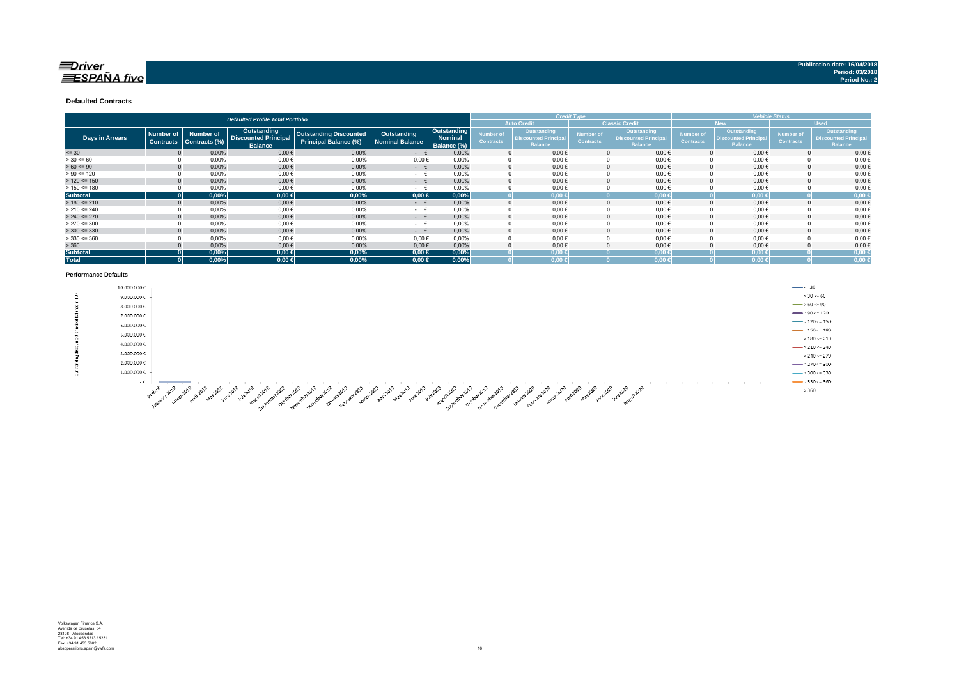### $\equiv$ Driver  $ESPA\tilde{N}A$  five

#### **Defaulted Contracts**

|                        |                                      |                                   | <b>Defaulted Profile Total Portfolio</b>                     |                                                        |                                       |                                              |                               |                                                              | <b>Credit Type</b>            |                                                              | <b>Vehicle Status</b>         |                                                                    |                                      |                                                             |
|------------------------|--------------------------------------|-----------------------------------|--------------------------------------------------------------|--------------------------------------------------------|---------------------------------------|----------------------------------------------|-------------------------------|--------------------------------------------------------------|-------------------------------|--------------------------------------------------------------|-------------------------------|--------------------------------------------------------------------|--------------------------------------|-------------------------------------------------------------|
|                        |                                      |                                   |                                                              |                                                        |                                       |                                              |                               | <b>Auto Credit</b>                                           |                               | <b>Classic Credit</b>                                        |                               | <b>New</b>                                                         |                                      | <b>Used</b>                                                 |
| <b>Days in Arrears</b> | <b>Number of</b><br><b>Contracts</b> | <b>Number of</b><br>Contracts (%) | Outstanding<br><b>Discounted Principal</b><br><b>Balance</b> | Outstanding Discounted<br><b>Principal Balance (%)</b> | Outstanding<br><b>Nominal Balance</b> | Outstanding<br><b>Nominal</b><br>Balance (%) | Number of<br><b>Contracts</b> | Outstanding<br><b>Discounted Principal</b><br><b>Balance</b> | Number of<br><b>Contracts</b> | Outstanding<br><b>Discounted Principal</b><br><b>Balance</b> | Number of<br><b>Contracts</b> | <b>Outstanding</b><br><b>Discounted Principa</b><br><b>Balance</b> | <b>Number of</b><br><b>Contracts</b> | Outstanding<br><b>Discounted Principa</b><br><b>Balance</b> |
| $= 30$                 |                                      | 0,00%                             | $0,00 \in$                                                   | 0,00%                                                  | $ \epsilon$                           | 0,00%                                        |                               | $0,00 \in$                                                   |                               | $0,00 \in$                                                   |                               | $0,00 \in$                                                         |                                      | 0,00€                                                       |
| $> 30 \le 60$          |                                      | 0,00%                             | $0,00$ €                                                     | 0,00%                                                  | $0,00 \in$                            | 0.00%                                        |                               | $0,00 \in$                                                   |                               | $0,00 \in$                                                   |                               | $0,00 \in$                                                         |                                      | $0,00 \in$                                                  |
| $> 60 \le 90$          |                                      | 0,00%                             | $0,00$ €                                                     | 0,00%                                                  | $ \epsilon$                           | 0,00%                                        |                               | $0,00 \in$                                                   |                               | $0,00 \in$                                                   |                               | $0,00 \in$                                                         |                                      | $0,00 \in$                                                  |
| $> 90 \le 120$         |                                      | 0,00%                             | $0,00 \in$                                                   | 0,00%                                                  | $ \epsilon$                           | 0.00%                                        |                               | $0,00 \in$                                                   |                               | $0,00 \in$                                                   |                               | $0,00 \in$                                                         |                                      | $0,00$ €                                                    |
| $> 120 \le 150$        |                                      | 0.00%                             | $0,00$ €                                                     | 0.00%                                                  | $ \epsilon$                           | 0.00%                                        |                               | $0,00 \in$                                                   |                               | $0.00 \in$                                                   |                               | $0.00 \in$                                                         |                                      | $0,00 \in$                                                  |
| $> 150 \le 180$        |                                      | 0.00%                             | $0.00 \in$                                                   | 0.00%                                                  | $ \epsilon$                           | 0.00%                                        |                               | $0,00 \in$                                                   |                               | $0,00 \in$                                                   |                               | $0,00 \in$                                                         |                                      | $0,00 \in$                                                  |
| <b>Subtotal</b>        |                                      | 0,00%                             | $0,00 \in$                                                   | 0,00%                                                  | $0,00 \in$                            | 0,00%                                        |                               | $0.00 \in$                                                   |                               | $0,00 \in$                                                   |                               | 0.00 <sub>6</sub>                                                  |                                      | 0,00 <sub>6</sub>                                           |
| $> 180 \le 210$        |                                      | 0,00%                             | $0,00$ €                                                     | 0,00%                                                  | $ \epsilon$                           | 0.00%                                        |                               | $0,00 \in$                                                   |                               | $0.00 \in$                                                   |                               | $0,00 \in$                                                         |                                      | $0,00 \in$                                                  |
| $> 210 \le 240$        |                                      | 0,00%                             | $0,00$ €                                                     | 0,00%                                                  | $ \pm$                                | 0,00%                                        |                               | $0,00 \in$                                                   |                               | $0,00 \in$                                                   |                               | $0,00 \in$                                                         |                                      | 0,00€                                                       |
| $> 240 \le 270$        |                                      | 0,00%                             | $0,00$ €                                                     | 0,00%                                                  | $ \epsilon$                           | 0.00%                                        |                               | $0,00 \in$                                                   |                               | $0,00 \in$                                                   |                               | $0,00 \in$                                                         |                                      | 0,00€                                                       |
| $> 270 \le 300$        |                                      | 0,00%                             | $0,00$ €                                                     | 0,00%                                                  | $ \epsilon$                           | 0.00%                                        |                               | $0,00 \in$                                                   |                               | $0,00 \in$                                                   |                               | $0.00 \in$                                                         |                                      | $0,00 \in$                                                  |
| $>$ 300 <= 330         |                                      | 0,00%                             | $0,00$ €                                                     | 0,00%                                                  | $ \epsilon$                           | 0.00%                                        |                               | $0,00 \in$                                                   |                               | $0,00 \in$                                                   |                               | $0,00 \in$                                                         |                                      | $0,00 \in$                                                  |
| $>$ 330 <= 360         |                                      | 0,00%                             | $0,00$ €                                                     | 0.00%                                                  | 0.00€                                 | 0.00%                                        |                               | $0,00 \in$                                                   |                               | $0.00 \in$                                                   |                               | $0.00 \in$                                                         |                                      | $0,00 \in$                                                  |
| > 360                  |                                      | 0,00%                             | $0,00$ €                                                     | 0,00%                                                  | $0,00 \in$                            | 0,00%                                        |                               | $0,00 \in$                                                   |                               | $0,00 \in$                                                   |                               | $0,00 \in$                                                         |                                      | $0,00 \in$                                                  |
| <b>Subtotal</b>        |                                      | 0,00%                             | $0,00 \in$                                                   | 0,00%                                                  | $0,00 \in$                            | 0,00%                                        |                               | $0,00 \in$                                                   |                               | $0,00 \in$                                                   |                               | $0,00 \in$                                                         |                                      | 0,00                                                        |
| <b>Total</b>           |                                      | 0,00%                             | $0,00 \in$                                                   | 0,00%                                                  | $0,00 \in$                            | 0,00%                                        |                               | $0,00 \in$                                                   |                               | $0,00 \in$                                                   |                               | $0,00 \in$                                                         |                                      | 0,00                                                        |

#### **Performance Defaults**

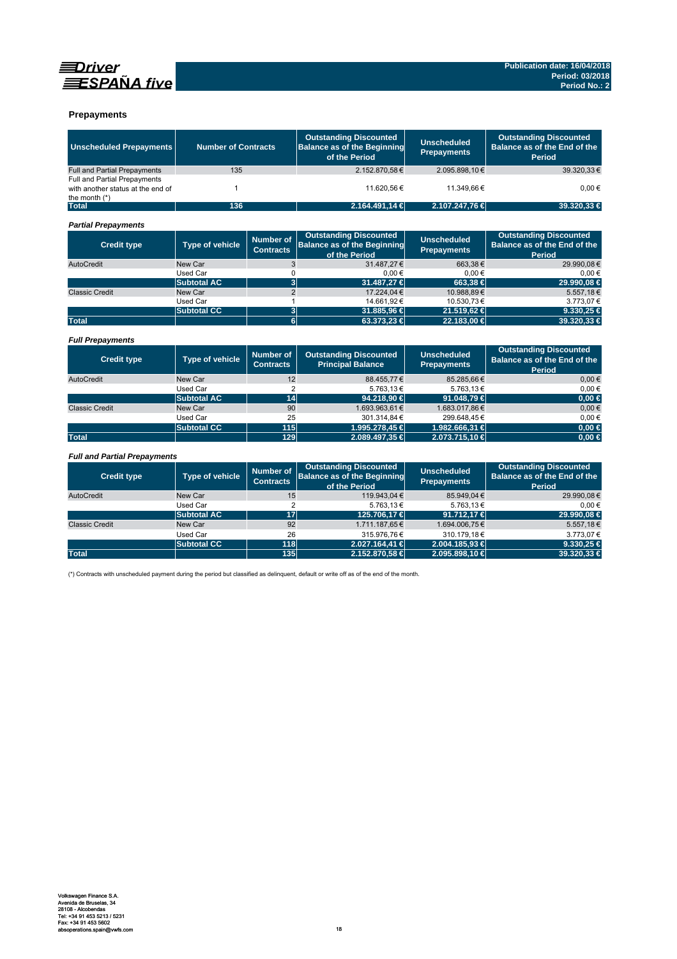



### **Prepayments**

| <b>Unscheduled Prepayments</b>                                                       | <b>Number of Contracts</b> |                                      | <b>Outstanding Discounted</b><br><b>Balance as of the Beginning</b><br>of the Period | <b>Unscheduled</b><br><b>Prepayments</b> | <b>Outstanding Discounted</b><br>Balance as of the End of the<br>Period        |  |
|--------------------------------------------------------------------------------------|----------------------------|--------------------------------------|--------------------------------------------------------------------------------------|------------------------------------------|--------------------------------------------------------------------------------|--|
| <b>Full and Partial Prepayments</b>                                                  | 135                        |                                      | 2.152.870.58€                                                                        | 2.095.898,10€                            | 39.320.33 €                                                                    |  |
| Full and Partial Prepayments<br>with another status at the end of<br>the month $(*)$ | $\mathbf{1}$               |                                      | 11.620.56 €                                                                          | 11.349.66€                               | 0.00€                                                                          |  |
| <b>Total</b>                                                                         | 136                        |                                      | 2.164.491,14 €                                                                       | 2.107.247,76€                            | 39.320.33 €                                                                    |  |
| <b>Partial Prepayments</b>                                                           |                            |                                      |                                                                                      |                                          |                                                                                |  |
| <b>Credit type</b>                                                                   | <b>Type of vehicle</b>     | <b>Number of</b><br><b>Contracts</b> | <b>Outstanding Discounted</b><br><b>Balance as of the Beginning</b><br>of the Period | <b>Unscheduled</b><br><b>Prepayments</b> | <b>Outstanding Discounted</b><br>Balance as of the End of the<br><b>Period</b> |  |
| AutoCredit                                                                           | New Car                    | 3                                    | 31.487.27 €                                                                          | 663.38€                                  | 29.990.08€                                                                     |  |
|                                                                                      | <b>Used Car</b>            | $\mathbf 0$                          | $0,00 \in$                                                                           | 0,00€                                    | $0,00 \in$                                                                     |  |
|                                                                                      | <b>Subtotal AC</b>         | $\overline{\mathbf{3}}$              | 31.487.27 €                                                                          | 663.38 €                                 | 29.990.08 €                                                                    |  |
| <b>Classic Credit</b>                                                                | New Car                    | $\overline{2}$                       | 17.224.04 €                                                                          | 10.988.89€                               | 5.557.18€                                                                      |  |
|                                                                                      | <b>Used Car</b>            | $\mathbf{1}$                         | 14.661.92€                                                                           | 10.530.73€                               | 3.773,07€                                                                      |  |
|                                                                                      | <b>Subtotal CC</b>         | 3                                    | 31.885,96 €                                                                          | 21.519,62 €                              | 9.330,25 $\in$                                                                 |  |
| <b>Total</b>                                                                         |                            | $6\phantom{a}$                       | 63.373,23 €                                                                          | 22.183.00 €                              | 39.320.33 €                                                                    |  |
| <b>Full Prepayments</b>                                                              |                            |                                      |                                                                                      |                                          |                                                                                |  |
| <b>Credit type</b>                                                                   | Type of vehicle            | <b>Number of</b><br><b>Contracts</b> | <b>Outstanding Discounted</b><br><b>Principal Balance</b>                            | <b>Unscheduled</b><br><b>Prepayments</b> | <b>Outstanding Discounted</b><br>Balance as of the End of the<br><b>Period</b> |  |
| AutoCredit                                                                           | New Car                    | 12                                   | 88.455,77€                                                                           | 85.285,66€                               | $0.00 \in$                                                                     |  |
|                                                                                      | Used Car                   | $\overline{2}$                       | 5.763,13€                                                                            | 5.763,13€                                | $0,00 \in$                                                                     |  |
|                                                                                      | <b>Subtotal AC</b>         | 14                                   | 94.218,90 €                                                                          | 91.048,79 €                              | $0,00$ €                                                                       |  |
| <b>Classic Credit</b>                                                                | New Car                    | 90                                   | 1.693.963,61€                                                                        | 1.683.017,86€                            | $0,00 \in$                                                                     |  |
|                                                                                      | Used Car                   | 25                                   | 301.314,84€                                                                          | 299.648,45€                              | $0,00 \in$                                                                     |  |
|                                                                                      | <b>Subtotal CC</b>         | 115                                  | 1.995.278,45 €                                                                       | 1.982.666,31 €                           | $0,00 \in$                                                                     |  |
| <b>Total</b>                                                                         |                            | 129                                  | 2.089.497,35 €                                                                       | 2.073.715,10 €                           | $0.00 \in$                                                                     |  |
| <b>Full and Partial Prepayments</b>                                                  |                            |                                      |                                                                                      |                                          |                                                                                |  |
| <b>Credit type</b>                                                                   | Type of vehicle            | <b>Number of</b><br><b>Contracts</b> | <b>Outstanding Discounted</b><br><b>Balance as of the Beginning</b><br>of the Period | <b>Unscheduled</b><br><b>Prepayments</b> | <b>Outstanding Discounted</b><br>Balance as of the End of the<br>Period        |  |
| AutoCredit                                                                           | New Car                    | 15                                   | 119.943,04€                                                                          | 85.949,04€                               | 29.990.08€                                                                     |  |
|                                                                                      | <b>Used Car</b>            | $\overline{2}$                       | 5.763,13€                                                                            | 5.763,13€                                | $0.00 \in$                                                                     |  |
|                                                                                      | <b>Subtotal AC</b>         | 17                                   | 125.706.17 €                                                                         | 91.712.17 €                              | 29.990.08 €                                                                    |  |
| <b>Classic Credit</b>                                                                | New Car                    | 92                                   | 1.711.187,65€                                                                        | 1.694.006,75€                            | 5.557,18€                                                                      |  |
|                                                                                      | Used Car                   | 26                                   | 315.976.76€                                                                          | 310.179.18€                              | 3.773.07€                                                                      |  |
|                                                                                      | <b>Subtotal CC</b>         | 118                                  | 2.027.164.41 €                                                                       | 2.004.185.93 €                           | $9.330,25 \in$                                                                 |  |
| <b>Total</b>                                                                         |                            | 135                                  | 2.152.870,58 €                                                                       | 2.095.898,10 €                           | 39.320,33 €                                                                    |  |

(\*) Contracts with unscheduled payment during the period but classified as delinquent, default or write off as of the end of the month.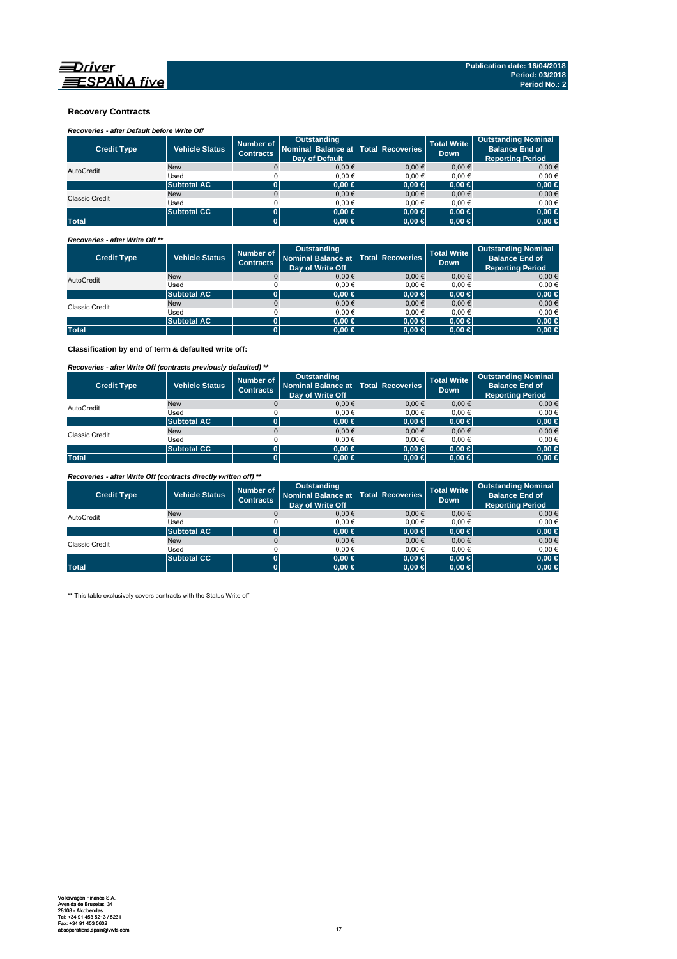

#### **Recovery Contracts**

*Recoveries - after Default before Write Off* 

| <b>Credit Type</b>    | <b>Vehicle Status</b> | Number of<br><b>Contracts</b> | Outstanding<br>Nominal Balance at   Total Recoveries<br><b>Dav of Default</b> |            | <b>Total Write</b><br>Down | <b>Outstanding Nominal</b><br><b>Balance End of</b><br><b>Reporting Period</b> |
|-----------------------|-----------------------|-------------------------------|-------------------------------------------------------------------------------|------------|----------------------------|--------------------------------------------------------------------------------|
| AutoCredit            | <b>New</b>            |                               | 0.00€                                                                         | $0.00 \in$ | $0.00 \in$                 | 0.00€                                                                          |
|                       | Used                  |                               | 0.00€                                                                         | 0.00€      | 0.00€                      | 0,00€                                                                          |
|                       | <b>Subtotal AC</b>    | ΩI                            | $0.00 \in$                                                                    | $0.00 \in$ | $0.00 \in$                 | 0,00 ∈                                                                         |
| <b>Classic Credit</b> | <b>New</b>            |                               | $0.00 \in$                                                                    | $0.00 \in$ | $0.00 \in$                 | $0,00 \in$                                                                     |
|                       | Used                  |                               | 0.00€                                                                         | $0.00 \in$ | 0.00€                      | 0,00€                                                                          |
|                       | <b>Subtotal CC</b>    | ΩI                            | $0.00 \in$                                                                    | $0.00 \in$ | $0.00 \in$                 | 0,00 ∈                                                                         |
| <b>Total</b>          |                       |                               | $0.00 \in$                                                                    | $0,00 \in$ | $0.00 \in$                 | $0.00 \in$                                                                     |

*Recoveries - after Write Off \*\**

| <b>Credit Type</b> | <b>Vehicle Status</b> | Number of<br><b>Contracts</b> | <b>Outstanding</b><br>Nominal Balance at   Total Recoveries<br>Day of Write Off |            | <b>Total Write</b><br><b>Down</b> | <b>Outstanding Nominal</b><br><b>Balance End of</b><br><b>Reporting Period</b> |
|--------------------|-----------------------|-------------------------------|---------------------------------------------------------------------------------|------------|-----------------------------------|--------------------------------------------------------------------------------|
| AutoCredit         | <b>New</b>            | $\Omega$                      | $0,00 \in$                                                                      | 0.00€      | $0,00 \in$                        | $0,00 \in$                                                                     |
|                    | Used                  |                               | 0.00€                                                                           | 0.00€      | 0.00€                             | $0.00 \in$                                                                     |
|                    | <b>Subtotal AC</b>    |                               | $0.00 \in$                                                                      | $0.00 \in$ | $0.00 \in$                        | $0,00 \in$                                                                     |
| Classic Credit     | <b>New</b>            |                               | $0.00 \in$                                                                      | $0.00 \in$ | $0,00 \in$                        | $0,00 \in$                                                                     |
|                    | Used                  |                               | 0.00€                                                                           | 0.00€      | 0.00€                             | 0,00€                                                                          |
|                    | <b>Subtotal AC</b>    |                               | $0.00 \in$                                                                      | $0.00 \in$ | $0.00 \in$                        | $0,00 \in$                                                                     |
| <b>Total</b>       |                       |                               | $0.00 \in$                                                                      | $0,00 \in$ | $0.00 \in$                        | $0,00 \in$                                                                     |

**Classification by end of term & defaulted write off:**

*Recoveries - after Write Off (contracts previously defaulted) \*\**

| <b>Credit Type</b> | <b>Vehicle Status</b> | Number of<br><b>Contracts</b> | <b>Outstanding</b><br>Nominal Balance at   Total Recoveries<br>Day of Write Off |            | <b>Total Write</b><br><b>Down</b> | <b>Outstanding Nominal</b><br><b>Balance End of</b><br><b>Reporting Period</b> |
|--------------------|-----------------------|-------------------------------|---------------------------------------------------------------------------------|------------|-----------------------------------|--------------------------------------------------------------------------------|
| AutoCredit         | <b>New</b>            |                               | 0.00€                                                                           | 0.00€      | $0.00 \in$                        | $0,00 \in$                                                                     |
|                    | Used                  |                               | 0.00€                                                                           | $0.00 \in$ | 0.00€                             | $0.00 \in$                                                                     |
|                    | <b>Subtotal AC</b>    |                               | $0.00 \in$                                                                      | $0,00 \in$ | $0.00 \in$                        | $0,00 \in$                                                                     |
| Classic Credit     | <b>New</b>            |                               | 0.00€                                                                           | 0.00€      | $0.00 \in$                        | $0,00 \in$                                                                     |
|                    | Used                  |                               | 0.00€                                                                           | $0.00 \in$ | 0.00€                             | $0.00 \in$                                                                     |
|                    | <b>Subtotal CC</b>    |                               | $0.00 \in$                                                                      | $0,00 \in$ | $0.00 \in$                        | $0,00 \in$                                                                     |
| <b>Total</b>       |                       |                               | $0.00 \in$                                                                      | $0,00 \in$ | $0.00 \in$                        | $0,00 \in$                                                                     |

*Recoveries - after Write Off (contracts directly written off) \*\**

| <b>Credit Type</b> | <b>Vehicle Status</b> | Number of<br><b>Contracts</b> | Outstanding<br>Nominal Balance at   Total Recoveries<br>Day of Write Off |            | <b>Total Write</b><br><b>Down</b> | <b>Outstanding Nominal</b><br><b>Balance End of</b><br><b>Reporting Period</b> |
|--------------------|-----------------------|-------------------------------|--------------------------------------------------------------------------|------------|-----------------------------------|--------------------------------------------------------------------------------|
| AutoCredit         | <b>New</b>            |                               | 0.00€                                                                    | $0.00 \in$ | 0.00€                             | $0.00 \in$                                                                     |
|                    | Used                  |                               | 0.00€                                                                    | 0.00€      | 0.00€                             | 0,00€                                                                          |
|                    | <b>Subtotal AC</b>    |                               | $0.00 \in$                                                               | $0,00 \in$ | $0.00 \in$                        | $0,00 \in$                                                                     |
| Classic Credit     | <b>New</b>            |                               | 0.00€                                                                    | $0.00 \in$ | 0.00€                             | $0,00 \in$                                                                     |
|                    | Used                  |                               | 0.00€                                                                    | 0.00€      | 0.00€                             | 0,00€                                                                          |
|                    | <b>Subtotal CC</b>    | 01                            | $0.00 \in$                                                               | $0.00 \in$ | $0.00 \in$                        | $0,00 \in$                                                                     |
| <b>Total</b>       |                       | ЮI                            | $0.00 \in$                                                               | $0,00 \in$ | $0.00 \in$                        | $0,00 \in$                                                                     |

\*\* This table exclusively covers contracts with the Status Write off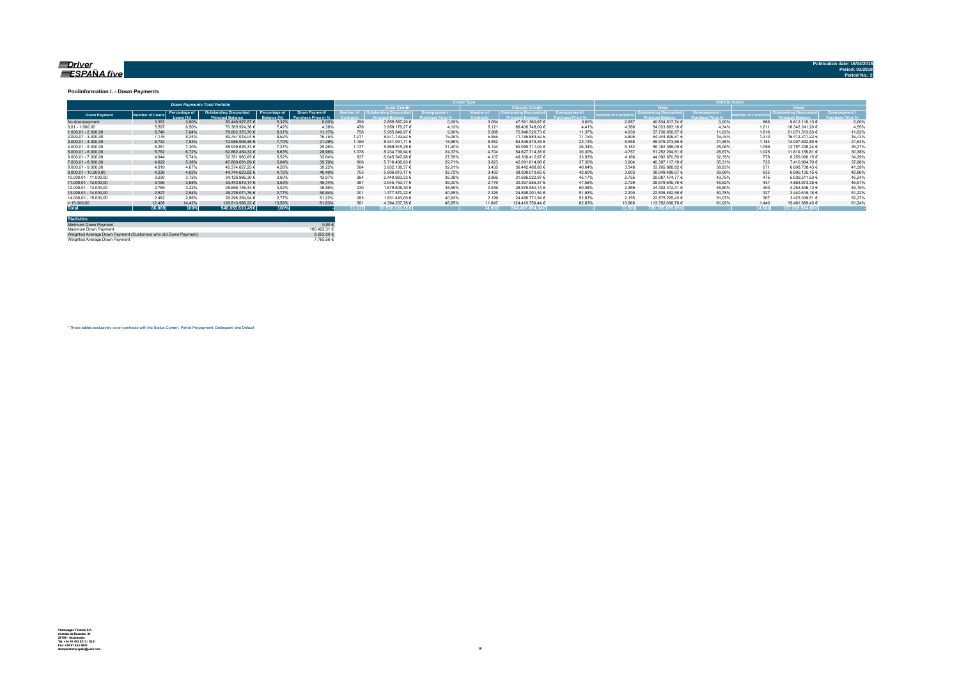#### <u>=Driver</u> ESPAÑA five

**Publication date: 16/04/20** 

#### **Poolinformation I. - Down Payments**

|                       | <b>Down Payments Total Porfolio</b> |                            |                                                           |                               |                                      |        |                                   |        |                  |                        |        |                  |                        |        |             |                  |        |
|-----------------------|-------------------------------------|----------------------------|-----------------------------------------------------------|-------------------------------|--------------------------------------|--------|-----------------------------------|--------|------------------|------------------------|--------|------------------|------------------------|--------|-------------|------------------|--------|
|                       |                                     |                            |                                                           |                               |                                      |        | <b>Auto Credit</b>                |        |                  | <b>Classic Credita</b> |        |                  | <b>RW</b>              |        | <b>Head</b> |                  |        |
| <b>Down Payment</b>   | umber of Loan                       | Percentage of<br>Loang (%) | <b>Outstanding Discounted</b><br><b>Princingl Relance</b> | Percentage of<br>3alance (%). | Down Payment/<br>Purchase Price in % |        | umber of   Outstanding Discounted |        | <b>Jumber of</b> | Outstanding Discounted |        | mber of Contract | Outstanding Discounted |        |             |                  |        |
| No downpayment        | 3.353                               | 3.90%                      | 50.446.927.87 €                                           | 5.32%                         | 0.00%                                | 299    | 2.855.567.20 €                    | 0.00%  | 3.054            | 47.591.360.67 €        | 0.00%  | 2.687            | 40.834.817.74 €        | 0.00%  | 666         | 9.612.110.13 €   | 0.00%  |
| $0.01 - 1.000.00$     | 5.597                               | 6.50%                      | 70.365.924.36 €                                           | 7.42%                         | 4.38%                                | 476    | 3.959.176.27 €                    | 4.12%  | 5.121            | 66.406.748.09 €        | 4 4 1% | 4.386            | 54.023.683.16 €        | 4.34%  | 1.211       | 16.342.241.20 €  | 4,55%  |
| $1.000.01 - 2.000.00$ | 6.746                               | 7.84%                      | 78.802.370.70 €                                           | 8.31%                         | 11.17%                               | 758    | 5.955.849.97 €                    | 9.90%  | 5.988            | 72.846.520.73 €        | 11.37% | 4.930            | 57.730.856.87 €        | 11.02% | 1.816       | 21.071.513.83 €  | 11.62% |
| 2.000.01 - 3.000.00   | 7.176                               | 8.34%                      | 80.757.018.04 €                                           | 8.52%                         | 16.75%                               | 1.211  | 8.971.133.52 €                    | 15.06% | 5.965            | 71.785.884.52 €        | 17.15% | 5,806            | 64.344.806.81 €        | 16.75% | 1.370       | 16.412.211.23 €  | 16,73% |
| $3.000.01 - 4.000.00$ | 6.742                               | 7.83%                      | 72.986.906.46 €                                           | 7.70%                         | 21.49%                               | 1.190  | 8.441.031.11 €                    | 18.96% | 5.552            | 64.545.875.35 €        | 22.13% | 5.558            | 58.979.273.66 €        | 21.46% | 1.184       | 14.007.632.80 €  | 21,63% |
| 4.000.01 - 5.000.00   | 6.281                               | 7.30%                      | 68.939.626.33 €                                           | 7.27%                         | 25.26%                               | 1.137  | 8.869.915.29 €                    | 21.40% | 5.144            | 60.069.711.04 €        | 26.34% | 5.182            | 56.182.388.09 €        | 25.06% | 1.099       | 12.757.238.24 €  | 26,279 |
| $5.000.01 - 6.000.00$ | 5.782                               | 6.72%                      | 62.862.454.32 €                                           | 6.63%                         | 28.96%                               | 1.078  | 8.234.739.94 €                    | 24.37% | 4.704            | 54.627.714.38 €        | 30.30% | 4.757            | 51.252.294.51 €        | 28.67% | 1.025       | 11.610.159.81 €  | 30,38% |
| 6.000.01 - 7.000.00   | 4.944                               | 5.74%                      | 52.351.960.65 €                                           | 5.52%                         | 32.64%                               | 837    | 6.045.547.98 €                    | 27.59% | 4.107            | 46.306.412.67 €        | 33.93% | 4.166            | 44.092.870.50 €        | 32.35% | 778         | 8.259.090.15 €   | 34,29% |
| 7.000.01 - 8.000.00   | 4.629                               | 5.38%                      | 47,808,081,89 €                                           | 5.04%                         | 35.70%                               | 806    | 5.716.466.93 €                    | 29.71% | 3.823            | 42.091.614.96 €        | 37.30% | 3.904            | 40.397.117.19 €        | 35.31% | 725         | 7.410.964.70 €   | 37,98% |
| 8.000.01 - 9.000.00   | 4.019                               | 4.67%                      | 40.374.627.25 €                                           | 4.26%                         | 39.22%                               | 584    | 3.932.138.37 €                    | 32.61% | 3.435            | 36.442.488.88 €        | 40.64% | 3.348            | 33.765.888.82 €        | 38.83% | 671         | 6.608.738.43 €   | 41.29% |
| 9.000.01 - 10.000.00  | 4.238                               | 4.92%                      | 44.744.623.82 €                                           | 4.72%                         | 40.40%                               | 755    | 5.806.613.17 €                    | 32.72% | 3.483            | 38.938.010.65 €        | 42.60% | 3.603            | 38.049.488.67 €        | 39.99% | 635         | 6.695.135.15 €   | 42.86% |
| 10.000.01 - 11.000.00 | 3.230                               | 3.75%                      | 34.126.986.30 €                                           | 3.60%                         | 43.97%                               | 364    | 2.440.963.33 €                    | 36.38% | 2.866            | 31.686.022.97 €        | 45.17% | 2.755            | 29.087.474.77 €        | 43.75% | 475         | 5.039.511.53 €   | 45.24% |
| 11.000.01 - 12.000.00 | 3.166                               | 3.68%                      | 33.443.619.14 €                                           | 3.53%                         | 45.74%                               | 387    | 3.045.763.77 €                    | 36.00% | 2.779            | 30.397.855.37 €        | 47.56% | 2.729            | 28.579.645.79 €        | 45.62% | 437         | 4.863.973.35 €   | 46.51% |
| 12.000.01 - 13.000.00 | 2.769                               | 3.22%                      | 28.656.158.44 €                                           | 3.02%                         | 48.86%                               | 230    | 1.679.608.30 €                    | 38.55% | 2.539            | 26.976.550.14 €        | 50.08% | 2.369            | 24.402.312.31 €        | 48.80% | 400         | 4.253.846.13 €   | 49.19% |
| 13.000.01 - 14.000.00 | 2.527                               | 2.94%                      | 26.276.071.76 €                                           | 2.77%                         | 50.84%                               | 201    | 1.377.870.22 €                    | 40.95% | 2.326            | 24.898.201.54 €        | 51.93% | 2.200            | 22.835.452.58 €        | 50.78% | 327         | 3.440.619.18 €   | 51.22% |
| 14.000.01 - 15.000.00 | 2.462                               | 2.86%                      | 26.298.264.94 €                                           | 2.77%                         | 51.22%                               | 263    | 1.831.493.00 €                    | 40.93% | 2.199            | 24.466.771.94 €        | 52.83% | 2.155            | 22.875.225.43 €        | 51.07% | 307         | 3.423.039.51 €   | 52.27% |
| >15.000,00            | 12,408                              | 14.42%                     | 128.813.988.22 €                                          | 13.59%                        | 61.83%                               | 56     | 4.394.237.78 €                    | 45.65% | 11.847           | 124.419.750.44 €       | 62.83% | 10.968           | 113.352.098.79 €       | 61.92% | 1.440       | 15.461.889.43 €  | 61.24% |
| <b>Total</b>          | 86.069                              | 100%                       | 948.055.610.49€                                           | 100%                          |                                      | 11.137 | 83.558.116.15€                    |        | 74.932           | $864.497.494.34 \in$   |        | 71.503           | 780.785.695.69€        |        | 14.566      | 167.269.914.80 € |        |

| <b>Statistics</b>                                              |              |
|----------------------------------------------------------------|--------------|
| Minimum Down Payment                                           | $0.00 \in$   |
| Maximum Down Payment                                           | 100 422 31 6 |
| Weighted Average Down Payment (Customers who did Down Payment) | 8.202.00 €   |
| Weighted Average Down Payment                                  | 7 765 56 €   |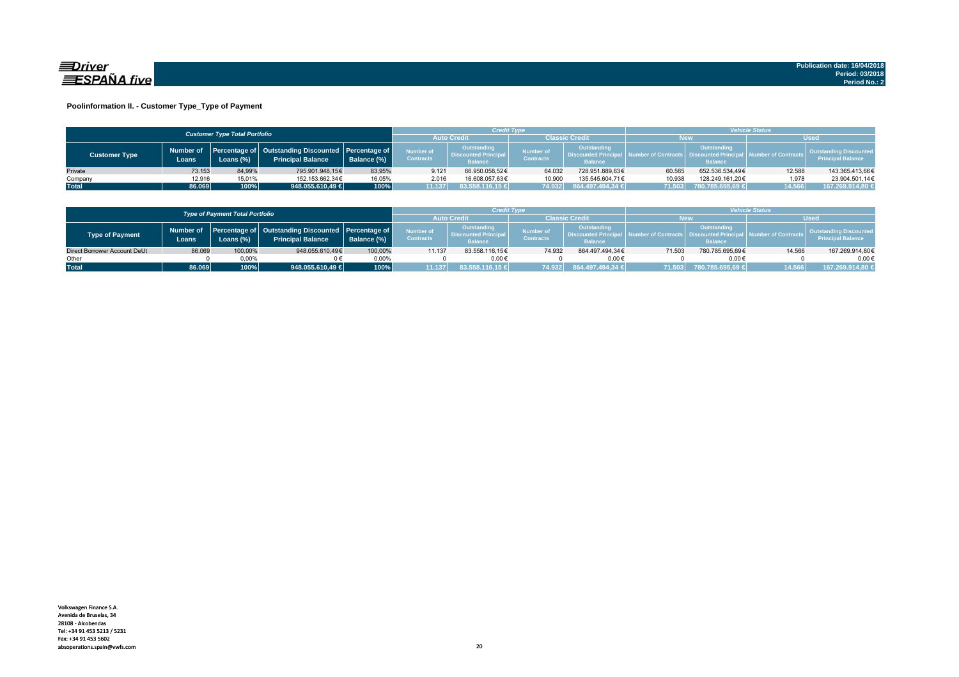

#### **Poolinformation II. - Customer Type\_Type of Payment**

|                      |                                      |           |                                                                                    |             |                               | Credit Type                                                  |                                      |                                                                    | <b>Vehicle Status</b> |                                                                          |                                |                                                           |  |
|----------------------|--------------------------------------|-----------|------------------------------------------------------------------------------------|-------------|-------------------------------|--------------------------------------------------------------|--------------------------------------|--------------------------------------------------------------------|-----------------------|--------------------------------------------------------------------------|--------------------------------|-----------------------------------------------------------|--|
|                      | <b>Customer Type Total Portfolio</b> |           |                                                                                    |             |                               |                                                              | Classic Credit                       |                                                                    | <b>New</b>            |                                                                          | <b>Used</b>                    |                                                           |  |
| <b>Customer Type</b> | Number of<br>Loans.                  | Loans (%) | Percentage of   Outstanding Discounted   Percentage of<br><b>Principal Balance</b> | Balance (%) | Number of<br><b>Contracts</b> | Outstanding<br><b>Discounted Principal</b><br><b>Balance</b> | <b>Number of</b><br><b>Contracts</b> | <b>Outstanding</b><br><b>Discounted Principa</b><br><b>Balance</b> |                       | Outstanding<br>umber of Contracts丨 Discounted Principa<br><b>Balance</b> | <b>All Number of Contracts</b> | <b>Quistanding Discounted</b><br><b>Principal Balance</b> |  |
| Private              | 73.153                               | 84.99%    | 795.901.948.15€                                                                    | 83.95%      | 9.121                         | 66.950.058.52€                                               | 64.032                               | 728.951.889.63€                                                    | 60.565                | 652.536.534.49€                                                          | 12.588                         | 143.365.413,66€                                           |  |
| Company              | 12.916                               | 15,01%    | 152.153.662.34€                                                                    | 16,05%      | 2.016                         | 16.608.057.63€                                               | 10.900                               | 135.545.604.71€                                                    | 10.938                | 128.249.161.20€                                                          | 1.978                          | 23.904.501.14€                                            |  |
| <b>Total</b>         | 86.069                               | 100%      | 948.055.610,49 €                                                                   | 100%        | 1.137                         | 83.558.116,15 €                                              | 74.932                               | 864.497.494,34 €                                                   | 71.503                | 780.785.695,69 €                                                         | 14.566                         | 167.269.914,80 €                                          |  |

|                              |                                        |           |                                                                                          |             |                                      | <b>Credit Type</b>                                          |                               |                                                              | <b>Vehicle Status</b> |                                                            |                              |                                                           |  |
|------------------------------|----------------------------------------|-----------|------------------------------------------------------------------------------------------|-------------|--------------------------------------|-------------------------------------------------------------|-------------------------------|--------------------------------------------------------------|-----------------------|------------------------------------------------------------|------------------------------|-----------------------------------------------------------|--|
|                              | <b>Type of Payment Total Portfolio</b> |           |                                                                                          |             |                                      |                                                             | Classic Credit                |                                                              |                       | New                                                        | <b>Used</b>                  |                                                           |  |
| <b>Type of Payment</b>       | Loans                                  | Loans (%) | Number of Percentage of Outstanding Discounted Percentage of<br><b>Principal Balance</b> | Balance (%) | <b>Number of</b><br><b>Contracts</b> | Outstanding<br><b>Discounted Principa</b><br><b>Balance</b> | Number of<br><b>Contracts</b> | Outstanding<br><b>Discounted Principan</b><br><b>Balance</b> | A Number of Contracts | Outstanding<br><b>Discounted Princip</b><br><b>Balance</b> | <b>I</b> Number of Contracts | <b>Outstanding Discounted</b><br><b>Principal Balance</b> |  |
| Direct Borrower Account DeUt | 86.069                                 | 100,00%   | 948.055.610.49€                                                                          | 100,00%     | 11.137                               | 83.558.116,15€                                              | 74.932                        | 864.497.494.34€                                              | 71.503                | 780.785.695.69€                                            | 14.566                       | 167.269.914,80€                                           |  |
| Other                        |                                        | $0.00\%$  |                                                                                          | $0.00\%$    |                                      | $0.00 \in$                                                  |                               | 0.006                                                        |                       | $0.00 \in$                                                 |                              | $0.00 \in$                                                |  |
| <b>Total</b>                 | 86.069                                 | 100%      | 948.055.610.49 €                                                                         | 100%        |                                      | 83.558.116.15 €                                             | 74.932                        | 864.497.494.34 €                                             | 71.503                | 780.785.695.69 €                                           | 14.566                       | 167.269.914.80 €                                          |  |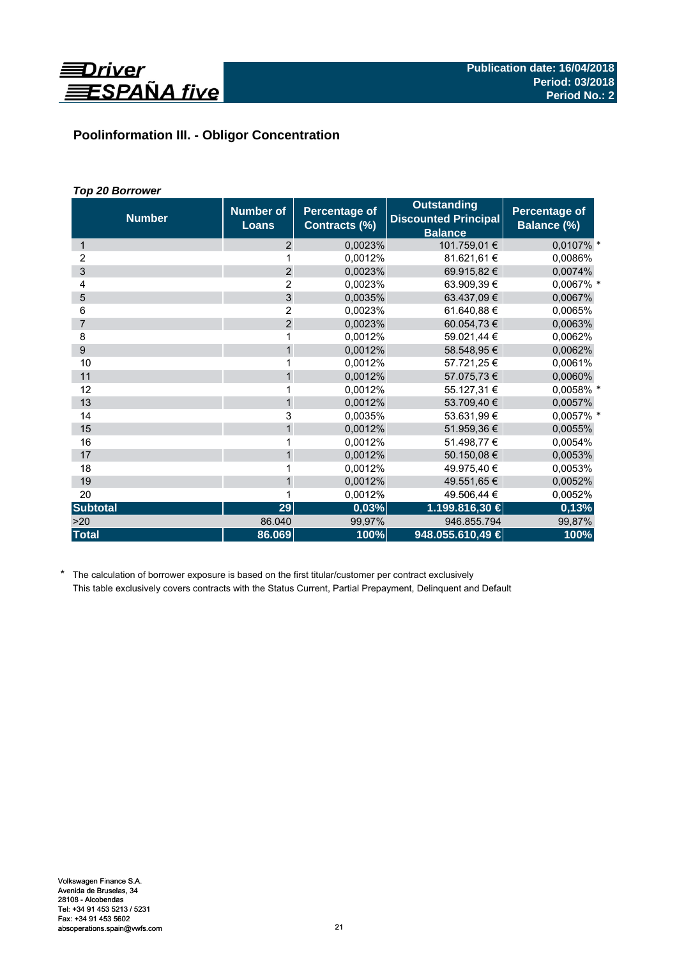

# **Poolinformation III. - Obligor Concentration**

# *Top 20 Borrower*

| <b>Number</b>   | <b>Number of</b><br><b>Loans</b> | <b>Percentage of</b><br>Contracts (%) | <b>Outstanding</b><br><b>Discounted Principal</b><br><b>Balance</b> | Percentage of<br>Balance (%) |
|-----------------|----------------------------------|---------------------------------------|---------------------------------------------------------------------|------------------------------|
| 1               | 2                                | 0,0023%                               | 101.759,01 €                                                        | 0,0107% *                    |
| 2               |                                  | 0,0012%                               | 81.621,61 €                                                         | 0,0086%                      |
| 3               | $\overline{2}$                   | 0.0023%                               | 69.915,82 €                                                         | 0,0074%                      |
| 4               | $\overline{2}$                   | 0,0023%                               | 63.909.39 €                                                         | 0,0067% *                    |
| 5               | 3                                | 0,0035%                               | 63.437,09 €                                                         | 0,0067%                      |
| 6               | 2                                | 0,0023%                               | 61.640,88 €                                                         | 0,0065%                      |
| $\overline{7}$  | $\overline{2}$                   | 0,0023%                               | 60.054,73 €                                                         | 0,0063%                      |
| 8               | 1                                | 0,0012%                               | 59.021,44 €                                                         | 0,0062%                      |
| 9               | $\mathbf{1}$                     | 0,0012%                               | 58.548,95 €                                                         | 0,0062%                      |
| 10              | 1                                | 0.0012%                               | 57.721,25 €                                                         | 0,0061%                      |
| 11              | $\mathbf{1}$                     | 0,0012%                               | 57.075,73 €                                                         | 0,0060%                      |
| 12              | 1                                | 0,0012%                               | 55.127,31 €                                                         | 0,0058% *                    |
| 13              | $\mathbf{1}$                     | 0,0012%                               | 53.709,40 €                                                         | 0,0057%                      |
| 14              | 3                                | 0,0035%                               | 53.631,99 €                                                         | 0,0057% *                    |
| 15              | $\mathbf{1}$                     | 0,0012%                               | 51.959,36 €                                                         | 0,0055%                      |
| 16              | 1                                | 0,0012%                               | 51.498,77 €                                                         | 0,0054%                      |
| 17              | $\mathbf{1}$                     | 0,0012%                               | 50.150,08 €                                                         | 0,0053%                      |
| 18              | 1                                | 0.0012%                               | 49.975,40 €                                                         | 0.0053%                      |
| 19              | $\mathbf{1}$                     | 0,0012%                               | 49.551,65 €                                                         | 0,0052%                      |
| 20              | 1                                | 0,0012%                               | 49.506,44 €                                                         | 0,0052%                      |
| <b>Subtotal</b> | 29                               | 0,03%                                 | 1.199.816,30 €                                                      | 0,13%                        |
| >20             | 86.040                           | 99,97%                                | 946.855.794                                                         | 99,87%                       |
| <b>Total</b>    | 86.069                           | 100%                                  | 948.055.610,49 €                                                    | 100%                         |

\* The calculation of borrower exposure is based on the first titular/customer per contract exclusively This table exclusively covers contracts with the Status Current, Partial Prepayment, Delinquent and Default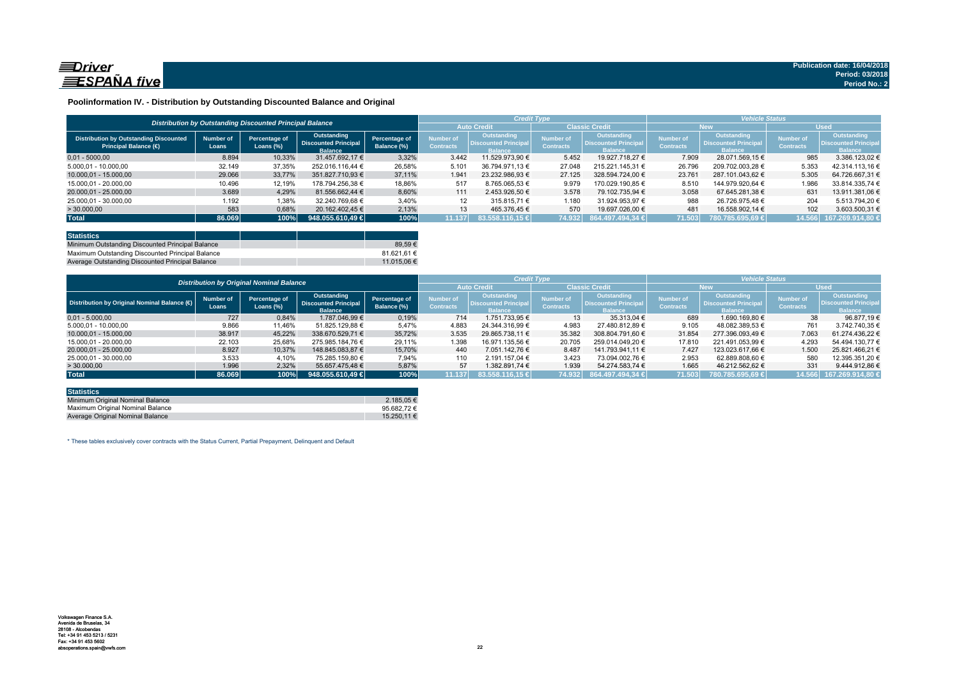

#### **Poolinformation IV. - Distribution by Outstanding Discounted Balance and Original**

|                                                                              | Distribution by Outstanding Discounted Principal Balance |                               |                                                              |                              |                               |                                                             |                                     |                                                                     | <b>Vehicle Status</b>                |                                                             |                                      |                                                             |
|------------------------------------------------------------------------------|----------------------------------------------------------|-------------------------------|--------------------------------------------------------------|------------------------------|-------------------------------|-------------------------------------------------------------|-------------------------------------|---------------------------------------------------------------------|--------------------------------------|-------------------------------------------------------------|--------------------------------------|-------------------------------------------------------------|
|                                                                              |                                                          |                               |                                                              |                              |                               |                                                             | <b>Classic Credit</b>               |                                                                     | <b>New</b>                           |                                                             | <b>Used</b>                          |                                                             |
| <b>Distribution by Outstanding Discounted</b><br><b>Principal Balance (€</b> | Number of<br>Loans                                       | Percentage of<br>Loans $(\%)$ | Outstanding<br><b>Discounted Principal</b><br><b>Balance</b> | Percentage of<br>Balance (%) | Number of<br><b>Contracts</b> | <b>Outstanding</b><br><b>Discounted Principa</b><br>Ralance | <b>Number</b> o<br><b>Contracts</b> | <b>Outstanding</b><br><b>Discounted Principal</b><br><b>Balance</b> | <b>Number of</b><br><b>Contracts</b> | Outstanding<br><b>Discounted Principa</b><br><b>Balance</b> | <b>Number of</b><br><b>Contracts</b> | Outstanding<br><b>Discounted Principa</b><br><b>Ralance</b> |
| $0.01 - 5000.00$                                                             | 8.894                                                    | 10,33%                        | 31.457.692.17 €                                              | 3.32%                        | 3.442                         | 11.529.973.90 €                                             | 5.452                               | 19.927.718.27 €                                                     | 7.909                                | 28.071.569.15 €                                             | 985                                  | 3.386.123.02 €                                              |
| 5.000.01 - 10.000.00                                                         | 32.149                                                   | 37,35%                        | 252.016.116.44 €                                             | 26,58%                       | 5.101                         | 36.794.971.13 €                                             | 27.048                              | 215.221.145.31 €                                                    | 26.796                               | 209.702.003.28 €                                            | 5.353                                | 42.314.113.16 €                                             |
| 10.000.01 - 15.000.00                                                        | 29.066                                                   | 33.77%                        | 351.827.710.93 €                                             | 37.11%                       | 1.941                         | 23.232.986.93 €                                             | 27.125                              | 328.594.724.00 €                                                    | 23.761                               | 287.101.043.62 €                                            | 5.305                                | 64.726.667.31 €                                             |
| 15.000.01 - 20.000.00                                                        | 10.496                                                   | 12,19%                        | 178.794.256.38 €                                             | 18,86%                       | 517                           | 8.765.065.53 €                                              | 9.979                               | 170.029.190.85 €                                                    | 8.510                                | 144.979.920.64 €                                            | 1.986                                | 33.814.335.74 €                                             |
| 20.000.01 - 25.000.00                                                        | 3.689                                                    | 4,29%                         | 81.556.662.44 €                                              | 8,60%                        | 111                           | 2.453.926.50 €                                              | 3.578                               | 79.102.735.94 €                                                     | 3.058                                | 67.645.281.38 €                                             | 631                                  | 13.911.381.06 €                                             |
| 25.000,01 - 30.000,00                                                        | 1.192                                                    | 1,38%                         | 32.240.769.68 €                                              | 3,40%                        | 12                            | 315.815.71 €                                                | 1.180                               | 31.924.953.97 €                                                     | 988                                  | 26.726.975.48 €                                             | 204                                  | 5.513.794.20 €                                              |
| > 30.000,00                                                                  | 583                                                      | 0,68%                         | 20.162.402.45 €                                              | 2.13%                        | 13                            | 465.376.45 €                                                | 570                                 | 19.697.026.00 €                                                     | 481                                  | 16.558.902.14 €                                             | 102                                  | 3.603.500,31 €                                              |
| <b>Total</b>                                                                 | 86.069                                                   | 100%                          | 948.055.610.49                                               | 100%                         | 11.137                        | 183.558.116.15 €                                            | 74.932                              | 864.497.494.34 €                                                    | 71.503                               | 780.785.695.69 €                                            | 14.566                               | 167.269.914.80 €                                            |

| <b>Statistics</b>                                |             |
|--------------------------------------------------|-------------|
| Minimum Outstanding Discounted Principal Balance | 89.59€      |
| Maximum Outstanding Discounted Principal Balance | 81.621.61 € |
| Average Outstanding Discounted Principal Balance | 11.015.06 € |

|                                             | <b>Distribution by Original Nominal Balance</b> |                               |                                                              |                              |                               |                                                             | <b>Credit Type</b>            |                                                              | <b>Vehicle Status</b>         |                                                                     |                                      |                                                             |  |
|---------------------------------------------|-------------------------------------------------|-------------------------------|--------------------------------------------------------------|------------------------------|-------------------------------|-------------------------------------------------------------|-------------------------------|--------------------------------------------------------------|-------------------------------|---------------------------------------------------------------------|--------------------------------------|-------------------------------------------------------------|--|
|                                             |                                                 |                               |                                                              |                              |                               | <b>Auto Credit</b>                                          | <b>Classic Credit</b>         |                                                              | <b>New</b>                    |                                                                     | <b>Used</b>                          |                                                             |  |
| Distribution by Original Nominal Balance (O | <b>Number of</b><br>Loans                       | Percentage of<br>Loans $(\%)$ | Outstanding<br><b>Discounted Principal</b><br><b>Balance</b> | Percentage of<br>Balance (%) | Number of<br><b>Contracts</b> | Outstanding<br><b>Discounted Principa</b><br><b>Balance</b> | Number of<br><b>Contracts</b> | Outstanding<br><b>Discounted Principal</b><br><b>Balance</b> | Number of<br><b>Contracts</b> | <b>Outstanding</b><br><b>Discounted Principal</b><br><b>Balance</b> | <b>Number of</b><br><b>Contracts</b> | Outstanding<br><b>Discounted Principa</b><br><b>Balance</b> |  |
| $0.01 - 5.000.00$                           | 727                                             | 0,84%                         | 1.787.046.99 €                                               | 0,19%                        | 714                           | 1.751.733.95 €                                              | 13                            | 35.313.04 €                                                  | 689                           | 1.690.169.80 €                                                      | 38                                   | 96.877.19 €                                                 |  |
| 5.000,01 - 10.000,00                        | 9.866                                           | 11,46%                        | 51.825.129,88 €                                              | 5,47%                        | 4.883                         | 24.344.316.99 €                                             | 4.983                         | 27.480.812.89 €                                              | 9.105                         | 48.082.389.53 €                                                     | 761                                  | 3.742.740.35 €                                              |  |
| 10.000.01 - 15.000.00                       | 38.917                                          | 45,22%                        | 338.670.529.71 €                                             | 35,72%                       | 3.535                         | 29.865.738.11 €                                             | 35.382                        | 308.804.791.60 €                                             | 31.854                        | 277.396.093.49 €                                                    | 7.063                                | 61.274.436.22 €                                             |  |
| 15.000.01 - 20.000.00                       | 22.103                                          | 25,68%                        | 275.985.184.76 €                                             | 29.11%                       | 1.398                         | 16.971.135.56 €                                             | 20.705                        | 259.014.049.20 €                                             | 17.810                        | 221.491.053.99 €                                                    | 4.293                                | 54.494.130.77 €                                             |  |
| 20.000.01 - 25.000.00                       | 8.927                                           | 10,37%                        | 148.845.083.87 €                                             | 15.70%                       | 440                           | 7.051.142.76 €                                              | 8.487                         | 141.793.941.11 €                                             | 7.427                         | 123.023.617.66 €                                                    | 1.500                                | 25.821.466.21 €                                             |  |
| 25.000.01 - 30.000.00                       | 3.533                                           | 4,10%                         | 75.285.159.80 €                                              | 7.94%                        | 110                           | 2.191.157.04 €                                              | 3.423                         | 73.094.002.76 €                                              | 2.953                         | 62.889.808.60 €                                                     | 580                                  | 12.395.351.20 €                                             |  |
| >30.000,00                                  | 1.996                                           | 2,32%                         | 55.657.475.48 €                                              | 5,87%                        | 57                            | 1.382.891.74 €                                              | 1.939                         | 54.274.583.74 €                                              | 1.665                         | 46.212.562.62 €                                                     | 331                                  | 9.444.912.86 €                                              |  |
| <b>Total</b>                                | 86.069                                          | 100%                          | 948.055.610.49 €                                             | 100%                         | 11.137                        | 83.558.116,15 €                                             | 74.932                        | 864.497.494,34 €                                             | 71.503                        | 780.785.695.69 €                                                    | 14.566                               | 167.269.914.80 €                                            |  |

| <b>Statistics</b>                |             |
|----------------------------------|-------------|
| Minimum Original Nominal Balance | 2.185.05 €  |
| Maximum Original Nominal Balance | 95.682.72€  |
| Average Original Nominal Balance | 15.250.11 € |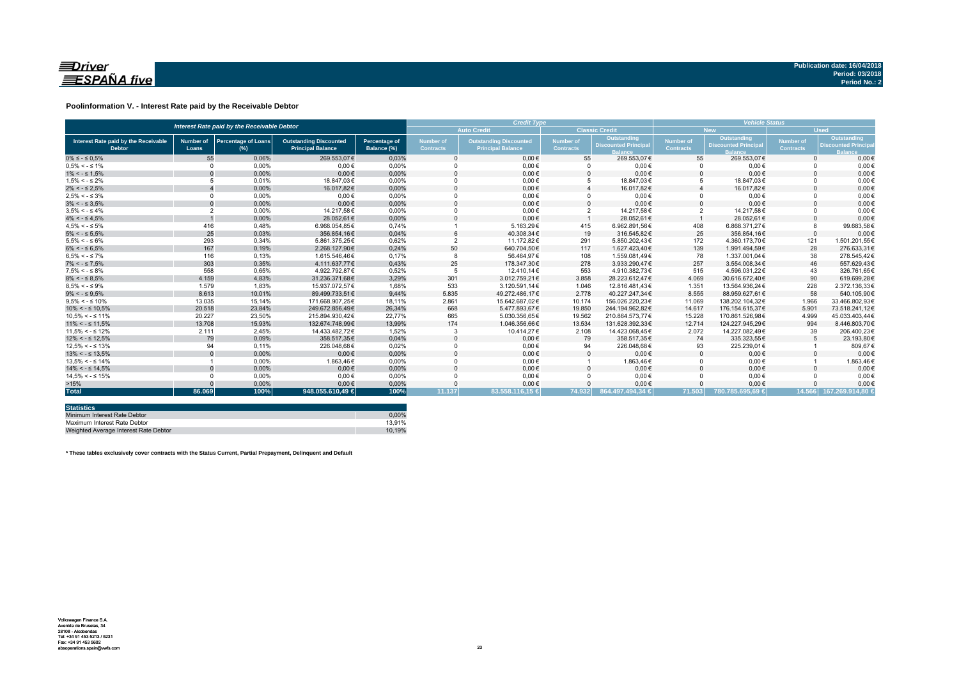

#### **Poolinformation V. - Interest Rate paid by the Receivable Debtor**

|                                                       |                           | <b>Credit Type</b>                          |                                                           |                                     |                                                                                                   | <b>Vehicle Status</b> |                               |                                           |                        |                                                  |                               |                                                          |
|-------------------------------------------------------|---------------------------|---------------------------------------------|-----------------------------------------------------------|-------------------------------------|---------------------------------------------------------------------------------------------------|-----------------------|-------------------------------|-------------------------------------------|------------------------|--------------------------------------------------|-------------------------------|----------------------------------------------------------|
|                                                       |                           | Interest Rate paid by the Receivable Debtor |                                                           |                                     |                                                                                                   | <b>Auto Credit</b>    |                               | <b>Classic Credit</b>                     |                        | <b>New</b>                                       | <b>Used</b>                   |                                                          |
| Interest Rate paid by the Receivable<br><b>Debtor</b> | <b>Number of</b><br>Loans | <b>Percentage of Loans</b><br>$(\%)$        | <b>Outstanding Discounted</b><br><b>Principal Balance</b> | <b>Percentage of</b><br>Balance (%) | <b>Number of</b><br><b>Outstanding Discounted</b><br><b>Contracts</b><br><b>Principal Balance</b> |                       | Number of<br><b>Contracts</b> | Outstanding<br><b>Discounted Principa</b> | Number of<br>Contracts | <b>Outstanding</b><br><b>Discounted Principa</b> | Number of<br><b>Contracts</b> | Outstanding<br><b>Discounted Princip</b><br><b>Ralar</b> |
| $0\% \leq -\leq 0.5\%$                                | 55                        | 0.06%                                       | 269.553.07€                                               | 0.03%                               |                                                                                                   | $0.00 \in$            | 55                            | 269.553.07€                               | 55                     | 269.553.07€                                      | $\Omega$                      | $0.00 \in$                                               |
| $0.5\% < -5.1\%$                                      | $\Omega$                  | 0.00%                                       | $0.00 \in$                                                | 0.00%                               |                                                                                                   | $0.00 \in$            |                               | $0.00 \in$                                | $\Omega$               | $0.00 \in$                                       |                               | $0.00 \in$                                               |
| $1\% < - \leq 1.5\%$                                  |                           | 0,00%                                       | $0.00 \in$                                                | 0,00%                               |                                                                                                   | $0,00 \in$            |                               | $0,00 \in$                                | $\Omega$               | $0,00 \in$                                       |                               | $0,00 \in$                                               |
| $1.5\% < -5.2\%$                                      |                           | 0.01%                                       | 18.847.03€                                                | 0.00%                               |                                                                                                   | $0,00 \in$            |                               | 18.847.03€                                | 5                      | 18.847.03€                                       |                               | $0,00 \in$                                               |
| $2\% < - \leq 2.5\%$                                  |                           | 0,00%                                       | 16.017.82€                                                | 0,00%                               |                                                                                                   | $0.00 \in$            |                               | 16.017.82€                                |                        | 16.017.82€                                       |                               | $0.00 \in$                                               |
| $2.5\% < -5.3\%$                                      | $\Omega$                  | 0.00%                                       | $0.00 \in$                                                | 0.00%                               |                                                                                                   | $0.00 \in$            |                               | $0.00 \in$                                | $\Omega$               | $0.00 \in$                                       |                               | $0.00 \in$                                               |
| $3\% < - \leq 3.5\%$                                  | $\Omega$                  | 0,00%                                       | $0.00 \in$                                                | 0,00%                               |                                                                                                   | $0.00 \in$            |                               | $0.00 \in$                                | $\Omega$               | $0,00 \in$                                       |                               | $0.00 \in$                                               |
| $3.5\% < -5.4\%$                                      | $\overline{2}$            | 0.00%                                       | 14.217.58€                                                | 0.00%                               |                                                                                                   | $0.00 \in$            | $\overline{2}$                | 14.217.58€                                | $\overline{2}$         | 14.217.58€                                       |                               | $0.00 \in$                                               |
| $4\% < - \leq 4.5\%$                                  |                           | 0,00%                                       | 28.052.61€                                                | 0.00%                               |                                                                                                   | $0.00 \in$            |                               | 28.052.61€                                |                        | 28.052.61€                                       |                               | $0,00 \in$                                               |
| $4.5\% < -5\%$                                        | 416                       | 0.48%                                       | 6.968.054.85€                                             | 0.74%                               |                                                                                                   | 5.163.29€             | 415                           | 6.962.891.56€                             | 408                    | 6.868.371.27€                                    |                               | 99.683.58€                                               |
| $5\% < - \leq 5.5\%$                                  | 25                        | 0,03%                                       | 356.854.16€                                               | 0,04%                               |                                                                                                   | 40.308,34€            | 19                            | 316.545.82€                               | 25                     | 356.854.16€                                      | $\Omega$                      | $0,00 \in$                                               |
| $5.5\% < -5.6\%$                                      | 293                       | 0,34%                                       | 5.861.375,25€                                             | 0,62%                               |                                                                                                   | 11.172,82€            | 291                           | 5.850.202,43€                             | 172                    | 4.360.173.70€                                    | 121                           | 1.501.201,55€                                            |
| $6\% < - \leq 6.5\%$                                  | 167                       | 0,19%                                       | 2.268.127.90€                                             | 0,24%                               | 50                                                                                                | 640.704.50€           | 117                           | 1.627.423.40€                             | 139                    | 1.991.494,59€                                    | 28                            | 276.633,31€                                              |
| $6.5\% < -5.7\%$                                      | 116                       | 0.13%                                       | 1.615.546.46€                                             | 0.17%                               |                                                                                                   | 56.464.97€            | 108                           | 1.559.081.49€                             | 78                     | 1.337.001.04 €                                   | 38                            | 278.545.42€                                              |
| $7\% < - \leq 7.5\%$                                  | 303                       | 0,35%                                       | 4.111.637,77€                                             | 0,43%                               | 25                                                                                                | 178.347.30€           | 278                           | 3.933.290,47€                             | 257                    | 3.554.008.34 €                                   | 46                            | 557.629,43€                                              |
| $7.5\% < -5.8\%$                                      | 558                       | 0.65%                                       | 4.922.792.87€                                             | 0.52%                               |                                                                                                   | 12.410.14€            | 553                           | 4.910.382.73€                             | 515                    | 4.596.031.22€                                    | 43                            | 326.761.65€                                              |
| $8\% < - \leq 8.5\%$                                  | 4.159                     | 4,83%                                       | 31.236.371.68€                                            | 3,29%                               | 301                                                                                               | 3.012.759.21€         | 3.858                         | 28.223.612.47€                            | 4.069                  | 30.616.672.40€                                   | 90                            | 619,699.28€                                              |
| $8.5\% < -5.9\%$                                      | 1.579                     | 1.83%                                       | 15.937.072.57€                                            | 1.68%                               | 533                                                                                               | 3.120.591.14€         | 1.046                         | 12.816.481.43€                            | 1.351                  | 13.564.936.24€                                   | 228                           | 2.372.136.33€                                            |
| $9\% < - \leq 9.5\%$                                  | 8.613                     | 10.01%                                      | 89.499.733.51€                                            | 9.44%                               | 5.835                                                                                             | 49.272.486.17€        | 2.778                         | 40.227.247.34€                            | 8.555                  | 88.959.627.61€                                   | 58                            | 540.105,90€                                              |
| $9.5\% < -5.10\%$                                     | 13.035                    | 15.14%                                      | 171.668.907.25€                                           | 18.11%                              | 2.861                                                                                             | 15.642.687.02€        | 10.174                        | 156.026.220.23€                           | 11.069                 | 138.202.104.32€                                  | 1.966                         | 33.466.802.93€                                           |
| $10\% < -\leq 10.5\%$                                 | 20.518                    | 23,84%                                      | 249.672.856.49€                                           | 26,34%                              | 668                                                                                               | 5.477.893,67€         | 19,850                        | 244.194.962.82€                           | 14,617                 | 176.154.615.37€                                  | 5.901                         | 73.518.241.12€                                           |
| $10.5\% < -5.11\%$                                    | 20.227                    | 23,50%                                      | 215.894.930.42€                                           | 22,77%                              | 665                                                                                               | 5.030.356,65€         | 19.562                        | 210.864.573,77€                           | 15.228                 | 170.861.526,98€                                  | 4.999                         | 45.033.403,44€                                           |
| $11\% < - \leq 11.5\%$                                | 13.708                    | 15,93%                                      | 132.674.748.99€                                           | 13,99%                              | 174                                                                                               | 1.046.356,66€         | 13.534                        | 131.628.392.33€                           | 12.714                 | 124.227.945.29€                                  | 994                           | 8.446.803,70€                                            |
| $11.5\% < -5.12\%$                                    | 2.111                     | 2.45%                                       | 14.433.482.72€                                            | 1.52%                               |                                                                                                   | 10.414.27€            | 2.108                         | 14.423.068.45€                            | 2.072                  | 14.227.082.49€                                   | 39                            | 206.400,23€                                              |
| $12\% < -512.5\%$                                     | 79                        | 0,09%                                       | 358.517.35€                                               | 0,04%                               |                                                                                                   | $0,00 \in$            | 79                            | 358.517.35€                               | 74                     | 335.323,55€                                      |                               | 23.193,80€                                               |
| $12.5\% < -5.13\%$                                    | 94                        | 0.11%                                       | 226.048.68€                                               | 0.02%                               |                                                                                                   | $0.00 \in$            | 94                            | 226.048.68€                               | 93                     | 225.239,01€                                      |                               | 809,67€                                                  |
| $13\% < -513.5\%$                                     |                           | 0,00%                                       | $0,00 \in$                                                | 0,00%                               |                                                                                                   | $0,00 \in$            |                               | $0,00 \in$                                | $\mathbf{0}$           | $0,00 \in$                                       |                               | $0,00 \in$                                               |
| $13.5\% < -5.14\%$                                    |                           | 0.00%                                       | 1.863.46€                                                 | 0.00%                               |                                                                                                   | $0.00 \in$            |                               | 1.863,46€                                 | $\Omega$               | $0.00 \in$                                       |                               | 1.863,46€                                                |
| $14\% < -5.14.5\%$                                    |                           | 0.00%                                       | $0.00 \in$                                                | 0,00%                               |                                                                                                   | $0.00 \in$            |                               | $0.00 \in$                                | $\Omega$               | $0.00 \in$                                       |                               | $0.00 \in$                                               |
| $14.5\% < -5.15\%$                                    |                           | 0.00%                                       | $0.00 \in$                                                | 0.00%                               |                                                                                                   | $0.00 \in$            |                               | $0.00 \in$                                | $\Omega$               | $0.00 \in$                                       |                               | $0.00 \in$                                               |
| >15%                                                  |                           | 0,00%                                       | $0.00 \in$                                                | 0,00%                               |                                                                                                   | $0,00 \in$            |                               | $0,00 \in$                                |                        | $0.00 \in$                                       |                               | $0,00 \in$                                               |
| <b>Total</b>                                          | 86.069                    | 100%                                        | 948.055.610.49 €                                          | 100%                                | 11.137                                                                                            | 83.558.116,15 €       | 74.932                        | 864.497.494.34 €                          | 71.503                 | 780.785.695.69 €                                 |                               | 14.566 167.269.914.80 €                                  |

| <b>Statistics</b>                     |        |
|---------------------------------------|--------|
| Minimum Interest Rate Debtor          | 0.00%  |
| Maximum Interest Rate Debtor          | 13.91% |
| Weighted Average Interest Rate Debtor | 10.19% |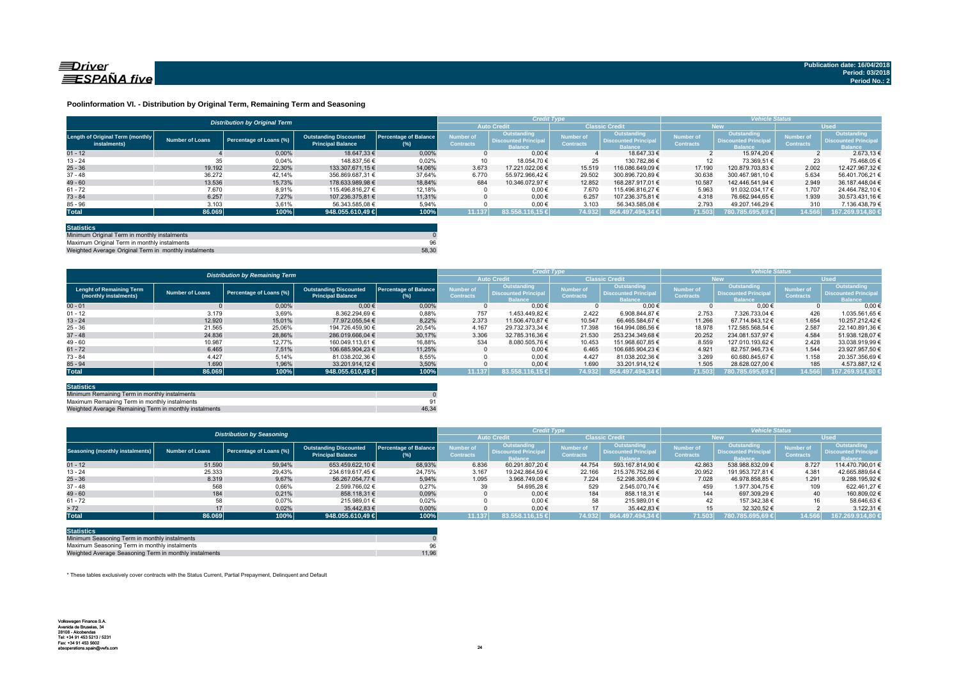

#### **Poolinformation VI. - Distribution by Original Term, Remaining Term and Seasoning**

|                                                  |                 | <b>Distribution by Original Term</b> |                                                           |                              |                                      | <b>Credit Type</b>                                          |                               |                                                             | <b>Vehicle Status</b>                |                                                                    |                                      |                                                             |
|--------------------------------------------------|-----------------|--------------------------------------|-----------------------------------------------------------|------------------------------|--------------------------------------|-------------------------------------------------------------|-------------------------------|-------------------------------------------------------------|--------------------------------------|--------------------------------------------------------------------|--------------------------------------|-------------------------------------------------------------|
|                                                  |                 |                                      |                                                           |                              |                                      | <b>Auto Credit</b>                                          |                               | <b>Classic Credit</b>                                       | <b>New</b>                           |                                                                    | <b>Used</b>                          |                                                             |
| Length of Original Term (monthly<br>instalments) | Number of Loans | Percentage of Loans (%)              | <b>Outstanding Discounted</b><br><b>Principal Balance</b> | Percentage of Balance<br>(%) | <b>Number of</b><br><b>Contracts</b> | Outstanding<br><b>Discounted Principa</b><br><b>Balance</b> | Number of<br><b>Contracts</b> | Outstanding<br><b>Discounted Principa</b><br><b>Balance</b> | <b>Number of</b><br><b>Contracts</b> | <b>Outstanding</b><br><b>Discounted Principa</b><br><b>Balance</b> | <b>Number of</b><br><b>Contracts</b> | Outstanding<br><b>Discounted Principa</b><br><b>Balance</b> |
| $01 - 12$                                        |                 | 0.00%                                | 18.647.33 €                                               | 0.00%                        |                                      | $0.00 \in$                                                  |                               | 18.647.33 €                                                 |                                      | 15.974.20 €                                                        |                                      | 2.673.13 €                                                  |
| $13 - 24$                                        | 35              | 0,04%                                | 148.837.56 €                                              | 0.02%                        | 10                                   | 18.054.70 €                                                 | 25                            | 130.782.86 €                                                |                                      | 73.369.51 €                                                        | 23                                   | 75.468.05 €                                                 |
| $25 - 36$                                        | 19.192          | 22.30%                               | 133.307.671.15 €                                          | 14.06%                       | 3.673                                | 17.221.022.06 €                                             | 15.519                        | 116.086.649.09 €                                            | 17.190                               | 120.879.703.83 €                                                   | 2.002                                | 12.427.967.32 €                                             |
| $37 - 48$                                        | 36.272          | 42.14%                               | 356.869.687.31 €                                          | 37,64%                       | 6.770                                | 55.972.966.42 €                                             | 29.502                        | 300.896.720.89 €                                            | 30.638                               | 300.467.981.10 €                                                   | 5.634                                | 56.401.706.21 €                                             |
| $49 - 60$                                        | 13.536          | 15.73%                               | 178.633.989.98 €                                          | 18.84%                       | 684                                  | 10.346.072.97 €                                             | 12.852                        | 168.287.917.01 €                                            | 10.587                               | 142.446.541.94 €                                                   | 2.949                                | 36.187.448.04 €                                             |
| $61 - 72$                                        | 7.670           | 8,91%                                | 115.496.816.27 €                                          | 12,18%                       |                                      | $0.00 \in$                                                  | 7.670                         | 115.496.816.27 €                                            | 5.963                                | 91.032.034.17 €                                                    | 1.707                                | 24.464.782.10 €                                             |
| $73 - 84$                                        | 6.257           | 7.27%                                | 107.236.375.81 €                                          | 11.31%                       |                                      | $0.00 \in$                                                  | 6.257                         | 107.236.375.81 €                                            | 4.318                                | 76.662.944.65 €                                                    | 1.939                                | 30.573.431.16 €                                             |
| $85 - 96$                                        | 3.103           | 3,61%                                | 56.343.585.08 €                                           | 5,94%                        |                                      | $0,00 \in$                                                  | 3.103                         | 56.343.585.08 €                                             | 2.793                                | 49.207.146.29 €                                                    | 310                                  | 7.136.438.79 €                                              |
| <b>Total</b>                                     | 86.069          | 100%                                 | 948.055.610,49                                            | 100%                         | 11.137                               | 83.558.116.15 €                                             | 74.932                        | 864.497.494.34 €                                            | 71.503                               | 780.785.695.69 €                                                   | 14.566                               | 167.269.914,80 €                                            |

| <b>Statistics</b>                                     |       |
|-------------------------------------------------------|-------|
| Minimum Original Term in monthly instalments          |       |
| Maximum Original Term in monthly instalments          | 96    |
| Weighted Average Original Term in monthly instalments | 58.30 |

Weighted Average Original Term in monthly insta

|                                                          |                        | <b>Distribution by Remaining Term</b> |                                                           |                                        |                               | <b>Credit Type</b>                                           |                               |                                                             | <b>Vehicle Status</b>                |                                                             |                                      |                                                             |  |
|----------------------------------------------------------|------------------------|---------------------------------------|-----------------------------------------------------------|----------------------------------------|-------------------------------|--------------------------------------------------------------|-------------------------------|-------------------------------------------------------------|--------------------------------------|-------------------------------------------------------------|--------------------------------------|-------------------------------------------------------------|--|
|                                                          |                        |                                       |                                                           |                                        |                               | <b>Auto Credit</b>                                           |                               | <b>Classic Credit</b>                                       | <b>New</b>                           |                                                             | <b>Used</b>                          |                                                             |  |
| <b>Lenght of Remaining Term</b><br>(monthly instalments) | <b>Number of Loans</b> | Percentage of Loans (%)               | <b>Outstanding Discounted</b><br><b>Principal Balance</b> | <b>Percentage of Balance</b><br>$(\%)$ | Number of<br><b>Contracts</b> | Outstanding<br><b>Discounted Principal</b><br><b>Ralance</b> | Number of<br><b>Contracts</b> | Outstanding<br><b>Discounted Principa</b><br><b>Balance</b> | <b>Number of</b><br><b>Contracts</b> | Outstanding<br><b>Discounted Principa</b><br><b>Balance</b> | <b>Number of</b><br><b>Contracts</b> | Outstanding<br><b>Discounted Principa</b><br><b>Balance</b> |  |
| $00 - 01$                                                |                        | 0,00%                                 | $0.00 \in$                                                | 0.00%                                  |                               | $0.00 \in$                                                   |                               | $0.00 \in$                                                  |                                      | $0.00 \in$                                                  |                                      | 0.00                                                        |  |
| $01 - 12$                                                | 3.179                  | 3,69%                                 | 8.362.294.69 €                                            | 0,88%                                  | 757                           | 1.453.449.82 €                                               | 2.422                         | 6.908.844.87 €                                              | 2.753                                | 7.326.733.04 €                                              | 426                                  | 1.035.561.65 €                                              |  |
| $13 - 24$                                                | 12.920                 | 15.01%                                | 77.972.055.54 €                                           | 8.22%                                  | 2.373                         | 11.506.470.87 €                                              | 10.547                        | 66.465.584.67 €                                             | 11.266                               | 67.714.843.12 €                                             | 1.654                                | 10.257.212.42 €                                             |  |
| $25 - 36$                                                | 21.565                 | 25,06%                                | 194.726.459.90 €                                          | 20,54%                                 | 4.167                         | 29.732.373.34 €                                              | 17.398                        | 164.994.086.56 €                                            | 18.978                               | 172.585.568.54 €                                            | 2.587                                | 22.140.891.36 €                                             |  |
| $37 - 48$                                                | 24.836                 | 28,86%                                | 286.019.666.04 €                                          | 30.17%                                 | 3.306                         | 32.785.316.36 €                                              | 21.530                        | 253.234.349.68 €                                            | 20.252                               | 234.081.537.97 €                                            | 4.584                                | 51.938.128.07 €                                             |  |
| $49 - 60$                                                | 10.987                 | 12.77%                                | 160.049.113.61 €                                          | 16,88%                                 | 534                           | 8.080.505,76 €                                               | 10.453                        | 151.968.607.85 €                                            | 8.559                                | 127.010.193.62 €                                            | 2.428                                | 33.038.919.99 €                                             |  |
| $61 - 72$                                                | 6.465                  | 7.51%                                 | 106.685.904.23 €                                          | 11.25%                                 |                               | $0.00 \in$                                                   | 6.465                         | 106.685.904.23 €                                            | 4.921                                | 82.757.946.73 €                                             | 1.544                                | 23.927.957.50 €                                             |  |
| $73 - 84$                                                | 4.427                  | 5,14%                                 | 81.038.202.36 €                                           | 8.55%                                  |                               | $0.00 \in$                                                   | 4.427                         | 81.038.202.36 €                                             | 3.269                                | 60.680.845.67 €                                             | 1.158                                | 20.357.356.69 €                                             |  |
| $85 - 94$                                                | 1.690                  | 1,96%                                 | 33.201.914.12 €                                           | 3,50%                                  |                               | $0.00 \in$                                                   | 1.690                         | 33.201.914.12 €                                             | 1.505                                | 28.628.027.00 €                                             | 185                                  | 4.573.887,12 €                                              |  |
| <b>Total</b>                                             | 86.069                 | 100%                                  | 948.055.610,49 €                                          | 100%                                   | 11.137                        | 83.558.116.15 €                                              | 74.932                        | 864.497.494.34 €                                            | 71.503                               | 780.785.695.69 €                                            | 14.566                               | 167.269.914,80                                              |  |

| <b>Statistics</b>                                      |       |
|--------------------------------------------------------|-------|
| Minimum Remaining Term in monthly instalments          |       |
| Maximum Remaining Term in monthly instalments          | 91    |
| Weighted Average Remaining Term in monthly instalments | 46.34 |

|                                        |                        | <b>Distribution by Seasoning</b> |                                                           |                                     | <b>Credit Type</b>            |                                                              |                                      | <b>Vehicle Status</b>                                        |                                      |                                                                     |                                      |                                                             |
|----------------------------------------|------------------------|----------------------------------|-----------------------------------------------------------|-------------------------------------|-------------------------------|--------------------------------------------------------------|--------------------------------------|--------------------------------------------------------------|--------------------------------------|---------------------------------------------------------------------|--------------------------------------|-------------------------------------------------------------|
|                                        |                        |                                  |                                                           |                                     |                               | <b>Auto Credit</b>                                           | <b>Classic Credit</b>                |                                                              | <b>New</b>                           |                                                                     | <b>Used</b>                          |                                                             |
| <b>Seasoning (monthly instalments)</b> | <b>Number of Loans</b> | Percentage of Loans (%)          | <b>Outstanding Discounted</b><br><b>Principal Balance</b> | <b>Percentage of Balance</b><br>(%) | Number of<br><b>Contracts</b> | Outstanding<br><b>Discounted Principal</b><br><b>Ralance</b> | <b>lumber</b> of<br><b>Contracts</b> | Outstanding<br><b>Discounted Principal</b><br><b>Balance</b> | <b>Number</b> of<br><b>Contracts</b> | <b>Outstanding</b><br><b>Discounted Principal</b><br><b>Balance</b> | <b>Number of</b><br><b>Contracts</b> | <b>Outstanding</b><br><b>Discounted Principal</b><br>alance |
| $01 - 12$                              | 51.590                 | 59,94%                           | 653.459.622.10 €                                          | 68,93%                              | 6.836                         | 60.291.807.20 €                                              | 44.754                               | 593.167.814.90 €                                             | 42.863                               | 538.988.832,09 €                                                    | 8.727                                | 114.470.790.01 €                                            |
| $13 - 24$                              | 25.333                 | 29,43%                           | 234.619.617.45 €                                          | 24,75%                              | 3.167                         | 19.242.864.59 €                                              | 22.166                               | 215.376.752.86 €                                             | 20.952                               | 191.953.727.81 €                                                    | 4.381                                | 42.665.889,64 €                                             |
| $25 - 36$                              | 8.319                  | 9,67%                            | 56.267.054.77 €                                           | 5,94%                               | 1.095                         | 3.968.749.08 €                                               | 7.224                                | 52.298.305,69 €                                              | 7.028                                | 46.978.858,85 €                                                     | 1.291                                | 9.288.195,92 €                                              |
| $37 - 48$                              | 568                    | 0,66%                            | 2.599.766.02 €                                            | 0,27%                               | 39                            | 54.695.28 €                                                  | 529                                  | 2.545.070.74 €                                               | 459                                  | 1.977.304.75 €                                                      | 109                                  | 622.461.27 €                                                |
| $49 - 60$                              | 184                    | 0.21%                            | 858.118.31 €                                              | 0,09%                               |                               | $0.00 \in$                                                   | 184                                  | 858.118.31 €                                                 | 144                                  | 697.309.29 €                                                        | 40                                   | 160.809.02 €                                                |
| $61 - 72$                              | 58                     | 0,07%                            | 215.989,01 €                                              | 0.02%                               |                               | $0.00 \in$                                                   | 58                                   | 215,989.01 €                                                 |                                      | 157.342.38 €                                                        | 16                                   | 58.646.636                                                  |
| > 72                                   | 17                     | 0.02%                            | 35.442.83 €                                               | 0,00%                               |                               | $0.00 \in$                                                   | 17                                   | 35.442.83 €                                                  | 15                                   | 32.320.52 €                                                         |                                      | 3.122,31                                                    |
| <b>Total</b>                           | 86.069                 | 100%                             | 948.055.610.49 €                                          | 100%                                | 11.137                        | 83.558.116.15 €                                              | 74.932                               | 864.497.494.34 €                                             | 71.503                               | 780.785.695.69 €                                                    | 14.566                               | 167.269.914.80 €                                            |

| <b>Statistics</b>                                      |       |
|--------------------------------------------------------|-------|
| Minimum Seasoning Term in monthly instalments          |       |
| Maximum Seasoning Term in monthly instalments          | 96    |
| Weighted Average Seasoning Term in monthly instalments | 11.96 |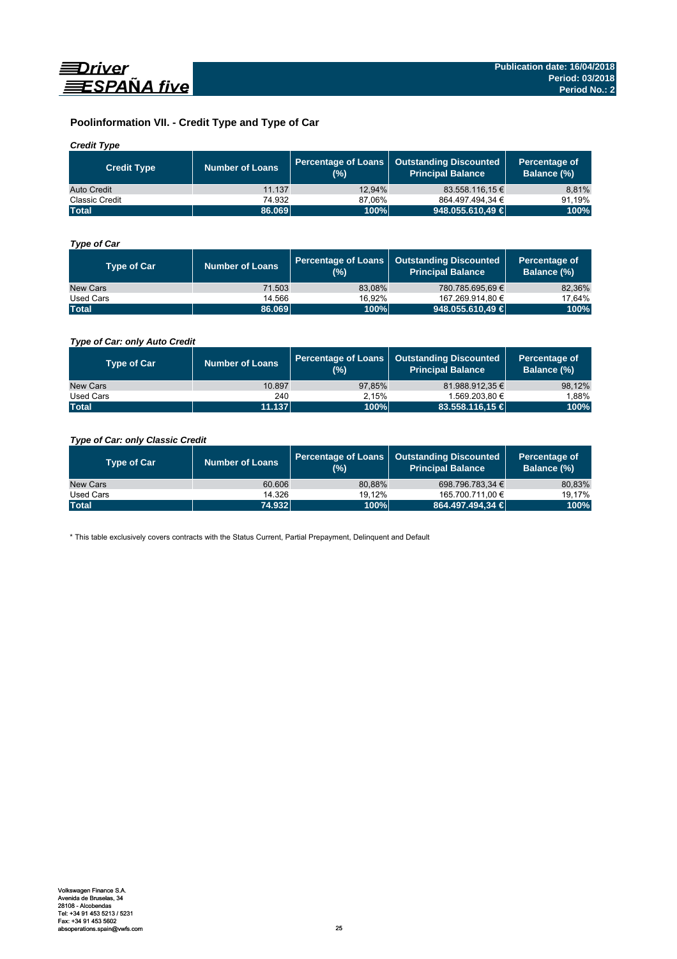

# **Poolinformation VII. - Credit Type and Type of Car**

# *Credit Type*

| <b>Credit Type</b>    | <b>Number of Loans</b> | (%)    | Percentage of Loans   Outstanding Discounted<br>l Principal Balance <sup>l</sup> | Percentage of<br>Balance (%) |
|-----------------------|------------------------|--------|----------------------------------------------------------------------------------|------------------------------|
| Auto Credit           | 11.137                 | 12.94% | 83.558.116.15 €                                                                  | 8,81%                        |
| <b>Classic Credit</b> | 74.932                 | 87.06% | 864.497.494.34 €                                                                 | 91.19%                       |
| <b>Total</b>          | 86.069                 | 100%   | 948.055.610,49 €                                                                 | 100%                         |

# *Type of Car*

| <b>Type of Car</b> | <b>Number of Loans</b> | (%)    | Percentage of Loans   Outstanding Discounted<br><b>Principal Balance</b> | Percentage of<br>Balance (%) |
|--------------------|------------------------|--------|--------------------------------------------------------------------------|------------------------------|
| New Cars           | 71.503                 | 83.08% | 780.785.695.69 €                                                         | 82,36%                       |
| Used Cars          | 14.566                 | 16.92% | 167.269.914,80 €                                                         | 17,64%                       |
| <b>Total</b>       | 86.069                 | 100%   | 948.055.610,49                                                           | 100%                         |

# *Type of Car: only Auto Credit*

| <b>Type of Car</b> | <b>Number of Loans</b> | (%)    | Percentage of Loans   Outstanding Discounted<br><b>Principal Balance</b> | Percentage of<br>Balance (%) |
|--------------------|------------------------|--------|--------------------------------------------------------------------------|------------------------------|
| New Cars           | 10.897                 | 97.85% | 81.988.912.35 €                                                          | 98,12%                       |
| Used Cars          | 240                    | 2.15%  | 1.569.203.80 €                                                           | 1,88%                        |
| <b>Total</b>       | 11.137                 | 100%   | $83.558.116.15 \in$                                                      | 100%                         |

# *Type of Car: only Classic Credit*

| <b>Type of Car</b> | <b>Number of Loans</b> | (%)    | Percentage of Loans   Outstanding Discounted<br><b>Principal Balance</b> | Percentage of<br>Balance (%) |
|--------------------|------------------------|--------|--------------------------------------------------------------------------|------------------------------|
| New Cars           | 60.606                 | 80.88% | 698.796.783.34 €                                                         | 80,83%                       |
| Used Cars          | 14.326                 | 19.12% | 165.700.711,00 €                                                         | 19.17%                       |
| <b>Total</b>       | 74.932                 | 100%   | 864.497.494,34 €                                                         | 100%                         |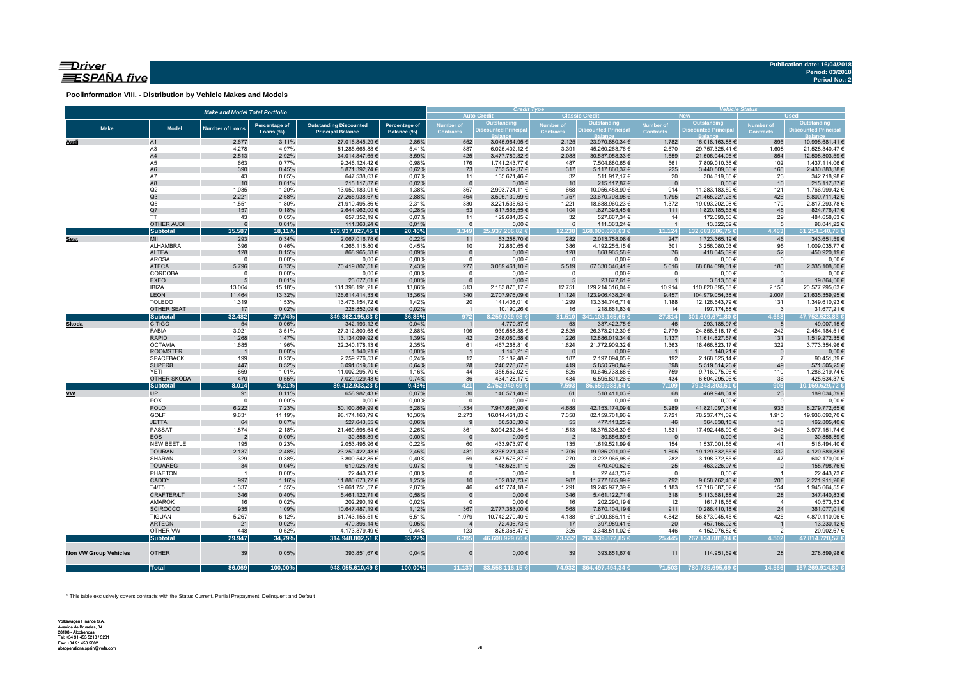# $\equiv$ Driver ESPAÑA five

**Poolinformation VIII. - Distribution by Vehicle Makes and Models**

|                              |                                     | <b>Make and Model Total Portfolio</b> |                |                                    |                |                    | <b>Credit Type</b>                         |                          |                                             | <b>Vehicle Status</b>           |                                           |                                            |                                           |  |  |
|------------------------------|-------------------------------------|---------------------------------------|----------------|------------------------------------|----------------|--------------------|--------------------------------------------|--------------------------|---------------------------------------------|---------------------------------|-------------------------------------------|--------------------------------------------|-------------------------------------------|--|--|
|                              |                                     |                                       |                |                                    |                |                    | <b>Auto Credit</b>                         |                          | <b>Classic Credit</b>                       |                                 | <b>New</b>                                |                                            | <b>Used</b>                               |  |  |
| <b>Make</b>                  | <b>Model</b>                        | <b>Number of Loans</b>                | Percentage of  | <b>Outstanding Discounted</b>      | Percentage of  | <b>Number of</b>   | <b>Outstanding<br/>Discounted Principa</b> | <b>Number of</b>         | <b>Outstanding<br/>Discounted Principal</b> | <b>Number of</b>                | Outstanding<br><b>Discounted Principa</b> | Number of                                  | Outstanding<br><b>Discounted Principa</b> |  |  |
|                              |                                     |                                       | Loans (%)      | <b>Principal Balance</b>           | Balance (%)    | <b>Contracts</b>   |                                            | <b>Contracts</b>         |                                             | <b>Contracts</b>                |                                           | <b>Contracts</b>                           |                                           |  |  |
| Audi                         | A1                                  | 2.677                                 | 3,11%          | 27.016.845,29 €                    | 2,85%          | 552                | 3.045.964,95 €                             | 2.125                    | 23.970.880,34 €                             | 1.782                           | 16.018.163,88 €                           | 895                                        | 10.998.681,41 €                           |  |  |
|                              | A3                                  | 4.278                                 | 4,97%          | 51.285.665,88 €                    | 5,41%          | 887                | 6.025.402,12 €                             | 3.391                    | 45.260.263,76 €                             | 2.670                           | 29.757.325,41 €                           | 1.608                                      | 21.528.340,47 €                           |  |  |
|                              | A4                                  | 2.513                                 | 2,92%          | 34.014.847,65 €                    | 3,59%          | 425                | 3.477.789,32 €                             | 2.088                    | 30.537.058,33 €                             | 1.659                           | 21.506.044,06 €                           | 854                                        | 12.508.803,59 €                           |  |  |
|                              | A5                                  | 663                                   | 0,77%          | 9.246.124,42 €                     | 0,98%          | 176                | 1.741.243,77 €                             | 487                      | 7.504.880,65 €                              | 561                             | 7.809.010,36 €                            | 102                                        | 1.437.114,06 €                            |  |  |
|                              | A <sub>6</sub>                      | 390                                   | 0,45%          | 5.871.392,74 €                     | 0,62%          | 73                 | 753.532,37 €                               | 317                      | 5.117.860,37 €                              | 225                             | 3.440.509,36 €                            | 165                                        | 2.430.883,38 €                            |  |  |
|                              | A7                                  | 43                                    | 0,05%          | 647.538,63 €                       | 0,07%          | 11                 | 135.621,46 €                               | 32                       | 511.917,17€                                 | 20                              | 304.819,65 €                              | 23                                         | 342.718,98 €                              |  |  |
|                              | A8                                  | 10                                    | 0,01%          | 215.117,87 €                       | 0,02%          | $\overline{0}$     | $0,00 \in$                                 | 10                       | 215.117,87 €                                | $\overline{0}$                  | $0,00 \in$                                | 10                                         | 215.117,87 €                              |  |  |
|                              | Q2<br>Q3                            | 1.035                                 | 1,20%          | 13.050.183,01 €                    | 1,38%          | 367                | 2.993.724,11 €                             | 668                      | 10.056.458,90 €                             | 914                             | 11.283.183,59 €                           | 121                                        | 1.766.999,42 €                            |  |  |
|                              | Q <sub>5</sub>                      | 2.221<br>1.551                        | 2,58%<br>1,80% | 27.265.938,67 €<br>21.910.495,86 € | 2,88%<br>2,31% | 464<br>330         | 3.595.139,69 €<br>3.221.535,63 €           | 1.757<br>1.221           | 23.670.798,98 €<br>18.688.960,23 €          | 1.795<br>1.372                  | 21.465.227,25 €<br>19.093.202,08 €        | 426<br>179                                 | 5.800.711,42 €<br>2.817.293,78 €          |  |  |
|                              | Q7                                  | 157                                   | 0,18%          | 2.644.962,00 €                     | 0,28%          | 53                 | 817.568,55 €                               | 104                      | 1.827.393,45 €                              | 111                             | 1.820.185,53 €                            | 46                                         | 824.776,47€                               |  |  |
|                              | <b>TT</b>                           | 43                                    | 0,05%          | 657.352,19€                        | 0,07%          | 11                 | 129.684,85 €                               | 32                       | 527.667,34 €                                | 14                              | 172.693,56 €                              | 29                                         | 484.658,63 €                              |  |  |
|                              | <b>OTHER AUDI</b>                   | 6                                     | 0,01%          | 111.363,24 €                       | 0,01%          | $\mathbf{0}$       | $0,00 \in$                                 | 6                        | 111.363,24 €                                | $\overline{1}$                  | 13.322,02 €                               | 5                                          | 98.041,22 €                               |  |  |
|                              | <b>Subtotal</b>                     | 15.587                                | 18,11%         | 193.937.827,45 €                   | 20,46%         | 3.349              | 25.937.206,82 €                            | 12.238                   | 168.000.620.63 €                            | 11.124                          | 132.683.686,75 €                          | 4.463                                      | 61.254.140,70 €                           |  |  |
| <b>Seat</b>                  | MII                                 | 293                                   | 0,34%          | 2.067.016,78 €                     | 0,22%          | 11                 | 53.258,70 €                                | 282                      | 2.013.758,08 €                              | 247                             | 1.723.365,19 €                            | 46                                         | 343.651,59 €                              |  |  |
|                              | ALHAMBRA                            | 396                                   | 0,46%          | 4.265.115,80 €                     | 0,45%          | 10                 | 72.860,65 €                                | 386                      | 4.192.255,15 €                              | 301                             | 3.256.080,03 €                            | 95                                         | 1.009.035,77 €                            |  |  |
|                              | ALTEA                               | 128                                   | 0,15%          | 868.965,58€                        | 0,09%          | $\mathbf{0}$       | $0,00 \in$                                 | 128                      | 868.965,58€                                 | 76                              | 418.045,39 €                              | 52                                         | 450.920,19€                               |  |  |
|                              | <b>AROSA</b>                        | $\mathbf 0$                           | 0,00%          | $0,00 \in$                         | 0,00%          | $\mathbf 0$        | $0,00 \in$                                 | $\mathbf 0$              | $0,00 \in$                                  | $\overline{0}$                  | $0,00 \in$                                | $\circ$                                    | $0,00 \in$                                |  |  |
|                              | <b>ATECA</b>                        | 5.796                                 | 6,73%          | 70.419.807,51 €                    | 7,43%          | 277                | 3.089.461,10 €                             | 5.519                    | 67.330.346,41 €                             | 5.616                           | 68.084.699,01 €                           | 180                                        | 2.335.108,50 €                            |  |  |
|                              | CORDOBA                             | $\mathbf 0$                           | 0,00%          | $0,00 \in$                         | 0,00%          | $\mathsf 0$        | $0,00 \in$                                 | $\mathbf 0$              | $0,00 \in$                                  | $\overline{\mathbf{0}}$         | $0,00 \in$                                | $\circ$                                    | $0,00 \in$                                |  |  |
|                              | <b>EXEO</b>                         | 5                                     | 0,01%          | 23.677,61 €                        | 0,00%          | $\Omega$           | $0,00 \in$                                 | 5                        | 23.677,61 €                                 |                                 | 3.813,55 €                                | $\overline{4}$                             | 19.864,06 €                               |  |  |
|                              | <b>IBIZA</b>                        | 13.064                                | 15,18%         | 131.398.191,21 €                   | 13,86%         | 313                | 2.183.875,17 €                             | 12.751                   | 129.214.316,04 €                            | 10.914                          | 110.820.895,58 €                          | 2.150                                      | 20.577.295,63 €                           |  |  |
|                              | <b>LEON</b>                         | 11.464                                | 13,32%         | 126.614.414,33 €                   | 13,36%         | 340                | 2.707.976,09 €                             | 11.124                   | 123.906.438,24 €                            | 9.457                           | 104.979.054,38 €                          | 2.007                                      | 21.635.359,95 €                           |  |  |
|                              | <b>TOLEDO</b>                       | 1.319                                 | 1,53%          | 13.476.154,72 €                    | 1,42%          | 20                 | 141.408,01 €                               | 1.299                    | 13.334.746,71 €                             | 1.188                           | 12.126.543,79 €                           | 131                                        | 1.349.610,93 €                            |  |  |
|                              | OTHER SEAT                          | 17                                    | 0,02%          | 228.852,09 €                       | 0,02%          | $\overline{1}$     | 10.190,26 €                                | 16                       | 218.661,83 €                                | 14                              | 197.174,88 €                              | $\overline{\mathbf{3}}$                    | 31.677,21 €                               |  |  |
|                              | <b>Subtotal</b>                     | 32.482                                | 37,74%         | 349.362.195,63 €                   | 36,85%         | 972                | 8.259.029,98 €                             | 31.510                   | 341.103.165,65 €                            | 27.814                          | 301.609.671,80 €                          | 1.668                                      | 47.752.523,83 €                           |  |  |
| Skoda                        | <b>CITIGO</b>                       | 54                                    | 0,06%          | 342.193,12 €                       | 0,04%          | $\overline{1}$     | 4.770,37 €                                 | 53                       | 337.422,75 €                                | 46                              | 293.185,97 €                              | 8                                          | 49.007,15€                                |  |  |
|                              | FABIA                               | 3.021                                 | 3,51%          | 27.312.800,68 €                    | 2,88%          | 196                | 939.588,38 €                               | 2.825                    | 26.373.212,30 €                             | 2.779                           | 24.858.616,17 €                           | 242                                        | 2.454.184,51 €                            |  |  |
|                              | <b>RAPID</b>                        | 1.268                                 | 1,47%          | 13.134.099,92 €                    | 1,39%          | 42                 | 248.080,58 €                               | 1.226                    | 12.886.019,34 €                             | 1.137                           | 11.614.827,57 €                           | 131                                        | 1.519.272,35 €                            |  |  |
|                              | <b>OCTAVIA</b>                      | 1.685                                 | 1,96%          | 22.240.178,13 €                    | 2,35%          | 61                 | 467.268,81 €                               | 1.624                    | 21.772.909,32 €                             | 1.363                           | 18.466.823,17 €                           | 322                                        | 3.773.354,96 €                            |  |  |
|                              | <b>ROOMSTER</b><br><b>SPACEBACK</b> | $\overline{\phantom{0}}$<br>199       | 0,00%<br>0,23% | 1.140,21€<br>2.259.276,53 €        | 0,00%<br>0,24% | $\mathbf{1}$<br>12 | 1.140,21 €<br>62.182,48€                   | - 0<br>187               | $0,00 \in$<br>2.197.094,05 €                | $\overline{\phantom{0}}$<br>192 | 1.140,21 €<br>2.168.825,14 €              | $\overline{\phantom{0}}$<br>$\overline{7}$ | $0,00 \in$<br>90.451,39€                  |  |  |
|                              | <b>SUPERB</b>                       | 447                                   | 0,52%          | 6.091.019,51 €                     | 0,64%          | 28                 | 240.228,67€                                | 419                      | 5.850.790,84 €                              | 398                             | 5.519.514,26 €                            | 49                                         | 571.505,25 €                              |  |  |
|                              | <b>YETI</b>                         | 869                                   | 1,01%          | 11.002.295,70 €                    | 1,16%          | 44                 | 355.562,02€                                | 825                      | 10.646.733,68 €                             | 759                             | 9.716.075,96 €                            | 110                                        | 1.286.219,74 €                            |  |  |
|                              | OTHER SKODA                         | 470                                   | 0,55%          | 7.029.929,43 €                     | 0,74%          | 36                 | 434.128,17 €                               | 434                      | 6.595.801,26 €                              | 434                             | 6.604.295,06 €                            | 36                                         | 425.634,37 €                              |  |  |
|                              | <b>Subtotal</b>                     | 8.014                                 | 9,31%          | 89.412.933,23 €                    | 9,43%          | 421                | 2.752.949,69 €                             | 7.593                    | 6.659.983,54€                               | 7.109                           | 79.243.303,51 €                           | 905                                        | 10.169.629,72 €                           |  |  |
| <b>VW</b>                    | <b>UP</b>                           | 91                                    | 0,11%          | 658.982,43 €                       | 0,07%          | 30                 | 140.571,40 €                               | 61                       | 518.411,03 €                                | 68                              | 469.948,04 €                              | 23                                         | 189.034,39 €                              |  |  |
|                              | <b>FOX</b>                          | $\overline{0}$                        | 0,00%          | $0,00 \in$                         | 0,00%          | $^{\circ}$         | $0,00 \in$                                 | $\Omega$                 | $0,00 \in$                                  | $\overline{0}$                  | $0,00 \in$                                | $\overline{0}$                             | $0,00 \in$                                |  |  |
|                              | <b>POLO</b>                         | 6.222                                 | 7,23%          | 50.100.869,99 €                    | 5,28%          | 1.534              | 7.947.695,90 €                             | 4.688                    | 42.153.174,09 €                             | 5.289                           | 41.821.097,34 €                           | 933                                        | 8.279.772,65 €                            |  |  |
|                              | GOLF                                | 9.631                                 | 11,19%         | 98.174.163,79 €                    | 10,36%         | 2.273              | 16.014.461,83 €                            | 7.358                    | 82.159.701,96 €                             | 7.721                           | 78.237.471,09 €                           | 1.910                                      | 19.936.692,70 €                           |  |  |
|                              | <b>JETTA</b>                        | 64                                    | 0,07%          | 527.643,55 €                       | 0,06%          | 9                  | 50.530,30 €                                | 55                       | 477.113,25 €                                | 46                              | 364.838,15 €                              | 18                                         | 162.805,40 €                              |  |  |
|                              | PASSAT                              | 1.874                                 | 2,18%          | 21.469.598,64 €                    | 2,26%          | 361                | 3.094.262,34 €                             | 1.513                    | 18.375.336,30 €                             | 1.531                           | 17.492.446,90 €                           | 343                                        | 3.977.151,74 €                            |  |  |
|                              | <b>EOS</b>                          | $\overline{2}$                        | 0,00%          | 30.856,89 €                        | 0,00%          | $\mathbf{0}$       | $0,00 \in$                                 | $\overline{2}$           | 30.856,89€                                  | $\overline{0}$                  | $0,00 \in$                                | $\overline{2}$                             | 30.856,89 €                               |  |  |
|                              | NEW BEETLE                          | 195                                   | 0,23%          | 2.053.495,96 €                     | 0,22%          | 60                 | 433.973,97 €                               | 135                      | 1.619.521,99 €                              | 154                             | 1.537.001,56 €                            | 41                                         | 516.494,40 €                              |  |  |
|                              | <b>TOURAN</b>                       | 2.137                                 | 2,48%          | 23.250.422,43 €                    | 2,45%          | 431                | 3.265.221,43 €                             | 1.706                    | 19.985.201,00 €                             | 1.805                           | 19.129.832,55 €                           | 332                                        | 4.120.589,88 €                            |  |  |
|                              | SHARAN                              | 329                                   | 0,38%          | 3.800.542,85 €                     | 0,40%          | 59                 | 577.576,87 €                               | 270                      | 3.222.965,98 €                              | 282                             | 3.198.372,85 €                            | 47                                         | 602.170,00 €                              |  |  |
|                              | <b>TOUAREG</b>                      | 34                                    | 0,04%          | 619.025,73 €                       | 0,07%          | 9                  | 148.625,11 €                               | 25                       | 470.400,62 €                                | 25                              | 463.226,97 €                              | 9                                          | 155.798,76 €                              |  |  |
|                              | PHAETON                             | $\overline{1}$                        | 0,00%          | 22.443,73 €                        | 0,00%          | $\mathsf 0$        | $0,00 \in$                                 | $\overline{\phantom{0}}$ | 22.443,73 €                                 | $\overline{\mathbf{0}}$         | $0,00 \in$                                | $\overline{1}$                             | 22.443,73 €                               |  |  |
|                              | CADDY                               | 997                                   | 1,16%          | 11.880.673,72 €                    | 1,25%          | 10                 | 102.807,73 €                               | 987                      | 11.777.865,99 €                             | 792                             | 9.658.762,46 €                            | 205                                        | 2.221.911,26 €                            |  |  |
|                              | T4/T5                               | 1.337                                 | 1,55%          | 19.661.751,57 €                    | 2,07%          | 46                 | 415.774,18 €                               | 1.291                    | 19.245.977,39 €                             | 1.183                           | 17.716.087,02 €                           | 154                                        | 1.945.664,55 €                            |  |  |
|                              | CRAFTER/LT                          | 346                                   | 0,40%          | 5.461.122,71 €                     | 0,58%          | $\mathbf 0$        | $0,00 \in$                                 | 346                      | 5.461.122,71 €                              | 318                             | 5.113.681,88 €                            | 28                                         | 347.440,83 €                              |  |  |
|                              | AMAROK                              | 16                                    | 0,02%          | 202.290,19 €                       | 0,02%          | $\mathsf 0$        | $0,00 \in$                                 | 16                       | 202.290,19 €                                | 12                              | 161.716,66 €                              | $\overline{4}$                             | 40.573,53 €                               |  |  |
|                              | <b>SCIROCCO</b>                     | 935                                   | 1,09%          | 10.647.487,19 €                    | 1,12%          | 367                | 2.777.383,00 €                             | 568                      | 7.870.104,19 €                              | 911                             | 10.286.410,18 €                           | 24                                         | 361.077,01 €                              |  |  |
|                              | <b>TIGUAN</b>                       | 5.267                                 | 6,12%          | 61.743.155,51 €                    | 6,51%          | 1.079              | 10.742.270,40 €                            | 4.188                    | 51.000.885,11 €                             | 4.842                           | 56.873.045,45 €                           | 425                                        | 4.870.110,06 €                            |  |  |
|                              | <b>ARTEON</b>                       | 21                                    | 0,02%          | 470.396,14 €                       | 0,05%          | $\overline{4}$     | 72.406,73 €                                | 17                       | 397.989,41 €                                | 20                              | 457.166,02 €                              | $\overline{1}$                             | 13.230,12 €                               |  |  |
|                              | OTHER VW                            | 448                                   | 0,52%          | 4.173.879,49 €                     | 0,44%          | 123                | 825.368,47 €                               | 325                      | 3.348.511,02 €                              | 446                             | 4.152.976,82 €                            | 2                                          | 20.902,67 €                               |  |  |
|                              | Subtotal                            | 29.947                                | 34,79%         | 314.948.802,51 €                   | 33,22%         | 6.395              | 46.608.929.66 €                            |                          | 23.552 268.339.872,85 €                     | 25.445                          | 267.134.081,94 €                          | 4.502                                      | 47.814.720,57 €                           |  |  |
| <b>Non VW Group Vehicles</b> | <b>OTHER</b>                        | 39                                    | 0,05%          | 393.851,67 €                       | 0,04%          | $\mathbf{0}$       | $0,00 \in$                                 | 39                       | 393.851,67 €                                | 11                              | 114.951,69 €                              | 28                                         | 278.899,98 €                              |  |  |
|                              | <b>Total</b>                        | 86.069                                | 100,00%        | 948.055.610,49 €                   | 100,00%        | 11.137             | 83.558.116,15 €                            |                          | 74.932 864.497.494,34 €                     | 71.503                          | 780.785.695,69 €                          | 14.566                                     | 167.269.914,80 €                          |  |  |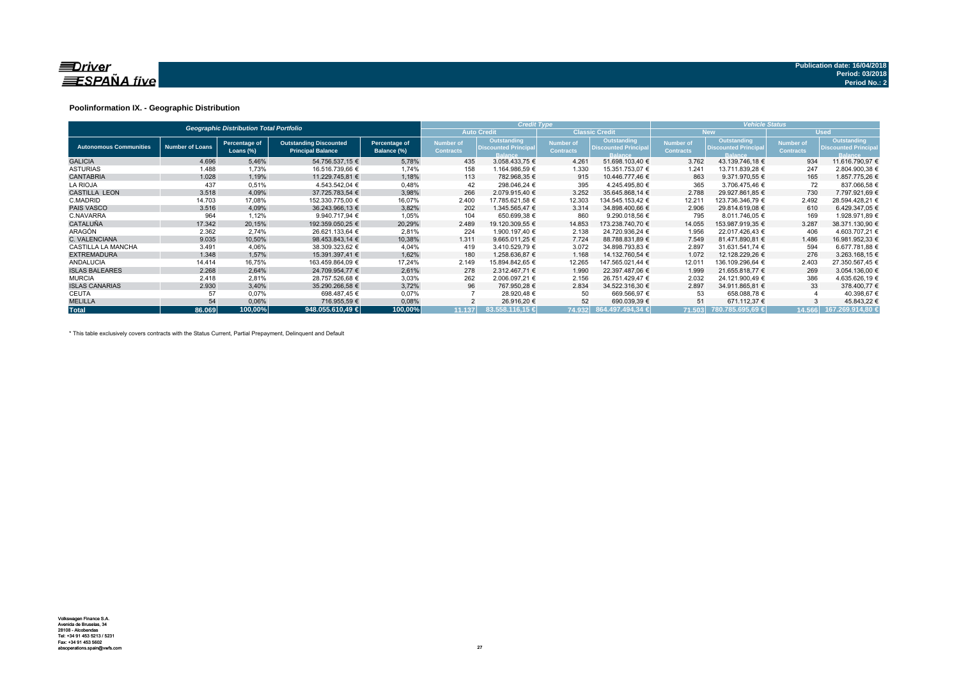

### **Poolinformation IX. - Geographic Distribution**

|                               |                        | <b>Geographic Distribution Total Portfolio</b> |                                                           |                              |                               | <b>Credit Type</b>                                           |                                      |                                                              | <b>Vehicle Status</b>                |                                                              |                               |                                                              |  |  |
|-------------------------------|------------------------|------------------------------------------------|-----------------------------------------------------------|------------------------------|-------------------------------|--------------------------------------------------------------|--------------------------------------|--------------------------------------------------------------|--------------------------------------|--------------------------------------------------------------|-------------------------------|--------------------------------------------------------------|--|--|
|                               |                        |                                                |                                                           |                              |                               | <b>Auto Credit</b>                                           |                                      | <b>Classic Credit</b>                                        |                                      | <b>New</b>                                                   |                               | <b>Used</b>                                                  |  |  |
| <b>Autonomous Communities</b> | <b>Number of Loans</b> | Percentage of<br>Loans $(\%)$                  | <b>Outstanding Discounted</b><br><b>Principal Balance</b> | Percentage of<br>Balance (%) | Number of<br><b>Contracts</b> | Outstanding<br><b>Discounted Principal</b><br><b>Balance</b> | <b>Number of</b><br><b>Contracts</b> | Outstanding<br><b>Discounted Principal</b><br><b>Balance</b> | <b>Number of</b><br><b>Contracts</b> | Outstanding<br><b>Discounted Principal</b><br><b>Balance</b> | Number of<br><b>Contracts</b> | Outstanding<br><b>Discounted Principal</b><br><b>Balance</b> |  |  |
| <b>GALICIA</b>                | 4.696                  | 5,46%                                          | 54.756.537,15 €                                           | 5,78%                        | 435                           | 3.058.433,75 €                                               | 4.261                                | 51.698.103,40 €                                              | 3.762                                | 43.139.746.18 €                                              | 934                           | 11.616.790,97 €                                              |  |  |
| <b>ASTURIAS</b>               | 1.488                  | 1,73%                                          | 16.516.739,66 €                                           | 1,74%                        | 158                           | 1.164.986,59 €                                               | 1.330                                | 15.351.753,07 €                                              | 1.241                                | 13.711.839,28 €                                              | 247                           | 2.804.900,38 €                                               |  |  |
| <b>CANTABRIA</b>              | 1.028                  | 1,19%                                          | 11.229.745.81 €                                           | 1,18%                        | 113                           | 782.968.35 €                                                 | 915                                  | 10.446.777.46 €                                              | 863                                  | 9.371.970.55 €                                               | 165                           | 1.857.775.26 €                                               |  |  |
| <b>LA RIOJA</b>               | 437                    | 0,51%                                          | 4.543.542.04 €                                            | 0,48%                        | 42                            | 298.046,24 €                                                 | 395                                  | 4.245.495,80 €                                               | 365                                  | 3.706.475.46 €                                               | 72                            | 837.066,58 €                                                 |  |  |
| <b>CASTILLA LEON</b>          | 3.518                  | 4,09%                                          | 37.725.783.54 €                                           | 3,98%                        | 266                           | 2.079.915.40 €                                               | 3.252                                | 35.645.868.14 €                                              | 2.788                                | 29.927.861.85 €                                              | 730                           | 7.797.921,69 €                                               |  |  |
| C.MADRID                      | 14.703                 | 17,08%                                         | 152.330.775.00 €                                          | 16,07%                       | 2.400                         | 17.785.621,58 €                                              | 12.303                               | 134.545.153.42 €                                             | 12.21'                               | 123.736.346.79 €                                             | 2.492                         | 28.594.428,21 €                                              |  |  |
| <b>PAIS VASCO</b>             | 3.516                  | 4,09%                                          | 36.243.966.13 €                                           | 3,82%                        | 202                           | 1.345.565.47 €                                               | 3.314                                | 34.898.400,66 €                                              | 2.906                                | 29.814.619,08 €                                              | 610                           | 6.429.347.05 €                                               |  |  |
| C.NAVARRA                     | 964                    | 1,12%                                          | 9.940.717.94 €                                            | 1,05%                        | 104                           | 650.699,38 €                                                 | 860                                  | 9.290.018,56 €                                               | 795                                  | 8.011.746,05 €                                               | 169                           | 1.928.971,89 €                                               |  |  |
| <b>CATALUÑA</b>               | 17.342                 | 20,15%                                         | 192.359.050.25 €                                          | 20,29%                       | 2.489                         | 19.120.309,55 €                                              | 14.853                               | 173.238.740.70 €                                             | 14.055                               | 153.987.919,35 €                                             | 3.287                         | 38.371.130,90 €                                              |  |  |
| ARAGÓN                        | 2.362                  | 2.74%                                          | 26.621.133.64 €                                           | 2,81%                        | 224                           | 1.900.197.40 €                                               | 2.138                                | 24.720.936,24 €                                              | 1.956                                | 22.017.426.43 €                                              | 406                           | 4.603.707.21 €                                               |  |  |
| C. VALENCIANA                 | 9.035                  | 10,50%                                         | 98.453.843.14 €                                           | 10,38%                       | 1.311                         | 9.665.011,25 €                                               | 7.724                                | 88.788.831.89 €                                              | 7.549                                | 81.471.890,81 €                                              | 1.486                         | 16.981.952.33 €                                              |  |  |
| <b>CASTILLA LA MANCHA</b>     | 3.491                  | 4,06%                                          | 38.309.323,62 €                                           | 4,04%                        | 419                           | 3.410.529,79 €                                               | 3.072                                | 34.898.793,83 €                                              | 2.897                                | 31.631.541,74 €                                              | 594                           | 6.677.781,88 €                                               |  |  |
| <b>EXTREMADURA</b>            | 1.348                  | 1,57%                                          | 15.391.397.41 €                                           | 1,62%                        | 180                           | 1.258.636.87 €                                               | 1.168                                | 14.132.760,54 €                                              | 1.072                                | 12.128.229.26 €                                              | 276                           | 3.263.168,15 €                                               |  |  |
| <b>ANDALUCIA</b>              | 14.414                 | 16,75%                                         | 163.459.864,09 €                                          | 17,24%                       | 2.149                         | 15.894.842,65 €                                              | 12.265                               | 147.565.021,44 €                                             | 12.011                               | 136.109.296,64 €                                             | 2.403                         | 27.350.567,45 €                                              |  |  |
| <b>ISLAS BALEARES</b>         | 2.268                  | 2,64%                                          | 24.709.954,77 €                                           | 2,61%                        | 278                           | 2.312.467,71 €                                               | 1.990                                | 22.397.487,06 €                                              | 1.999                                | 21.655.818,77 €                                              | 269                           | 3.054.136,00 €                                               |  |  |
| <b>MURCIA</b>                 | 2.418                  | 2,81%                                          | 28.757.526.68 €                                           | 3,03%                        | 262                           | 2.006.097.21 €                                               | 2.156                                | 26.751.429.47 €                                              | 2.032                                | 24.121.900.49 €                                              | 386                           | 4.635.626.19 €                                               |  |  |
| <b>ISLAS CANARIAS</b>         | 2.930                  | 3,40%                                          | 35.290.266.58 €                                           | 3,72%                        | 96                            | 767.950.28 €                                                 | 2.834                                | 34.522.316.30 €                                              | 2.897                                | 34.911.865.81 €                                              | 33                            | 378.400,77 €                                                 |  |  |
| CEUTA                         | 57                     | 0,07%                                          | 698.487,45 €                                              | 0,07%                        |                               | 28.920,48 €                                                  | 50                                   | 669.566,97 €                                                 | 53                                   | 658.088,78 €                                                 |                               | 40.398,67 €                                                  |  |  |
| <b>MELILLA</b>                | 54                     | 0,06%                                          | 716.955,59 €                                              | 0,08%                        |                               | 26.916,20 €                                                  | 52                                   | 690.039,39 €                                                 | 51                                   | 671.112,37 €                                                 |                               | 45.843,22 €                                                  |  |  |
| <b>Total</b>                  | 86.069                 | 100,00%                                        | 948.055.610.49                                            | 100,00%                      | 11.137                        | 83.558.116.15 €                                              |                                      | 74.932 864.497.494,34 €                                      | 71.503                               | 780.785.695,69 €                                             | 14.566                        | 167.269.914,80 €                                             |  |  |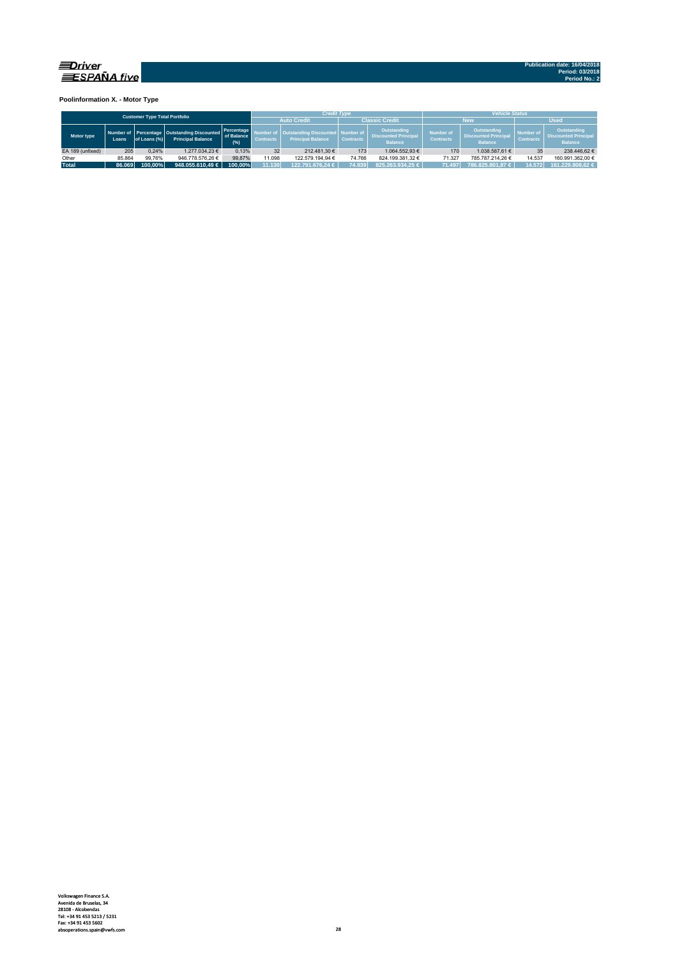

**Poolinformation X. - Motor Type**

|                                      |        |              |                                                                             |                                 |                  | <b>Credit Type</b>                                        |                                 |                                                              | <b>Vehicle Status</b>                |                                                              |                               |                                                              |  |  |
|--------------------------------------|--------|--------------|-----------------------------------------------------------------------------|---------------------------------|------------------|-----------------------------------------------------------|---------------------------------|--------------------------------------------------------------|--------------------------------------|--------------------------------------------------------------|-------------------------------|--------------------------------------------------------------|--|--|
| <b>Customer Type Total Portfolio</b> |        |              |                                                                             |                                 |                  | <b>Auto Credit</b>                                        |                                 | <b>Classic Credit</b>                                        |                                      | New                                                          | <b>Used</b>                   |                                                              |  |  |
| Motor type                           | Loans  | of Loans (%) | Number of Percentage   Outstanding Discounted  <br><b>Principal Balance</b> | Percentage<br>of Balance<br>(%) | <b>Contracts</b> | <b>Outstanding Discounted</b><br><b>Principal Balance</b> | d Number of<br><b>Contracts</b> | Outstanding<br><b>Discounted Principal</b><br><b>Balance</b> | <b>Number of</b><br><b>Contracts</b> | Outstanding<br><b>Discounted Principal</b><br><b>Balance</b> | Number of<br><b>Contracts</b> | Outstanding<br><b>Discounted Principal</b><br><b>Balance</b> |  |  |
| EA 189 (unfixed)                     | 205    | 0.24%        | 1.277.034.23 €                                                              | 0.13%                           | 32               | 212.481.30 €                                              | 173                             | 1.064.552.93 €                                               | 170                                  | 1.038.587.61 €                                               | 35                            | 238.446.62 €                                                 |  |  |
| Other                                | 85.864 | 99.76%       | 946.778.576.26 €                                                            | 99.87%                          | 11.098           | 122.579.194.94 €                                          | 74.766                          | 824.199.381.32 €                                             | 71.327                               | 785.787.214.26 €                                             | 14.537                        | 160.991.362.00 €                                             |  |  |
| <b>Total</b>                         | 86.069 | 100.00%      | 948.055.610.49 $\in$                                                        | 100.00%                         | 11.130           | 122.791.676.24 € '                                        | 74.939                          | 825.263.934.25 €                                             | 71.497                               | 786.825.801.87 €                                             | 14.572                        | 161.229.808.62 €                                             |  |  |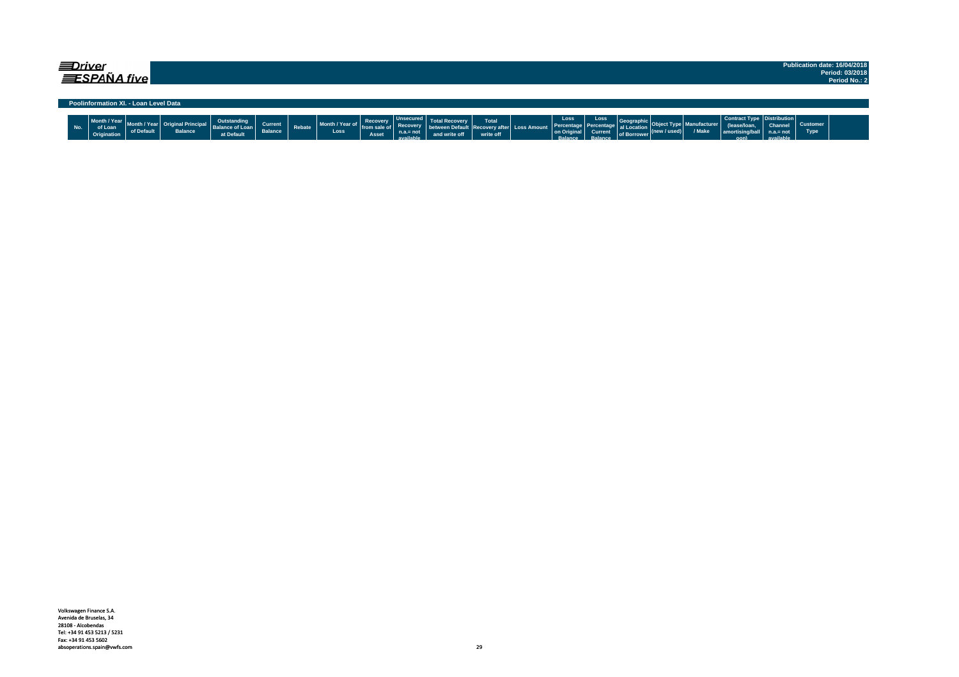| ≡Driver |     | ESPAÑA five                            |                                       |                                        |                                                     |                           |               |                                  |                              |                                             |               |                           |                            |                                                     |                                                 |                                                       |                      |        |                                                                           |                                            |                         | Publication date: 16/04/2018<br>Period: 03/2018<br>Period No.: 2 |
|---------|-----|----------------------------------------|---------------------------------------|----------------------------------------|-----------------------------------------------------|---------------------------|---------------|----------------------------------|------------------------------|---------------------------------------------|---------------|---------------------------|----------------------------|-----------------------------------------------------|-------------------------------------------------|-------------------------------------------------------|----------------------|--------|---------------------------------------------------------------------------|--------------------------------------------|-------------------------|------------------------------------------------------------------|
|         |     |                                        | Poolinformation XI. - Loan Level Data |                                        |                                                     |                           |               |                                  |                              |                                             |               |                           |                            |                                                     |                                                 |                                                       |                      |        |                                                                           |                                            |                         |                                                                  |
|         | No. | Month / Year<br>of Loan<br>Origination | of Default                            | : Original Principal<br><b>Balance</b> | Outstanding<br><b>Balance of Loan</b><br>at Default | Current<br><b>Balance</b> | <b>Rebate</b> | Month / Year of  <br><b>Loss</b> | Recovery<br>from sa<br>Asset | <b>Unsecured</b><br>$n.a.=not$<br>available | and write off | <b>Total</b><br>write off | Recovery after Loss Amount | Loss<br>Percentage<br>on Original<br><b>Ralance</b> | Loss<br>Percentage<br><b>Current</b><br>Ralance | Geographic<br>al Location<br>of Borrower <sup>\</sup> | $ $ (new / used) $ $ | / Make | Contract Type   Distribution  <br>lease/loan<br>amortising/ball<br>$\sim$ | <b>Channel</b><br>$n.a.= not$<br>available | Customer<br><b>Type</b> |                                                                  |